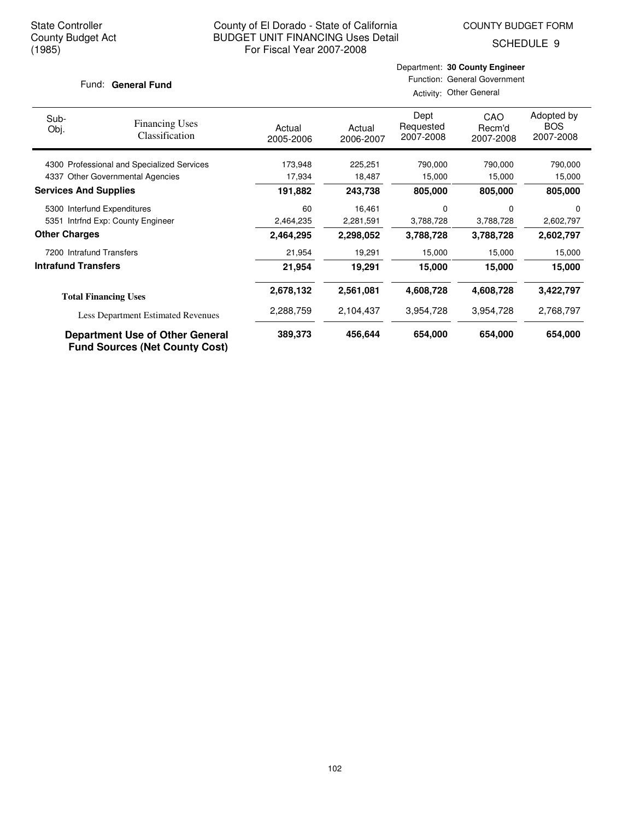SCHEDULE 9

#### Fund: General Fund

#### Department: **30 County Engineer** Function: General Government Activity: Other General

| Sub-<br>Obj.                 | <b>Financing Uses</b><br>Classification    | Actual<br>2005-2006 | Actual<br>2006-2007 | Dept<br>Requested<br>2007-2008 | CAO<br>Recm'd<br>2007-2008 | Adopted by<br><b>BOS</b><br>2007-2008 |
|------------------------------|--------------------------------------------|---------------------|---------------------|--------------------------------|----------------------------|---------------------------------------|
|                              | 4300 Professional and Specialized Services | 173,948             | 225,251             | 790,000                        | 790,000                    | 790,000                               |
| 4337                         | <b>Other Governmental Agencies</b>         | 17,934              | 18,487              | 15,000                         | 15,000                     | 15,000                                |
| <b>Services And Supplies</b> |                                            | 191.882             | 243,738             | 805,000                        | 805,000                    | 805,000                               |
|                              | 5300 Interfund Expenditures                | 60                  | 16,461              | 0                              | 0                          | 0                                     |
|                              | 5351 Intrfnd Exp: County Engineer          | 2,464,235           | 2,281,591           | 3,788,728                      | 3,788,728                  | 2,602,797                             |
| <b>Other Charges</b>         |                                            | 2,464,295           | 2,298,052           | 3,788,728                      | 3,788,728                  | 2,602,797                             |
| 7200 Intrafund Transfers     |                                            | 21,954              | 19,291              | 15,000                         | 15,000                     | 15,000                                |
| <b>Intrafund Transfers</b>   |                                            | 21,954              | 19,291              | 15,000                         | 15,000                     | 15,000                                |
|                              | <b>Total Financing Uses</b>                | 2,678,132           | 2,561,081           | 4,608,728                      | 4,608,728                  | 3,422,797                             |
|                              | <b>Less Department Estimated Revenues</b>  | 2,288,759           | 2,104,437           | 3,954,728                      | 3,954,728                  | 2,768,797                             |
|                              | <b>Department Use of Other General</b>     | 389,373             | 456,644             | 654,000                        | 654,000                    | 654,000                               |

**Fund Sources (Net County Cost)**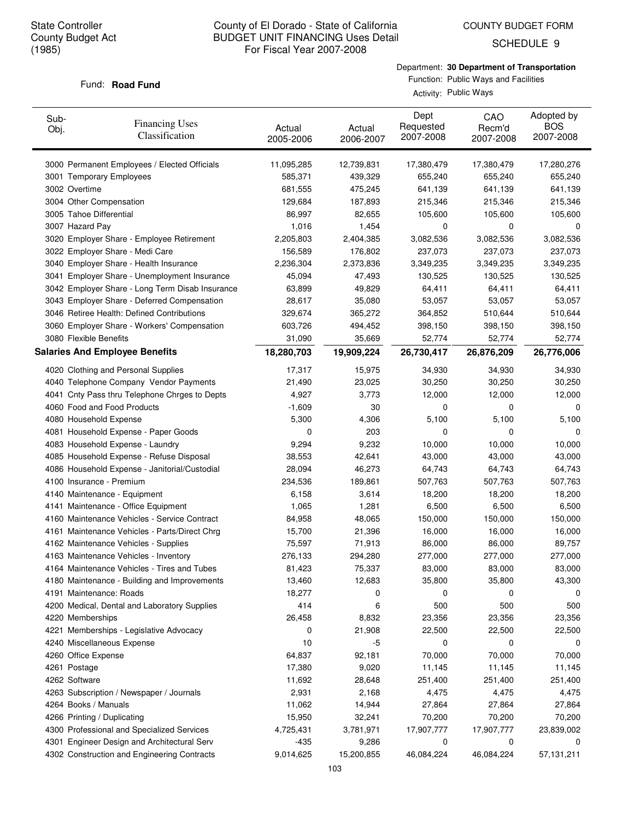COUNTY BUDGET FORM

SCHEDULE 9

### Department: **30 Department of Transportation**

#### Fund: **Road Fund**

Function: Public Ways and Facilities Activity: Public Ways

| Sub-<br>Obj.  | <b>Financing Uses</b><br>Classification         | Actual<br>2005-2006 | Actual<br>2006-2007 | Dept<br>Requested<br>2007-2008 | CAO<br>Recm'd<br>2007-2008 | Adopted by<br><b>BOS</b><br>2007-2008 |
|---------------|-------------------------------------------------|---------------------|---------------------|--------------------------------|----------------------------|---------------------------------------|
|               | 3000 Permanent Employees / Elected Officials    | 11,095,285          | 12,739,831          | 17,380,479                     | 17,380,479                 | 17,280,276                            |
|               | 3001 Temporary Employees                        | 585,371             | 439,329             | 655,240                        | 655,240                    | 655,240                               |
| 3002 Overtime |                                                 | 681,555             | 475,245             | 641,139                        | 641,139                    | 641,139                               |
|               | 3004 Other Compensation                         | 129,684             | 187,893             | 215,346                        | 215,346                    | 215,346                               |
|               | 3005 Tahoe Differential                         | 86,997              | 82,655              | 105,600                        | 105,600                    | 105,600                               |
|               | 3007 Hazard Pay                                 | 1,016               | 1,454               | 0                              | 0                          | 0                                     |
|               | 3020 Employer Share - Employee Retirement       | 2,205,803           | 2,404,385           | 3,082,536                      | 3,082,536                  | 3,082,536                             |
|               | 3022 Employer Share - Medi Care                 | 156,589             | 176,802             | 237,073                        | 237,073                    | 237,073                               |
|               | 3040 Employer Share - Health Insurance          | 2,236,304           | 2,373,836           | 3,349,235                      | 3,349,235                  | 3,349,235                             |
|               | 3041 Employer Share - Unemployment Insurance    | 45,094              | 47,493              | 130,525                        | 130,525                    | 130,525                               |
|               | 3042 Employer Share - Long Term Disab Insurance | 63,899              | 49,829              | 64,411                         | 64,411                     | 64,411                                |
|               | 3043 Employer Share - Deferred Compensation     | 28,617              | 35,080              | 53,057                         | 53,057                     | 53,057                                |
|               | 3046 Retiree Health: Defined Contributions      | 329,674             | 365,272             | 364,852                        | 510,644                    | 510,644                               |
|               | 3060 Employer Share - Workers' Compensation     | 603,726             | 494,452             | 398,150                        | 398,150                    | 398,150                               |
|               | 3080 Flexible Benefits                          | 31,090              | 35,669              | 52,774                         | 52,774                     | 52,774                                |
|               | <b>Salaries And Employee Benefits</b>           | 18,280,703          | 19,909,224          | 26,730,417                     | 26,876,209                 | 26,776,006                            |
|               | 4020 Clothing and Personal Supplies             | 17,317              | 15,975              | 34,930                         | 34,930                     | 34,930                                |
|               | 4040 Telephone Company Vendor Payments          | 21,490              | 23,025              | 30,250                         | 30,250                     | 30,250                                |
|               | 4041 Cnty Pass thru Telephone Chrges to Depts   | 4,927               | 3,773               | 12,000                         | 12,000                     | 12,000                                |
|               | 4060 Food and Food Products                     | $-1,609$            | 30                  | 0                              | 0                          | 0                                     |
|               | 4080 Household Expense                          | 5,300               | 4,306               | 5,100                          | 5,100                      | 5,100                                 |
|               | 4081 Household Expense - Paper Goods            | 0                   | 203                 | 0                              | $\Omega$                   | 0                                     |
|               | 4083 Household Expense - Laundry                | 9,294               | 9,232               | 10,000                         | 10,000                     | 10,000                                |
|               | 4085 Household Expense - Refuse Disposal        | 38,553              | 42,641              | 43,000                         | 43,000                     | 43,000                                |
|               | 4086 Household Expense - Janitorial/Custodial   | 28,094              | 46,273              | 64,743                         | 64,743                     | 64,743                                |
|               | 4100 Insurance - Premium                        | 234,536             | 189,861             | 507,763                        | 507,763                    | 507,763                               |
|               | 4140 Maintenance - Equipment                    | 6,158               | 3,614               | 18,200                         | 18,200                     | 18,200                                |
|               | 4141 Maintenance - Office Equipment             | 1,065               | 1,281               | 6,500                          | 6,500                      | 6,500                                 |
|               | 4160 Maintenance Vehicles - Service Contract    | 84,958              | 48,065              | 150,000                        | 150,000                    | 150,000                               |
|               | 4161 Maintenance Vehicles - Parts/Direct Chrg   | 15,700              | 21,396              | 16,000                         | 16,000                     | 16,000                                |
|               | 4162 Maintenance Vehicles - Supplies            | 75,597              | 71,913              | 86,000                         | 86,000                     | 89,757                                |
|               | 4163 Maintenance Vehicles - Inventory           | 276,133             | 294,280             | 277,000                        | 277,000                    | 277,000                               |
|               | 4164 Maintenance Vehicles - Tires and Tubes     | 81,423              | 75,337              | 83,000                         | 83,000                     | 83,000                                |
|               | 4180 Maintenance - Building and Improvements    | 13,460              | 12,683              | 35,800                         | 35,800                     | 43,300                                |
|               | 4191 Maintenance: Roads                         | 18,277              | 0                   | 0                              | 0                          | 0                                     |
|               | 4200 Medical, Dental and Laboratory Supplies    | 414                 | 6                   | 500                            | 500                        | 500                                   |
|               | 4220 Memberships                                | 26,458              | 8,832               | 23,356                         | 23,356                     | 23,356                                |
|               | 4221 Memberships - Legislative Advocacy         | 0                   | 21,908              | 22,500                         | 22,500                     | 22,500                                |
|               | 4240 Miscellaneous Expense                      | 10                  | -5                  | 0                              | 0                          | 0                                     |
|               | 4260 Office Expense                             | 64,837              | 92,181              | 70,000                         | 70,000                     | 70,000                                |
| 4261 Postage  |                                                 | 17,380              | 9,020               | 11,145                         | 11,145                     | 11,145                                |
| 4262 Software |                                                 | 11,692              | 28,648              | 251,400                        | 251,400                    | 251,400                               |
|               | 4263 Subscription / Newspaper / Journals        | 2,931               | 2,168               | 4,475                          | 4,475                      | 4,475                                 |
|               | 4264 Books / Manuals                            | 11,062              | 14,944              | 27,864                         | 27,864                     | 27,864                                |
|               | 4266 Printing / Duplicating                     | 15,950              | 32,241              | 70,200                         | 70,200                     | 70,200                                |
|               | 4300 Professional and Specialized Services      | 4,725,431           | 3,781,971           | 17,907,777                     | 17,907,777                 | 23,839,002                            |
|               | 4301 Engineer Design and Architectural Serv     | -435                | 9,286               | 0                              | 0                          | 0                                     |
|               | 4302 Construction and Engineering Contracts     | 9,014,625           | 15,200,855          | 46,084,224                     | 46,084,224                 | 57,131,211                            |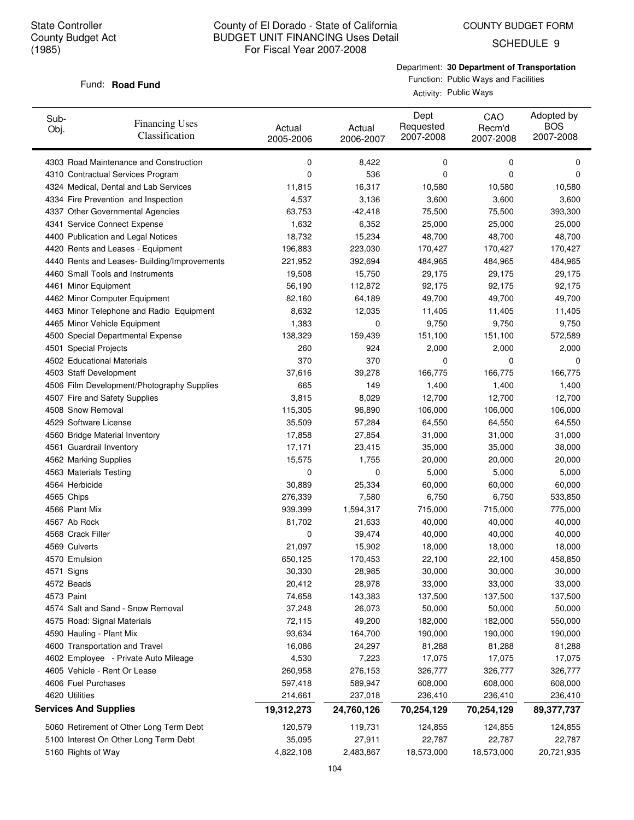COUNTY BUDGET FORM

SCHEDULE 9

Department: **30 Department of Transportation** Function: Public Ways and Facilities

#### Fund: **Road Fund**

Activity: Public Ways

| Sub-<br>Obj. | <b>Financing Uses</b><br>Classification      | Actual<br>2005-2006 | Actual<br>2006-2007 | Dept<br>Requested<br>2007-2008 | CAO<br>Recm'd<br>2007-2008 | Adopted by<br><b>BOS</b><br>2007-2008 |
|--------------|----------------------------------------------|---------------------|---------------------|--------------------------------|----------------------------|---------------------------------------|
|              | 4303 Road Maintenance and Construction       | 0                   | 8,422               | 0                              | 0                          | 0                                     |
|              | 4310 Contractual Services Program            | 0                   | 536                 | 0                              | 0                          | 0                                     |
|              | 4324 Medical, Dental and Lab Services        | 11,815              | 16,317              | 10,580                         | 10,580                     | 10,580                                |
|              | 4334 Fire Prevention and Inspection          | 4,537               | 3,136               | 3,600                          | 3,600                      | 3,600                                 |
|              | 4337 Other Governmental Agencies             | 63,753              | -42,418             | 75,500                         | 75,500                     | 393,300                               |
|              | 4341 Service Connect Expense                 | 1,632               | 6,352               | 25,000                         | 25,000                     | 25,000                                |
|              | 4400 Publication and Legal Notices           | 18,732              | 15,234              | 48,700                         | 48,700                     | 48,700                                |
|              | 4420 Rents and Leases - Equipment            | 196,883             | 223,030             | 170,427                        | 170,427                    | 170,427                               |
|              | 4440 Rents and Leases- Building/Improvements | 221,952             | 392,694             | 484,965                        | 484,965                    | 484,965                               |
|              | 4460 Small Tools and Instruments             | 19,508              | 15,750              | 29,175                         | 29,175                     | 29,175                                |
|              | 4461 Minor Equipment                         | 56,190              | 112,872             | 92,175                         | 92,175                     | 92,175                                |
|              | 4462 Minor Computer Equipment                | 82,160              | 64,189              | 49,700                         | 49,700                     | 49,700                                |
|              | 4463 Minor Telephone and Radio Equipment     | 8,632               | 12,035              | 11,405                         | 11,405                     | 11,405                                |
|              | 4465 Minor Vehicle Equipment                 | 1,383               | 0                   | 9,750                          | 9,750                      | 9,750                                 |
|              | 4500 Special Departmental Expense            | 138,329             | 159,439             | 151,100                        | 151,100                    | 572,589                               |
|              | 4501 Special Projects                        | 260                 | 924                 | 2,000                          | 2,000                      | 2,000                                 |
|              | 4502 Educational Materials                   | 370                 | 370                 | 0                              | 0                          | 0                                     |
|              | 4503 Staff Development                       | 37,616              | 39,278              | 166,775                        | 166,775                    | 166,775                               |
|              | 4506 Film Development/Photography Supplies   | 665                 | 149                 | 1,400                          | 1,400                      | 1,400                                 |
|              | 4507 Fire and Safety Supplies                | 3,815               | 8,029               | 12,700                         | 12,700                     | 12,700                                |
|              | 4508 Snow Removal                            | 115,305             | 96,890              | 106,000                        | 106,000                    | 106,000                               |
|              | 4529 Software License                        | 35,509              | 57,284              | 64,550                         | 64,550                     | 64,550                                |
|              | 4560 Bridge Material Inventory               | 17,858              | 27,854              | 31,000                         | 31,000                     | 31,000                                |
|              | 4561 Guardrail Inventory                     | 17,171              | 23,415              | 35,000                         | 35,000                     | 38,000                                |
|              | 4562 Marking Supplies                        | 15,575              | 1,755               | 20,000                         | 20,000                     | 20,000                                |
|              | 4563 Materials Testing                       | 0                   | 0                   | 5,000                          | 5,000                      | 5,000                                 |
|              | 4564 Herbicide                               | 30,889              | 25,334              | 60,000                         | 60,000                     | 60,000                                |
|              | 4565 Chips                                   | 276,339             | 7,580               | 6,750                          | 6,750                      | 533,850                               |
|              | 4566 Plant Mix                               | 939,399             | 1,594,317           | 715,000                        | 715,000                    | 775,000                               |
|              | 4567 Ab Rock                                 | 81,702              | 21,633              | 40,000                         | 40,000                     | 40,000                                |
|              | 4568 Crack Filler                            | 0                   | 39,474              | 40,000                         | 40,000                     | 40,000                                |
|              | 4569 Culverts                                | 21,097              | 15,902              | 18,000                         | 18,000                     | 18,000                                |
|              | 4570 Emulsion                                | 650,125             | 170,453             | 22,100                         | 22,100                     | 458,850                               |
|              | 4571 Signs                                   | 30,330              | 28,985              | 30,000                         | 30,000                     | 30,000                                |
|              | 4572 Beads                                   | 20,412              | 28,978              | 33,000                         | 33,000                     | 33,000                                |
|              | 4573 Paint                                   | 74,658              | 143,383             | 137,500                        | 137,500                    | 137,500                               |
|              | 4574 Salt and Sand - Snow Removal            | 37,248              | 26,073              | 50,000                         | 50,000                     | 50,000                                |
|              | 4575 Road: Signal Materials                  | 72,115              | 49,200              | 182,000                        | 182,000                    | 550,000                               |
|              | 4590 Hauling - Plant Mix                     | 93,634              | 164,700             | 190,000                        | 190,000                    | 190,000                               |
|              | 4600 Transportation and Travel               | 16,086              | 24,297              | 81,288                         | 81,288                     | 81,288                                |
|              | 4602 Employee - Private Auto Mileage         | 4,530               | 7,223               | 17,075                         | 17,075                     | 17,075                                |
|              | 4605 Vehicle - Rent Or Lease                 | 260,958             | 276,153             | 326,777                        | 326,777                    | 326,777                               |
|              | 4606 Fuel Purchases                          | 597,418             | 589,947             | 608,000                        | 608,000                    | 608,000                               |
|              | 4620 Utilities                               | 214,661             | 237,018             | 236,410                        | 236,410                    | 236,410                               |
|              | <b>Services And Supplies</b>                 | 19,312,273          | 24,760,126          | 70,254,129                     | 70,254,129                 | 89,377,737                            |
|              | 5060 Retirement of Other Long Term Debt      | 120,579             | 119,731             | 124,855                        | 124,855                    | 124,855                               |
|              | 5100 Interest On Other Long Term Debt        | 35,095              | 27,911              | 22,787                         | 22,787                     | 22,787                                |
|              | 5160 Rights of Way                           | 4,822,108           | 2,483,867           | 18,573,000                     | 18,573,000                 | 20,721,935                            |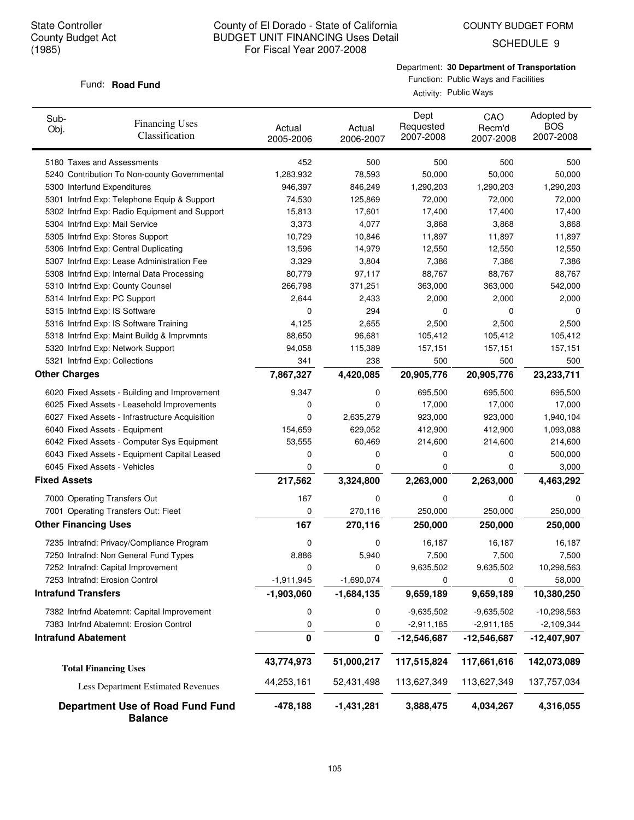COUNTY BUDGET FORM

SCHEDULE 9

Department: **30 Department of Transportation** Function: Public Ways and Facilities

#### Fund: **Road Fund**

Activity: Public Ways

| Sub-<br><b>Financing Uses</b><br>Obj.<br>Classification   | Actual<br>2005-2006 | Actual<br>2006-2007 | Dept<br>Requested<br>2007-2008 | CAO<br>Recm'd<br>2007-2008 | Adopted by<br><b>BOS</b><br>2007-2008 |
|-----------------------------------------------------------|---------------------|---------------------|--------------------------------|----------------------------|---------------------------------------|
| 5180 Taxes and Assessments                                | 452                 | 500                 | 500                            | 500                        | 500                                   |
| 5240 Contribution To Non-county Governmental              | 1,283,932           | 78,593              | 50,000                         | 50,000                     | 50,000                                |
| 5300 Interfund Expenditures                               | 946,397             | 846,249             | 1,290,203                      | 1,290,203                  | 1,290,203                             |
| 5301 Intrfnd Exp: Telephone Equip & Support               | 74,530              | 125,869             | 72,000                         | 72,000                     | 72,000                                |
| 5302 Intrfnd Exp: Radio Equipment and Support             | 15,813              | 17,601              | 17,400                         | 17,400                     | 17,400                                |
| 5304 Intrfnd Exp: Mail Service                            | 3,373               | 4,077               | 3,868                          | 3,868                      | 3,868                                 |
| 5305 Intrfnd Exp: Stores Support                          | 10,729              | 10,846              | 11,897                         | 11,897                     | 11,897                                |
| 5306 Intrfnd Exp: Central Duplicating                     | 13,596              | 14,979              | 12,550                         | 12,550                     | 12,550                                |
| 5307 Intrfnd Exp: Lease Administration Fee                | 3,329               | 3,804               | 7,386                          | 7,386                      | 7,386                                 |
| 5308 Intrfnd Exp: Internal Data Processing                | 80,779              | 97,117              | 88,767                         | 88,767                     | 88,767                                |
| 5310 Intrfnd Exp: County Counsel                          | 266,798             | 371,251             | 363,000                        | 363,000                    | 542,000                               |
| 5314 Intrfnd Exp: PC Support                              | 2,644               | 2,433               | 2,000                          | 2,000                      | 2,000                                 |
| 5315 Intrfnd Exp: IS Software                             | 0                   | 294                 | 0                              | 0                          | 0                                     |
| 5316 Intrfnd Exp: IS Software Training                    | 4,125               | 2,655               | 2,500                          | 2,500                      | 2,500                                 |
| 5318 Intrfnd Exp: Maint Buildg & Imprvmnts                | 88,650              | 96,681              | 105,412                        | 105,412                    | 105,412                               |
| 5320 Intrfnd Exp: Network Support                         | 94,058              | 115,389             | 157,151                        | 157,151                    | 157,151                               |
| 5321 Intrfnd Exp: Collections                             | 341                 | 238                 | 500                            | 500                        | 500                                   |
| <b>Other Charges</b>                                      | 7,867,327           | 4,420,085           | 20,905,776                     | 20,905,776                 | 23,233,711                            |
| 6020 Fixed Assets - Building and Improvement              | 9,347               | 0                   | 695,500                        | 695,500                    | 695,500                               |
| 6025 Fixed Assets - Leasehold Improvements                | 0                   | 0                   | 17,000                         | 17,000                     | 17,000                                |
| 6027 Fixed Assets - Infrastructure Acquisition            | 0                   | 2,635,279           | 923,000                        | 923,000                    | 1,940,104                             |
| 6040 Fixed Assets - Equipment                             | 154,659             | 629,052             | 412,900                        | 412,900                    | 1,093,088                             |
| 6042 Fixed Assets - Computer Sys Equipment                | 53,555              | 60,469              | 214,600                        | 214,600                    | 214,600                               |
| 6043 Fixed Assets - Equipment Capital Leased              | 0                   | 0                   | 0                              | 0                          | 500,000                               |
| 6045 Fixed Assets - Vehicles                              | 0                   | 0                   | 0                              | 0                          | 3,000                                 |
| <b>Fixed Assets</b>                                       | 217,562             | 3,324,800           | 2,263,000                      | 2,263,000                  | 4,463,292                             |
| 7000 Operating Transfers Out                              | 167                 | 0                   | 0                              | 0                          | 0                                     |
| 7001 Operating Transfers Out: Fleet                       | 0                   | 270,116             | 250,000                        | 250,000                    | 250,000                               |
| <b>Other Financing Uses</b>                               | 167                 | 270,116             | 250,000                        | 250,000                    | 250,000                               |
| 7235 Intrafnd: Privacy/Compliance Program                 | 0                   | 0                   | 16,187                         | 16,187                     | 16,187                                |
| 7250 Intrafnd: Non General Fund Types                     | 8,886               | 5,940               | 7,500                          | 7,500                      | 7,500                                 |
| 7252 Intrafnd: Capital Improvement                        | 0                   | 0                   | 9,635,502                      | 9,635,502                  | 10,298,563                            |
| 7253 Intrafnd: Erosion Control                            | $-1,911,945$        | $-1,690,074$        | 0                              | 0                          | 58,000                                |
| <b>Intrafund Transfers</b>                                | $-1,903,060$        | $-1,684,135$        | 9,659,189                      | 9,659,189                  | 10,380,250                            |
| 7382 Intrfnd Abatemnt: Capital Improvement                | 0                   | 0                   | $-9,635,502$                   | $-9,635,502$               | $-10,298,563$                         |
| 7383 Intrfnd Abatemnt: Erosion Control                    | 0                   | 0                   | $-2,911,185$                   | $-2,911,185$               | $-2,109,344$                          |
| <b>Intrafund Abatement</b>                                | 0                   | 0                   | $-12,546,687$                  | $-12,546,687$              | $-12,407,907$                         |
|                                                           | 43,774,973          | 51,000,217          | 117,515,824                    | 117,661,616                | 142,073,089                           |
| <b>Total Financing Uses</b>                               |                     |                     |                                |                            |                                       |
| <b>Less Department Estimated Revenues</b>                 | 44,253,161          | 52,431,498          | 113,627,349                    | 113,627,349                | 137,757,034                           |
| <b>Department Use of Road Fund Fund</b><br><b>Balance</b> | $-478,188$          | $-1,431,281$        | 3,888,475                      | 4,034,267                  | 4,316,055                             |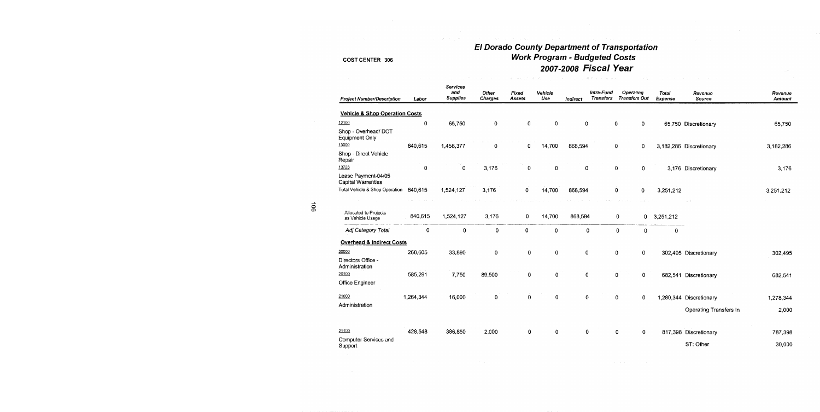## El Dorado County Department of Transportation **Work Program - Budgeted Costs** 2007-2008 Fiscal Year

state of the program and an

| <b>Project Number/Description</b>         | Labor       | Services<br>and<br><b>Supplies</b> | Other<br><b>Charges</b> | Fixed<br>Assets | Vehicle<br>Use | Indirect | Intra-Fund<br><b>Transfers</b> | <b>Operating</b><br><b>Transfers Out</b> | Total<br>Expense | Revenue<br>Source       | Revenue<br>Amount |
|-------------------------------------------|-------------|------------------------------------|-------------------------|-----------------|----------------|----------|--------------------------------|------------------------------------------|------------------|-------------------------|-------------------|
| <b>Vehicle &amp; Shop Operation Costs</b> |             |                                    |                         |                 |                |          |                                |                                          |                  |                         |                   |
| 12100                                     | 0           | 65,750                             | 0                       | 0               | 0              | 0        |                                | 0<br>0                                   |                  | 65,750 Discretionary    | 65,750            |
| Shop - Overhead/ DOT<br>Equipment Only    |             |                                    |                         |                 |                |          |                                |                                          |                  |                         |                   |
| 13000                                     | 840,615     | 1,458,377                          | 0                       | 0               | 14,700         | 868,594  |                                | 0<br>0                                   |                  | 3,182,286 Discretionary | 3,182,286         |
| Shop - Direct Vehicle<br>Repair           |             |                                    |                         |                 |                |          |                                |                                          |                  |                         |                   |
| 13723                                     | $\mathbf 0$ | 0                                  | 3,176                   | 0               | 0              | 0        |                                | 0<br>$\mathbf 0$                         |                  | 3,176 Discretionary     | 3,176             |
| Lease Payment-04/05<br>Capital Warrenties |             |                                    |                         |                 |                |          |                                |                                          |                  |                         |                   |
| Total Vehicle & Shop Operation            | 840,615     | 1,524,127                          | 3,176                   | 0               | 14,700         | 868,594  |                                | 0<br>0                                   | 3,251,212        |                         | 3,251,212         |
|                                           |             |                                    |                         |                 |                |          |                                |                                          |                  |                         |                   |
| Allocated to Projects<br>as Vehicle Usage | 840,615     | 1,524,127                          | 3,176                   | 0               | 14,700         | 868,594  |                                | 0                                        | 0<br>3,251,212   |                         |                   |
| Adj Category Total                        | 0           | 0                                  | 0                       | 0               | 0              | 0        |                                | $\mathbf 0$                              | 0<br>0           |                         |                   |
| <b>Overhead &amp; Indirect Costs</b>      |             |                                    |                         |                 |                |          |                                |                                          |                  |                         |                   |
| 20000                                     | 268,605     | 33,890                             | 0                       | 0               | 0              | 0        |                                | 0<br>0                                   |                  | 302,495 Discretionary   | 302,495           |
| Directors Office -<br>Administration      |             |                                    |                         |                 |                |          |                                |                                          |                  |                         |                   |
| 20100                                     | 585,291     | 7,750                              | 89,500                  | 0               | 0              | 0        |                                | 0<br>0                                   |                  | 682,541 Discretionary   | 682,541           |
| Office Engineer                           |             |                                    |                         |                 |                |          |                                |                                          |                  |                         |                   |
| 21000                                     | 1,264,344   | 16,000                             | $\mathbf 0$             | 0               | 0              | O        |                                | $\mathbf 0$<br>0                         |                  | 1,280,344 Discretionary | 1,278,344         |
| Administration                            |             |                                    |                         |                 |                |          |                                |                                          |                  |                         |                   |
|                                           |             |                                    |                         |                 |                |          |                                |                                          |                  | Operating Transfers In  | 2,000             |
| 21100                                     | 428,548     | 386,850                            | 2,000                   | 0               | 0              | 0        |                                | 0<br>0                                   |                  | 817,398 Discretionary   | 787,398           |
| Computer Services and<br>Support          |             |                                    |                         |                 |                |          |                                |                                          |                  | ST: Other               | 30,000            |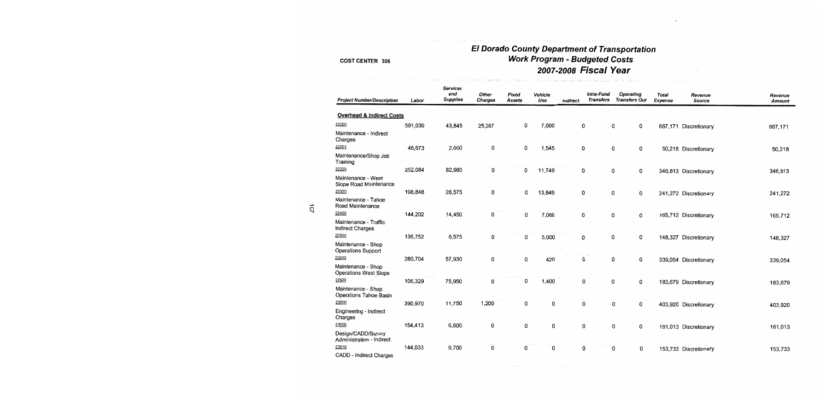## El Dorado County Department of Transportation<br>Work Program - Budgeted Costs 2007-2008 Fiscal Year

.<br>1982 - Louis Company, amerikanischer Konstantinopolis

 $\lambda$ 

 $\sim$ 

| <b>Project Number/Description</b>                  | Labor   | <b>Services</b><br>and<br><b>Supplies</b> | Other<br><b>Charges</b> | Fixed<br>Assets | Vehicle<br>Use | Indirect | Intra-Fund<br><b>Transfers</b> | <b>Operating</b><br><b>Transfers Out</b> | Total<br>Expense | Revenue<br>Source     | Revenue<br><b>Amount</b> |
|----------------------------------------------------|---------|-------------------------------------------|-------------------------|-----------------|----------------|----------|--------------------------------|------------------------------------------|------------------|-----------------------|--------------------------|
| <b>Overhead &amp; Indirect Costs</b>               |         |                                           |                         |                 |                |          |                                |                                          |                  |                       |                          |
| 22000                                              | 591,039 | 43,845                                    | 25,287                  | 0               | 7,000          | 0        |                                | 0<br>0                                   |                  | 667,171 Discretionary | 667,171                  |
| Maintenance - Indirect<br>Charges                  |         |                                           |                         |                 |                |          |                                |                                          |                  |                       |                          |
| 22001                                              | 46,673  | 2,000                                     | 0                       | 0               | 1,545          | 0        |                                | 0<br>0                                   |                  | 50,218 Discretionary  | 50,218                   |
| Maintenance/Shop Job<br>Training                   |         |                                           |                         |                 |                |          |                                |                                          |                  |                       |                          |
| 22220                                              | 252,084 | 82,980                                    | 0                       | 0               | 11,749         | 0        |                                | 0<br>0                                   |                  | 346,813 Discretionary | 346,813                  |
| Maintenance - West<br>Slope Road Maintenance       |         |                                           |                         |                 |                |          |                                |                                          |                  |                       |                          |
| 22320                                              | 198,848 | 28,575                                    | 0                       | 0               | 13,849         | 0        |                                | 0<br>0                                   |                  | 241,272 Discretionary | 241,272                  |
| Maintenance - Tahoe<br>Road Maintenance            |         |                                           |                         |                 |                |          |                                |                                          |                  |                       |                          |
| 22400                                              | 144,202 | 14,450                                    | 0                       | 0               | 7,060          | 0        |                                | 0<br>0                                   |                  | 165,712 Discretionary | 165,712                  |
| Maintenance - Traffic<br><b>Indirect Charges</b>   |         |                                           |                         |                 |                |          |                                |                                          |                  |                       |                          |
| 22500                                              | 136,752 | 6,575                                     | 0                       | 0               | 5,000          | 0        |                                | 0<br>0                                   |                  | 148,327 Discretionary | 148,327                  |
| Maintenance - Shop<br><b>Operations Support</b>    |         |                                           |                         |                 |                |          |                                |                                          |                  |                       |                          |
| 22510                                              | 280,704 | 57,930                                    | 0                       | 0               | 420            | 0        |                                | 0<br>0                                   |                  | 339,054 Discretionary | 339,054                  |
| Maintenance - Shop<br><b>Operations West Slope</b> |         |                                           |                         |                 |                |          |                                |                                          |                  |                       |                          |
| 22520                                              | 106,329 | 75,950                                    | 0                       | 0               | 1,400          | 0        |                                | 0<br>0                                   |                  | 183,679 Discretionary | 183,679                  |
| Maintenance - Shop<br>Operations Tahoe Basin       |         |                                           |                         |                 |                |          |                                |                                          |                  |                       |                          |
| 23000                                              | 390,970 | 11,750                                    | 1,200                   | 0               | 0              | 0        |                                | 0<br>0                                   |                  | 403,920 Discretionary | 403,920                  |
| Engineering - Indirect<br>Charges                  |         |                                           |                         |                 |                |          |                                |                                          |                  |                       |                          |
| 23500                                              | 154,413 | 6,600                                     | 0                       | 0               | 0              | 0        |                                | 0<br>0                                   |                  | 161,013 Discretionary | 161,013                  |
| Design/CADD/Survey<br>Administration - Indirect    |         |                                           |                         |                 |                |          |                                |                                          |                  |                       |                          |
| 23510                                              | 144,033 | 9,700                                     | 0                       | 0               | 0              | 0        |                                | 0<br>0                                   |                  | 153,733 Discretionary | 153,733                  |
| CADD - Indirect Charges                            |         |                                           |                         |                 |                |          |                                |                                          |                  |                       |                          |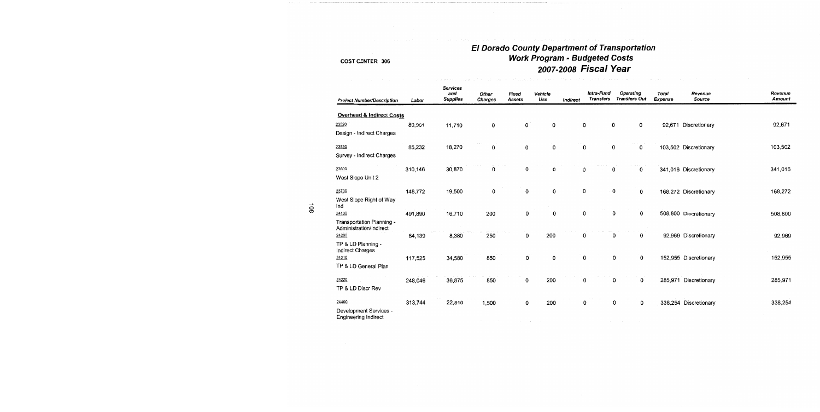## El Dorado County Department of Transportation **Work Program - Budgeted Costs** 2007-2008 Fiscal Year

| <b>Project Number/Description</b>                    | Labor   | <b>Services</b><br>and<br><b>Supplies</b> | Other<br><b>Charges</b> | Fixed<br>Assets | Vehicle<br>Use | Indirect | Intra-Fund<br><b>Transfers</b> | Operating<br><b>Transfers Out</b> | Total<br><b>Expense</b> | Revenue<br>Source     | Revenue<br><b>Amount</b> |
|------------------------------------------------------|---------|-------------------------------------------|-------------------------|-----------------|----------------|----------|--------------------------------|-----------------------------------|-------------------------|-----------------------|--------------------------|
| <b>Overhead &amp; Indirect Costs</b>                 |         |                                           |                         |                 |                |          |                                |                                   |                         |                       |                          |
| 23520                                                | 80,961  | 11,710                                    | 0                       | $\mathbf{0}$    | 0              | 0        |                                | 0<br>0                            | 92,671                  | Discretionary         | 92,671                   |
| Design - Indirect Charges                            |         |                                           |                         |                 |                |          |                                |                                   |                         |                       |                          |
| 23530                                                | 85,232  | 18,270                                    | 0                       | 0               | 0              | 0        |                                | 0<br>0                            |                         | 103,502 Discretionary | 103,502                  |
| Survey - Indirect Charges                            |         |                                           |                         |                 |                |          |                                |                                   |                         |                       |                          |
| 23600                                                | 310,146 | 30,870                                    | 0                       | 0               | 0              | 0        |                                | 0<br>0                            |                         | 341,016 Discretionary | 341,016                  |
| West Slope Unit 2                                    |         |                                           |                         |                 |                |          |                                |                                   |                         |                       |                          |
| 23700                                                | 148,772 | 19,500                                    | 0                       | 0               | 0              | 0        |                                | 0<br>0                            |                         | 168,272 Discretionary | 168,272                  |
| West Slope Right of Way<br>Ind                       |         |                                           |                         |                 |                |          |                                |                                   |                         |                       |                          |
| 24100                                                | 491,890 | 16,710                                    | 200                     | 0               | 0              | 0        |                                | 0<br>0                            |                         | 508,800 Discretionary | 508,800                  |
| Transportation Planning -<br>Administration/Indirect |         |                                           |                         |                 |                |          |                                |                                   |                         |                       |                          |
| 24200                                                | 84,139  | 8,380                                     | 250                     | 0               | 200            | 0        |                                | 0<br>0                            |                         | 92,969 Discretionary  | 92,969                   |
| TP & LD Planning -<br>Indirect Charges               |         |                                           |                         |                 |                |          |                                |                                   |                         |                       |                          |
| 24210                                                | 117,525 | 34,580                                    | 850                     | 0               | 0              | 0        |                                | 0<br>0                            |                         | 152,955 Discretionary | 152,955                  |
| TP & LD General Plan                                 |         |                                           |                         |                 |                |          |                                |                                   |                         |                       |                          |
| 24220                                                | 248,046 | 36,875                                    | 850                     | 0               | 200            |          | 0                              | 0<br>0                            |                         | 285,971 Discretionary | 285,971                  |
| TP & LD Discr Rev                                    |         |                                           |                         |                 |                |          |                                |                                   |                         |                       |                          |
| 24400                                                | 313,744 | 22,810                                    | 1,500                   | 0               | 200            |          | 0                              | 0<br>0                            |                         | 338,254 Discretionary | 338,254                  |
| Development Services -<br>Engineering Indirect       |         |                                           |                         |                 |                |          |                                |                                   |                         |                       |                          |
|                                                      |         |                                           |                         |                 |                |          |                                |                                   |                         |                       |                          |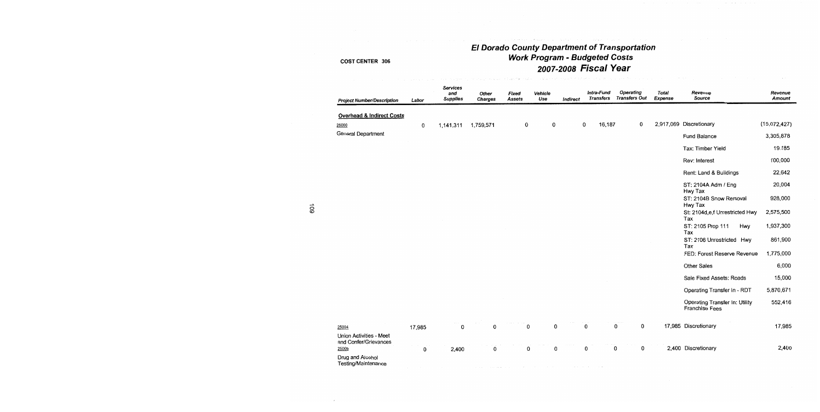# El Dorado County Department of Transportation<br>Work Program - Budgeted Costs 2007-2008 Fiscal Year

| <b>Project Number/Description</b>                         | Labor  | <b>Services</b><br>and<br><b>Supplies</b> | Other<br><b>Charges</b> | Fixed<br><b>Assets</b> | Vehicle<br>Use | Indirect | Intra-Fund<br><b>Transfers</b> | <b>Operating</b><br><b>Transfers Out</b> | Total<br>Expense | Revenue<br>Source                                       | Revenue<br><b>Amount</b> |
|-----------------------------------------------------------|--------|-------------------------------------------|-------------------------|------------------------|----------------|----------|--------------------------------|------------------------------------------|------------------|---------------------------------------------------------|--------------------------|
| <b>Overhead &amp; Indirect Costs</b>                      |        |                                           |                         |                        |                |          |                                |                                          |                  |                                                         |                          |
| 25000                                                     | 0      | 1,141,311                                 | 1,759,571               | 0                      | 0              |          | 16,187<br>0                    | 0                                        |                  | 2,917,069 Discretionary                                 | (15,072,427)             |
| <b>General Department</b>                                 |        |                                           |                         |                        |                |          |                                |                                          |                  | Fund Balance                                            | 3,305,878                |
|                                                           |        |                                           |                         |                        |                |          |                                |                                          |                  | Tax: Timber Yield                                       | 19,185                   |
|                                                           |        |                                           |                         |                        |                |          |                                |                                          |                  | Rev: Interest                                           | 100,000                  |
|                                                           |        |                                           |                         |                        |                |          |                                |                                          |                  | Rent: Land & Buildings                                  | 22,642                   |
|                                                           |        |                                           |                         |                        |                |          |                                |                                          |                  | ST: 2104A Adm / Eng<br>Hwy Tax                          | 20,004                   |
|                                                           |        |                                           |                         |                        |                |          |                                |                                          |                  | ST: 2104B Snow Removal<br>Hwy Tax                       | 928,000                  |
|                                                           |        |                                           |                         |                        |                |          |                                |                                          |                  | St: 2104d,e,f Unrestricted Hwy<br>Tax                   | 2,575,500                |
|                                                           |        |                                           |                         |                        |                |          |                                |                                          |                  | ST: 2105 Prop 111<br>Hwy<br>Tax                         | 1,937,300                |
|                                                           |        |                                           |                         |                        |                |          |                                |                                          |                  | ST: 2106 Unrestricted Hwy<br>Tax                        | 861,900                  |
|                                                           |        |                                           |                         |                        |                |          |                                |                                          |                  | FED: Forest Reserve Revenue                             | 1,775,000                |
|                                                           |        |                                           |                         |                        |                |          |                                |                                          |                  | Other Sales                                             | 6,000                    |
|                                                           |        |                                           |                         |                        |                |          |                                |                                          |                  | Sale Fixed Assets: Roads                                | 15,000                   |
|                                                           |        |                                           |                         |                        |                |          |                                |                                          |                  | Operating Transfer In - RDT                             | 5,870,671                |
|                                                           |        |                                           |                         |                        |                |          |                                |                                          |                  | Operating Transfer In: Utility<br><b>Franchise Fees</b> | 552,416                  |
| 25004                                                     | 17,985 | 0                                         | 0                       | 0                      | 0              |          | 0                              | 0<br>0                                   |                  | 17,985 Discretionary                                    | 17,985                   |
| Union Activities - Meet<br>and Confer/Grievances<br>25009 | 0      | 2,400                                     | 0                       | 0                      | 0              |          | 0                              | 0<br>0                                   |                  | 2,400 Discretionary                                     | 2,400                    |
| Drug and Alcohol<br>Testing/Maintenance                   |        |                                           |                         |                        |                |          |                                |                                          |                  |                                                         |                          |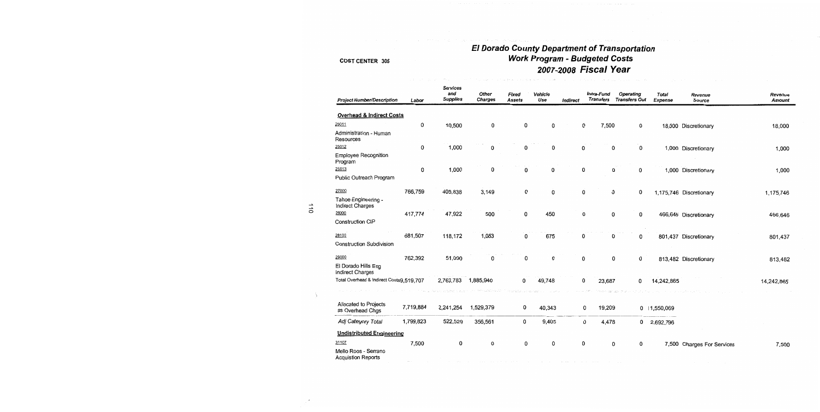## El Dorado County Department of Transportation **Work Program - Budgeted Costs** 2007-2008 Fiscal Year

| <b>Project Number/Description</b>                 | Labor     | <b>Services</b><br>and<br><b>Supplies</b> | Other<br><b>Charges</b> | Fixed<br><b>Assets</b> | Vehicle<br>Use | Indirect | Intra-Fund<br><b>Transfers</b> | Operating<br><b>Transfers Out</b> | Total<br><b>Expense</b> | Revenue<br><b>Source</b>   | Revenue<br><b>Amount</b> |
|---------------------------------------------------|-----------|-------------------------------------------|-------------------------|------------------------|----------------|----------|--------------------------------|-----------------------------------|-------------------------|----------------------------|--------------------------|
| Overhead & Indirect Costs                         |           |                                           |                         |                        |                |          |                                |                                   |                         |                            |                          |
| 25011                                             | 0         | 10,500                                    | 0                       | 0                      | 0              |          | 0<br>7,500                     | 0                                 |                         | 18,000 Discretionary       | 18,000                   |
| Administration - Human<br>Resources               |           |                                           |                         |                        |                |          |                                |                                   |                         |                            |                          |
| 25012                                             | 0         | 1,000                                     | 0                       | 0                      | 0              |          | 0                              | $\mathbf 0$<br>0                  |                         | 1,000 Discretionary        | 1,000                    |
| <b>Employee Recognition</b><br>Program            |           |                                           |                         |                        |                |          |                                |                                   |                         |                            |                          |
| 25013                                             | 0         | 1,000                                     | 0                       | 0                      | 0              |          | 0                              | 0<br>0                            |                         | 1,000 Discretionary        | 1,000                    |
| Public Outreach Program                           |           |                                           |                         |                        |                |          |                                |                                   |                         |                            |                          |
| 27000                                             | 766,759   | 405,838                                   | 3,149                   | 0                      | 0              |          | 0                              | 0<br>0                            |                         | 1,175,746 Discretionary    | 1,175,746                |
| Tahoe Engineering -<br>Indirect Charges           |           |                                           |                         |                        |                |          |                                |                                   |                         |                            |                          |
| 28000                                             | 417,774   | 47,922                                    | 500                     | 0                      | 450            |          | 0                              | 0<br>0                            |                         | 466,646 Discretionary      | 466,646                  |
| Construction CIP                                  |           |                                           |                         |                        |                |          |                                |                                   |                         |                            |                          |
| 28100                                             | 681,507   | 118,172                                   | 1,083                   | 0                      | 675            |          | 0                              | 0<br>0                            |                         | 801,437 Discretionary      | 801,437                  |
| <b>Construction Subdivision</b>                   |           |                                           |                         |                        |                |          |                                |                                   |                         |                            |                          |
| 29000                                             | 762,392   | 51,090                                    | 0                       | 0                      | 0              |          | 0                              | 0<br>0                            |                         | 813,482 Discretionary      | 813,482                  |
| El Dorado Hills Eng<br><b>Indirect Charges</b>    |           |                                           |                         |                        |                |          |                                |                                   |                         |                            |                          |
| Total Overhead & Indirect Costs9,519,707          |           | 2,763,783 1,885,940                       |                         | 0                      | 49,748         |          | 0<br>23,687                    | 0                                 | 14,242,865              |                            | 14,242,865               |
|                                                   |           |                                           |                         |                        |                |          |                                |                                   |                         |                            |                          |
| Allocated to Projects<br>as Overhead Chgs         | 7,719,884 | 2,241,254                                 | 1,529,379               | 0                      | 40,343         |          | 0<br>19,209                    |                                   | 0 1,550,069             |                            |                          |
| Adj Category Total                                | 1,799,823 | 522,529                                   | 356,561                 | 0                      | 9,405          |          | 0<br>4,478                     | 0                                 | 2,692,796               |                            |                          |
| <b>Undistributed Engineering</b>                  |           |                                           |                         |                        |                |          |                                |                                   |                         |                            |                          |
| 31107                                             | 7,500     | 0                                         | 0                       | 0                      | 0              |          | 0                              | 0<br>0                            |                         | 7,500 Charges For Services | 7,500                    |
| Mello Roos - Serrano<br><b>Acquistion Reports</b> |           |                                           |                         |                        |                |          |                                |                                   |                         |                            |                          |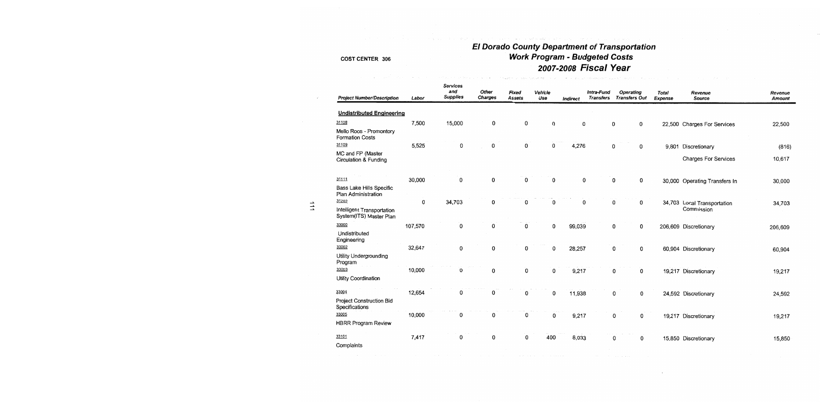# El Dorado County Department of Transportation<br>Work Program - Budgeted Costs 2007-2008 Fiscal Year

| <b>Project Number/Description</b>                     | Labor   | <b>Services</b><br>and<br><b>Supplies</b> | Other<br><b>Charges</b> | Fixed<br><b>Assets</b> | Vehicle<br>Use | Indirect | Intra-Fund<br>Transfers | <b>Operating</b><br><b>Transfers Out</b> | <b>Total</b><br><b>Expense</b> | Revenue<br>Source             | Revenue<br><b>Amount</b> |
|-------------------------------------------------------|---------|-------------------------------------------|-------------------------|------------------------|----------------|----------|-------------------------|------------------------------------------|--------------------------------|-------------------------------|--------------------------|
| <b>Undistributed Engineering</b>                      |         |                                           |                         |                        |                |          |                         |                                          |                                |                               |                          |
| 31108                                                 | 7,500   | 15,000                                    | 0                       | 0                      | 0              | 0        |                         | 0<br>0                                   |                                | 22,500 Charges For Services   | 22,500                   |
| Mello Roos - Promontory<br><b>Formation Costs</b>     |         |                                           |                         |                        |                |          |                         |                                          |                                |                               |                          |
| 31109                                                 | 5,525   | 0                                         | 0                       | 0                      | 0              | 4,276    |                         | 0<br>0                                   |                                | 9,801 Discretionary           | (816)                    |
| MC and FP (Master<br>Circulation & Funding            |         |                                           |                         |                        |                |          |                         |                                          |                                | <b>Charges For Services</b>   | 10,617                   |
| 31111                                                 | 30,000  | 0                                         | 0                       | 0                      | 0              | 0        |                         | $\mathbf 0$<br>0                         |                                | 30,000 Operating Transfers In | 30,000                   |
| Bass Lake Hills Specific<br>Plan Administration       |         |                                           |                         |                        |                |          |                         |                                          |                                |                               |                          |
| 31202                                                 | 0       | 34,703                                    | 0                       | 0                      | 0              | 0        |                         | 0<br>0                                   |                                | 34,703 Local Transportation   | 34,703                   |
| Intelligent Transportation<br>System(ITS) Master Plan |         |                                           |                         |                        |                |          |                         |                                          |                                | Commission                    |                          |
| 33000                                                 | 107,570 | 0                                         | 0                       | 0                      | 0              | 99,039   |                         | 0<br>0                                   |                                | 206,609 Discretionary         | 206,609                  |
| Undistributed<br>Engineering                          |         |                                           |                         |                        |                |          |                         |                                          |                                |                               |                          |
| 33002                                                 | 32,647  | 0                                         | 0                       | 0                      | $\mathbf 0$    | 28,257   |                         | 0<br>0                                   |                                | 60,904 Discretionary          | 60,904                   |
| Utility Undergrounding<br>Program                     |         |                                           |                         |                        |                |          |                         |                                          |                                |                               |                          |
| 33003                                                 | 10,000  | 0                                         | 0                       | $\mathbf{0}$           | 0              | 9,217    |                         | 0<br>0                                   |                                | 19,217 Discretionary          | 19,217                   |
| Utility Coordination                                  |         |                                           |                         |                        |                |          |                         |                                          |                                |                               |                          |
| 33004                                                 | 12,654  | 0                                         | 0                       | 0                      | 0              | 11,938   |                         | 0<br>0                                   |                                | 24,592 Discretionary          | 24,592                   |
| Project Construction Bid<br>Specifications            |         |                                           |                         |                        |                |          |                         |                                          |                                |                               |                          |
| 33005                                                 | 10,000  | 0                                         | 0                       | 0                      | 0              | 9,217    |                         | 0<br>0                                   |                                | 19,217 Discretionary          | 19,217                   |
| <b>HBRR Program Review</b>                            |         |                                           |                         |                        |                |          |                         |                                          |                                |                               |                          |
| 33101                                                 | 7,417   | 0                                         | 0                       | 0                      | 400            | 8,033    |                         | 0<br>0                                   |                                | 15,850 Discretionary          | 15,850                   |
| Complaints                                            |         |                                           |                         |                        |                |          |                         |                                          |                                |                               |                          |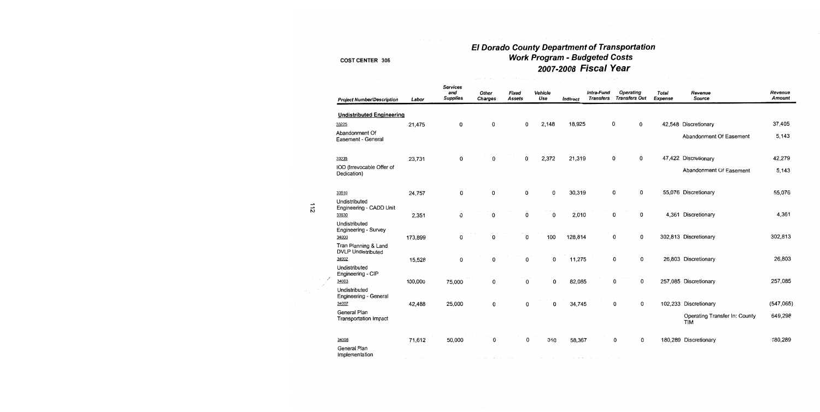# El Dorado County Department of Transportation<br>Work Program - Budgeted Costs<br>2007-2008 Fiscal Year

|     | <b>Project Number/Description</b>                 | Labor   | <b>Services</b><br>and<br><b>Supplies</b> | Other<br>Charges | Fixed<br>Assets | Vehicle<br>Use | <b>Indirect</b> | Intra-Fund<br><b>Transfers</b> | <b>Operating</b><br><b>Transfers Out</b> | Total<br>Expense | Revenue<br>Source                           | Revenue<br>Amount |
|-----|---------------------------------------------------|---------|-------------------------------------------|------------------|-----------------|----------------|-----------------|--------------------------------|------------------------------------------|------------------|---------------------------------------------|-------------------|
|     | <b>Undistributed Engineering</b>                  |         |                                           |                  |                 |                |                 |                                |                                          |                  |                                             |                   |
|     | 33225                                             | 21,475  | 0                                         | 0                | 0               | 2,148          | 18,925          |                                | 0<br>0                                   |                  | 42,548 Discretionary                        | 37,405            |
|     | Abandonment Of<br>Easement - General              |         |                                           |                  |                 |                |                 |                                |                                          |                  | Abandonment Of Easement                     | 5,143             |
|     | 33235                                             | 23,731  | $\mathbf 0$                               | 0                | 0               | 2,372          | 21,319          |                                | $\mathbf 0$<br>0                         |                  | 47,422 Discretionary                        | 42,279            |
|     | IOD (Irrevocable Offer of<br>Dedication)          |         |                                           |                  |                 |                |                 |                                |                                          |                  | Abandonment Of Easement                     | 5,143             |
|     | 33510                                             | 24,757  | 0                                         | 0                | 0               | $\mathsf 0$    | 30,319          |                                | 0<br>0                                   |                  | 55,076 Discretionary                        | 55,076            |
| 112 | Undistributed<br>Engineering - CADD Unit          |         |                                           |                  |                 |                |                 |                                |                                          |                  |                                             |                   |
|     | 33530<br>Undistributed                            | 2,351   | 0                                         | 0                | 0               | 0              | 2,010           |                                | 0<br>0                                   |                  | 4,361 Discretionary                         | 4,361             |
|     | Engineering - Survey<br>34000                     | 173,899 | 0                                         | 0                | 0               | 100            | 128,814         |                                | 0<br>0                                   |                  | 302,813 Discretionary                       | 302,813           |
|     | Tran Planning & Land<br><b>DVLP Undistributed</b> |         |                                           |                  |                 |                |                 |                                |                                          |                  |                                             |                   |
|     | 34002                                             | 15,528  | 0                                         | 0                | 0               | 0              | 11,275          |                                | 0<br>0                                   |                  | 26,803 Discretionary                        | 26,803            |
|     | Undistributed<br>Engineering - CIP                |         |                                           |                  |                 |                |                 |                                |                                          |                  |                                             |                   |
|     | 34003                                             | 100,000 | 75,000                                    | 0                | $\mathbf 0$     | $\mathbf 0$    | 82,085          |                                | 0<br>0                                   |                  | 257,085 Discretionary                       | 257,085           |
|     | Undistributed<br>Engineering - General            |         |                                           |                  |                 |                |                 |                                |                                          |                  |                                             |                   |
|     | 34007                                             | 42,488  | 25,000                                    | 0                | 0               | 0              | 34,745          |                                | 0<br>0                                   |                  | 102,233 Discretionary                       | (547,065)         |
|     | General Plan<br>Transportation Impact             |         |                                           |                  |                 |                |                 |                                |                                          |                  | Operating Transfer In: County<br><b>TIM</b> | 649,298           |
|     | 34008                                             | 71,612  | 50,000                                    | 0                | 0               | 310            | 58,367          |                                | 0<br>0                                   |                  | 180,289 Discretionary                       | 180,289           |
|     | General Plan<br>Implementation                    |         |                                           |                  |                 |                |                 |                                |                                          |                  |                                             |                   |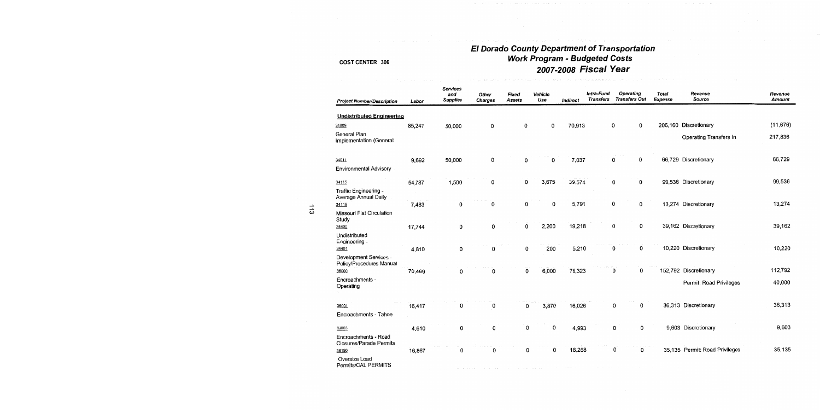## El Dorado County Department of Transportation<br>Work Program - Budgeted Costs 2007-2008 Fiscal Year

| <b>Project Number/Description</b>                  | Labor  | <b>Services</b><br>and<br><b>Supplies</b> | Other<br><b>Charges</b> | Fixed<br>Assets | Vehicle<br>Use | Indirect | Intra-Fund<br>Transfers | <b>Operating</b><br><b>Transfers Out</b> | Total<br>Expense | Revenue<br>Source              | Revenue<br><b>Amount</b> |
|----------------------------------------------------|--------|-------------------------------------------|-------------------------|-----------------|----------------|----------|-------------------------|------------------------------------------|------------------|--------------------------------|--------------------------|
| <b>Undistributed Engineering</b>                   |        |                                           |                         |                 |                |          |                         |                                          |                  |                                |                          |
| 34009                                              | 85,247 | 50,000                                    | 0                       | 0               | 0              | 70,913   |                         | 0<br>0                                   |                  | 206,160 Discretionary          | (11, 676)                |
| General Plan<br>Implementation (General            |        |                                           |                         |                 |                |          |                         |                                          |                  | Operating Transfers In         | 217,836                  |
| 34011                                              | 9,692  | 50,000                                    | 0                       | 0               | 0              | 7,037    |                         | 0<br>0                                   |                  | 66,729 Discretionary           | 66,729                   |
| <b>Environmental Advisory</b>                      |        |                                           |                         |                 |                |          |                         |                                          |                  |                                |                          |
| 34115                                              | 54,787 | 1,500                                     | 0                       | 0               | 3,675          | 39,574   |                         | 0<br>0                                   |                  | 99,536 Discretionary           | 99,536                   |
| Traffic Engineering -<br>Average Annual Daily      |        |                                           | 0                       | 0               |                | 5,791    |                         | 0<br>0                                   |                  | 13,274 Discretionary           | 13,274                   |
| 34119<br>Missouri Flat Circulation                 | 7,483  | 0                                         |                         |                 | 0              |          |                         |                                          |                  |                                |                          |
| Study                                              |        |                                           |                         |                 |                |          |                         |                                          |                  |                                |                          |
| 34400                                              | 17,744 | 0                                         | 0                       | 0               | 2,200          | 19,218   |                         | 0<br>0                                   |                  | 39.162 Discretionary           | 39,162                   |
| Undistributed<br>Engineering -                     |        |                                           |                         |                 |                |          |                         |                                          |                  |                                |                          |
| 34401                                              | 4,810  | 0                                         | 0                       | 0               | 200            | 5,210    |                         | 0<br>0                                   |                  | 10,220 Discretionary           | 10,220                   |
| Development Services -<br>Policy/Procedures Manual |        |                                           |                         |                 |                |          |                         |                                          |                  |                                |                          |
| 36000                                              | 70,469 | 0                                         | 0                       | 0               | 6,000          | 76,323   |                         | 0<br>0                                   |                  | 152,792 Discretionary          | 112,792                  |
| Encroachments -<br>Operating                       |        |                                           |                         |                 |                |          |                         |                                          |                  | Permit: Road Privileges        | 40,000                   |
| 36001                                              | 16,417 | 0                                         | 0                       | 0               | 3,870          | 16,026   |                         | 0<br>0                                   |                  | 36,313 Discretionary           | 36,313                   |
| Encroachments - Tahoe                              |        |                                           |                         |                 |                |          |                         |                                          |                  |                                |                          |
| 36003                                              | 4,610  | 0                                         | 0                       | 0               | 0              | 4,993    |                         | 0<br>0                                   |                  | 9,603 Discretionary            | 9,603                    |
| Encroachments - Road                               |        |                                           |                         |                 |                |          |                         |                                          |                  |                                |                          |
| <b>Closures/Parade Permits</b><br>36190            | 16,867 | 0                                         | 0                       | 0               | 0              | 18,268   |                         | 0<br>0                                   |                  | 35,135 Permit: Road Privileges | 35,135                   |
| Oversize Load<br>Permits/CAL PERMITS               |        |                                           |                         |                 |                |          |                         |                                          |                  |                                |                          |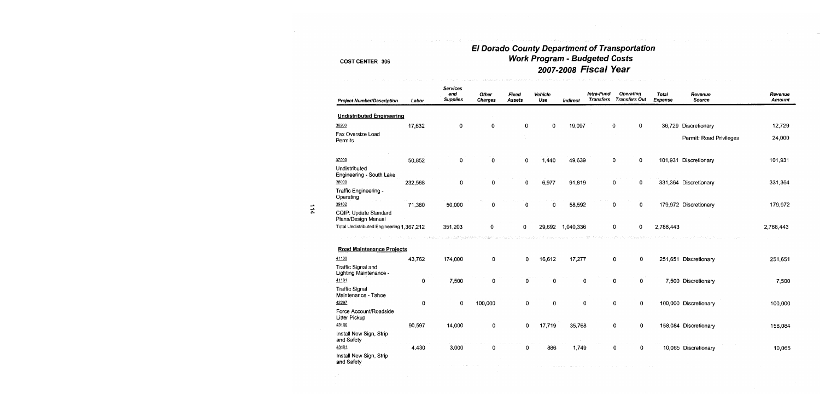### **El Dorado County Department of Transportation** Work Program - Budgeted Costs 2007-2008 Fiscal Year

 $\label{eq:2.1} \frac{1}{2\sqrt{2}}\int_{\mathbb{R}^{2}}\frac{1}{\sqrt{2}}\int_{\mathbb{R}^{2}}\frac{1}{\sqrt{2}}\int_{\mathbb{R}^{2}}\frac{1}{\sqrt{2}}\int_{\mathbb{R}^{2}}\frac{1}{\sqrt{2}}\int_{\mathbb{R}^{2}}\frac{1}{\sqrt{2}}\int_{\mathbb{R}^{2}}\frac{1}{\sqrt{2}}\int_{\mathbb{R}^{2}}\frac{1}{\sqrt{2}}\int_{\mathbb{R}^{2}}\frac{1}{\sqrt{2}}\int_{\mathbb{R}^{2}}\frac{1}{\sqrt{2}}\int$ 

| <b>Project Number/Description</b>                     | Labor   | <b>Services</b><br>and<br><b>Supplies</b> | Other<br>Charges | Fixed<br>Assets | Vehicle<br>Use | Indirect  | Intra-Fund<br><b>Transfers</b> | <b>Operating</b><br><b>Transfers Out</b> | <b>Total</b><br>Expense | Revenue<br>Source       | Revenue<br><b>Amount</b> |
|-------------------------------------------------------|---------|-------------------------------------------|------------------|-----------------|----------------|-----------|--------------------------------|------------------------------------------|-------------------------|-------------------------|--------------------------|
| <b>Undistributed Engineering</b>                      |         |                                           |                  |                 |                |           |                                |                                          |                         |                         |                          |
|                                                       |         |                                           |                  |                 |                |           |                                |                                          |                         |                         |                          |
| 36200                                                 | 17,632  | 0                                         | 0                | 0               | 0              | 19,097    |                                | $\mathbf 0$<br>0                         |                         | 36,729 Discretionary    | 12,729                   |
| Fax Oversize Load<br>Permits                          |         |                                           |                  |                 |                |           |                                |                                          |                         | Permit: Road Privileges | 24,000                   |
| 37000                                                 | 50,852  | 0                                         | $\Omega$         | 0               | 1,440          | 49,639    |                                | 0<br>0                                   |                         | 101,931 Discretionary   | 101,931                  |
| Undistributed<br>Engineering - South Lake             |         |                                           |                  |                 |                |           |                                |                                          |                         |                         |                          |
| 38000                                                 | 232,568 | 0                                         | 0                | 0               | 6,977          | 91,819    |                                | 0<br>0                                   |                         | 331,364 Discretionary   | 331,364                  |
| Traffic Engineering -<br>Operating                    |         |                                           |                  |                 |                |           |                                |                                          |                         |                         |                          |
| 39102<br>CQIP: Update Standard<br>Plans/Design Manual | 71,380  | 50,000                                    | 0                | 0               | 0              | 58,592    |                                | 0<br>0                                   |                         | 179,972 Discretionary   | 179,972                  |
| Total Undistributed Engineering 1,367,212             |         | 351,203                                   | 0                | 0               | 29,692         | 1,040,336 |                                | 0<br>0                                   | 2,788,443               |                         | 2,788,443                |
|                                                       |         |                                           | - as             |                 |                |           |                                |                                          |                         |                         |                          |
| <b>Road Maintenance Projects</b>                      |         |                                           |                  |                 |                |           |                                |                                          |                         |                         |                          |
| 41100                                                 | 43,762  | 174,000                                   | 0                | 0               | 16,612         | 17,277    |                                | $\mathbf 0$<br>0                         |                         | 251,651 Discretionary   | 251,651                  |
| Traffic Signal and<br>Lighting Maintenance -          |         |                                           |                  |                 |                |           |                                |                                          |                         |                         |                          |
| 41101                                                 | 0       | 7,500                                     | 0                | 0               | 0              | 0         |                                | 0<br>0                                   |                         | 7,500 Discretionary     | 7,500                    |
| <b>Traffic Signal</b><br>Maintenance - Tahoe          |         |                                           |                  |                 |                |           |                                |                                          |                         |                         |                          |
| 42297                                                 | 0       | $\mathbf 0$                               | 100,000          | $\mathbf 0$     | 0              | 0         |                                | 0<br>0                                   |                         | 100,000 Discretionary   | 100,000                  |
| Force Account/Roadside<br>Litter Pickup               |         |                                           |                  |                 |                |           |                                |                                          |                         |                         |                          |
| 43100                                                 | 90,597  | 14,000                                    | 0                | 0               | 17,719         | 35,768    |                                | 0<br>0                                   |                         | 158,084 Discretionary   | 158,084                  |
| Install New Sign, Strip<br>and Safety                 |         |                                           |                  |                 |                |           |                                |                                          |                         |                         |                          |
| 43101                                                 | 4,430   | 3,000                                     | 0                | 0               | 886            | 1,749     |                                | 0<br>0                                   |                         | 10,065 Discretionary    | 10,065                   |
| Install New Sign, Strip<br>and Safety                 |         |                                           |                  |                 |                |           |                                |                                          |                         |                         |                          |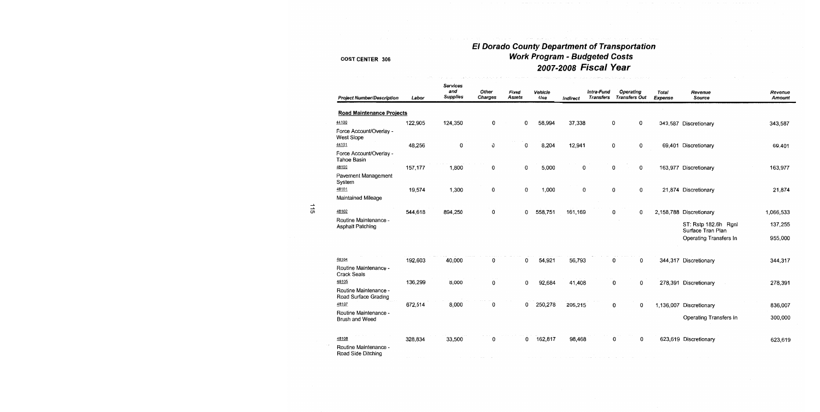# El Dorado County Department of Transportation<br>Work Program - Budgeted Costs 2007-2008 Fiscal Year

| <b>Project Number/Description</b>             | Labor   | Services<br>and<br><b>Supplies</b> | Other<br>Charges | Fixed<br>Assets | <b>Vehicle</b><br>Use | Indirect | Intra-Fund<br><b>Transfers</b> | Operating<br><b>Transfers Out</b> | Total<br>Expense | Revenue<br>Source                         | Revenue<br>Amount |
|-----------------------------------------------|---------|------------------------------------|------------------|-----------------|-----------------------|----------|--------------------------------|-----------------------------------|------------------|-------------------------------------------|-------------------|
| <b>Road Maintenance Projects</b>              |         |                                    |                  |                 |                       |          |                                |                                   |                  |                                           |                   |
| 44100                                         | 122,905 | 124,350                            | 0                | 0               | 58,994                | 37,338   |                                | 0<br>0                            |                  | 343,587 Discretionary                     | 343,587           |
| Force Account/Overlay -<br>West Slope         |         |                                    |                  |                 |                       |          |                                |                                   |                  |                                           |                   |
| 44101                                         | 48,256  | 0                                  | 0                | 0               | 8,204                 | 12,941   |                                | 0<br>0                            |                  | 69,401 Discretionary                      | 69,401            |
| Force Account/Overlay -<br>Tahoe Basin        |         |                                    |                  |                 |                       |          |                                |                                   |                  |                                           |                   |
| 48100                                         | 157,177 | 1,800                              | 0                | 0               | 5,000                 | 0        |                                | 0<br>0                            |                  | 163,977 Discretionary                     | 163,977           |
| Pavement Management<br>System                 |         |                                    |                  |                 |                       |          |                                |                                   |                  |                                           |                   |
| 48101                                         | 19,574  | 1,300                              | 0                | 0               | 1,000                 | 0        |                                | 0<br>0                            |                  | 21,874 Discretionary                      | 21,874            |
| Maintained Mileage                            |         |                                    |                  |                 |                       |          |                                |                                   |                  |                                           |                   |
| 48102                                         | 544,618 | 894,250                            | 0                | 0               | 558,751               | 161,169  |                                | 0<br>0                            |                  | 2,158,788 Discretionary                   | 1,066,533         |
| Routine Maintenance -<br>Asphalt Patching     |         |                                    |                  |                 |                       |          |                                |                                   |                  | ST: Rstp 182.6h Rgnl<br>Surface Tran Plan | 137,255           |
|                                               |         |                                    |                  |                 |                       |          |                                |                                   |                  | Operating Transfers In                    | 955,000           |
| 48104                                         | 192,603 | 40,000                             | 0                | 0               | 54,921                | 56,793   |                                | 0<br>0                            |                  | 344,317 Discretionary                     | 344,317           |
| Routine Maintenance -<br><b>Crack Seals</b>   |         |                                    |                  |                 |                       |          |                                |                                   |                  |                                           |                   |
| 48105                                         | 136,299 | 8,000                              | 0                | 0               | 92,684                | 41,408   |                                | 0<br>0                            |                  | 278,391 Discretionary                     | 278,391           |
| Routine Maintenance -<br>Road Surface Grading |         |                                    |                  |                 |                       |          |                                |                                   |                  |                                           |                   |
| 48107                                         | 672,514 | 8,000                              | 0                | 0               | 250,278               | 205,215  |                                | 0<br>0                            |                  | 1,136,007 Discretionary                   | 836,007           |
| Routine Maintenance -<br>Brush and Weed       |         |                                    |                  |                 |                       |          |                                |                                   |                  | Operating Transfers In                    | 300,000           |
| 48108                                         | 328,834 | 33,500                             | 0                | 0               | 162,817               | 98,468   |                                | 0<br>0                            |                  | 623,619 Discretionary                     | 623,619           |
| Routine Maintenance -<br>Road Side Ditching   |         |                                    |                  |                 |                       |          |                                |                                   |                  |                                           |                   |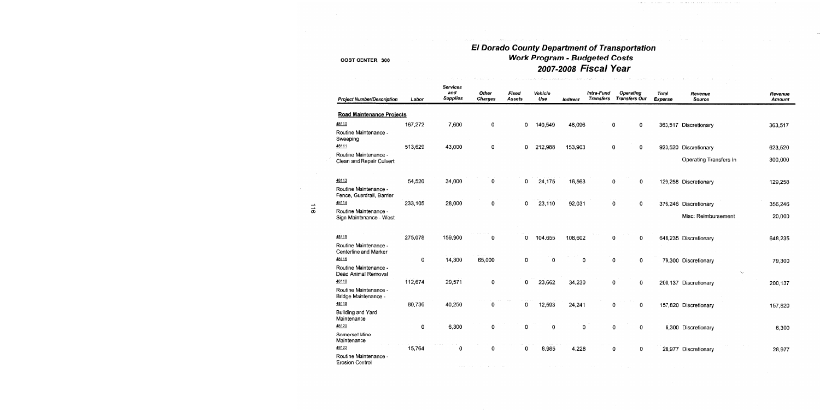## El Dorado County Department of Transportation **Work Program - Budgeted Costs** 2007-2008 Fiscal Year

lingua.<br>Tanàna ao amin'ny faritr'i Nord-Aquitaine, ao amin'ny faritr'i Nord-Aquitaine, ao Frantsa.

| <b>Project Number/Description</b>                  | Labor     | Services<br>and<br><b>Supplies</b> | Other<br><b>Charges</b> | Fixed<br>Assets | Vehicle<br>Use | Indirect | Intra-Fund<br><b>Transfers</b> | <b>Operating</b><br><b>Transfers Out</b> | <b>Total</b><br><b>Expense</b> | Revenue<br>Source      | Revenue<br>Amount |
|----------------------------------------------------|-----------|------------------------------------|-------------------------|-----------------|----------------|----------|--------------------------------|------------------------------------------|--------------------------------|------------------------|-------------------|
| <b>Road Maintenance Projects</b>                   |           |                                    |                         |                 |                |          |                                |                                          |                                |                        |                   |
| 48110                                              | 167,272   | 7,600                              | 0                       | 0               | 140,549        | 48,096   |                                | 0<br>0                                   |                                | 363,517 Discretionary  | 363,517           |
| Routine Maintenance -<br>Sweeping                  |           |                                    |                         |                 |                |          |                                |                                          |                                |                        |                   |
| 48111                                              | 513,629   | 43,000                             | $\mathbf 0$             | 0               | 212,988        | 153,903  |                                | 0<br>$\mathbf 0$                         |                                | 923,520 Discretionary  | 623,520           |
| Routine Maintenance -<br>Clean and Repair Culvert  |           |                                    |                         |                 |                |          |                                |                                          |                                | Operating Transfers In | 300,000           |
| 48113                                              | 54,520    | 34,000                             | 0                       | 0               | 24,175         | 16,563   |                                | 0<br>0                                   |                                | 129,258 Discretionary  | 129,258           |
| Routine Maintenance -<br>Fence, Guardrail, Barrier |           |                                    |                         |                 |                |          |                                |                                          |                                |                        |                   |
| 48114                                              | 233,105   | 28,000                             | 0                       | 0               | 23,110         | 92,031   |                                | 0<br>$\mathbf 0$                         |                                | 376,246 Discretionary  | 356,246           |
| Routine Maintenance -<br>Sign Maintenance - West   |           |                                    |                         |                 |                |          |                                |                                          |                                | Misc: Reimbursement    | 20,000            |
| 48115                                              | 275,078   | 159,900                            | 0                       | 0               | 104,655        | 108,602  |                                | 0<br>0                                   |                                | 648,235 Discretionary  | 648,235           |
| Routine Maintenance -<br>Centerline and Marker     |           |                                    |                         |                 |                |          |                                |                                          |                                |                        |                   |
| 48116                                              | $\pmb{0}$ | 14,300                             | 65,000                  | $\mathbf 0$     | $\mathbf 0$    | 0        |                                | $\mathbf 0$<br>$\mathbf 0$               |                                | 79,300 Discretionary   | 79,300            |
| Routine Maintenance -<br>Dead Animal Removal       |           |                                    |                         |                 |                |          |                                |                                          |                                | ٠.,                    |                   |
| 48118                                              | 112,674   | 29,571                             | 0                       | $\bf{0}$        | 23,662         | 34,230   |                                | $\mathbf 0$<br>$\mathbf 0$               |                                | 200,137 Discretionary  | 200,137           |
| Routine Maintenance -<br>Bridge Maintenance -      |           |                                    |                         |                 |                |          |                                |                                          |                                |                        |                   |
| 48119                                              | 80,736    | 40,250                             | 0                       | 0               | 12,593         | 24,241   |                                | 0<br>0                                   |                                | 157,820 Discretionary  | 157,820           |
| <b>Building and Yard</b><br>Maintenance            |           |                                    |                         |                 |                |          |                                |                                          |                                |                        |                   |
| 48120                                              | 0         | 6,300                              | 0                       | 0               | $\mathbf 0$    | 0        |                                | $\mathbf 0$<br>0                         |                                | 6,300 Discretionary    | 6,300             |
| Somerset Mine<br>Maintenance                       |           |                                    |                         |                 |                |          |                                |                                          |                                |                        |                   |
| 48122                                              | 15,764    | 0                                  | 0                       | 0               | 8,985          | 4,228    |                                | 0<br>0                                   |                                | 28,977 Discretionary   | 28,977            |
| Routine Maintenance -<br><b>Erosion Control</b>    |           |                                    |                         |                 |                |          |                                |                                          |                                |                        |                   |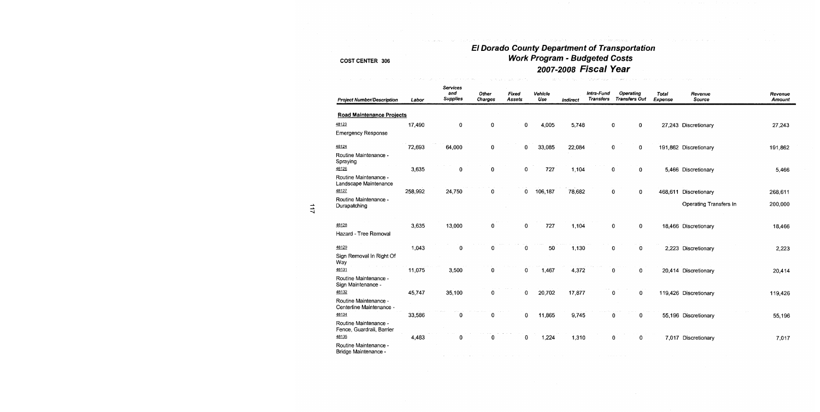### **El Dorado County Department of Transportation Work Program - Budgeted Costs** 2007-2008 Fiscal Year

| <b>Project Number/Description</b>                  | Labor   | Services<br>and<br><b>Supplies</b> | Other<br><b>Charges</b> | Fixed<br>Assets | Vehicle<br>Use | Indirect | Intra-Fund<br><b>Transfers</b> | <b>Operating</b><br><b>Transfers Out</b> | Total<br><b>Expense</b> | Revenue<br>Source      | Revenue<br>Amount |
|----------------------------------------------------|---------|------------------------------------|-------------------------|-----------------|----------------|----------|--------------------------------|------------------------------------------|-------------------------|------------------------|-------------------|
| <b>Road Maintenance Projects</b>                   |         |                                    |                         |                 |                |          |                                |                                          |                         |                        |                   |
| 48123                                              | 17,490  | 0                                  | 0                       | 0               | 4,005          | 5,748    |                                | 0<br>0                                   |                         | 27,243 Discretionary   | 27,243            |
| <b>Emergency Response</b>                          |         |                                    |                         |                 |                |          |                                |                                          |                         |                        |                   |
| 48124                                              | 72,693  | 64,000                             | 0                       | 0               | 33,085         | 22,084   |                                | 0<br>0                                   |                         | 191,862 Discretionary  | 191,862           |
| Routine Maintenance -<br>Spraying                  |         |                                    |                         |                 |                |          |                                |                                          |                         |                        |                   |
| 48126                                              | 3,635   | 0                                  | 0                       | 0               | 727            | 1,104    |                                | 0<br>0                                   |                         | 5,466 Discretionary    | 5,466             |
| Routine Maintenance -<br>Landscape Maintenance     |         |                                    |                         |                 |                |          |                                |                                          |                         |                        |                   |
| 48127                                              | 258,992 | 24,750                             | 0                       | 0               | 106,187        | 78,682   |                                | $\mathbf 0$<br>$\mathbf 0$               | 468,611                 | Discretionary          | 268,611           |
| Routine Maintenance -<br>Durapatching              |         |                                    |                         |                 |                |          |                                |                                          |                         | Operating Transfers In | 200,000           |
| 48128                                              | 3,635   | 13,000                             | 0                       | 0               | 727            | 1,104    |                                | $\mathbf 0$<br>0                         |                         | 18,466 Discretionary   | 18,466            |
| Hazard - Tree Removal                              |         |                                    |                         |                 |                |          |                                |                                          |                         |                        |                   |
| 48129                                              | 1,043   | 0                                  | 0                       | 0               | 50             | 1,130    |                                | $\pmb{0}$<br>0                           |                         | 2,223 Discretionary    | 2,223             |
| Sign Removal In Right Of<br>Way                    |         |                                    |                         |                 |                |          |                                |                                          |                         |                        |                   |
| 48131                                              | 11,075  | 3,500                              | 0                       | 0               | 1,467          | 4,372    |                                | 0<br>0                                   |                         | 20,414 Discretionary   | 20,414            |
| Routine Maintenance -<br>Sign Maintenance -        |         |                                    |                         |                 |                |          |                                |                                          |                         |                        |                   |
| 48132                                              | 45,747  | 35,100                             | 0                       | 0               | 20,702         | 17,877   |                                | 0<br>0                                   |                         | 119,426 Discretionary  | 119,426           |
| Routine Maintenance -<br>Centerline Maintenance -  |         |                                    |                         |                 |                |          |                                |                                          |                         |                        |                   |
| 48134                                              | 33,586  | Ω                                  | 0                       | 0               | 11,865         | 9,745    |                                | 0<br>0                                   |                         | 55,196 Discretionary   | 55,196            |
| Routine Maintenance -<br>Fence, Guardrail, Barrier |         |                                    |                         |                 |                |          |                                |                                          |                         |                        |                   |
| 48135                                              | 4,483   | 0                                  | 0                       | 0               | 1.224          | 1,310    |                                | 0<br>0                                   |                         | 7,017 Discretionary    | 7,017             |
| Routine Maintenance -<br>Bridge Maintenance -      |         |                                    |                         |                 |                |          |                                |                                          |                         |                        |                   |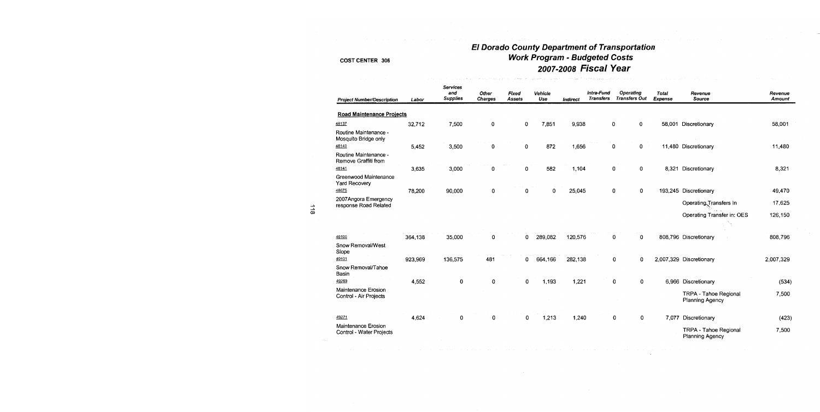## El Dorado County Department of Transportation **Work Program - Budgeted Costs** 2007-2008 Fiscal Year

| <b>Project Number/Description</b>               | Labor   | <b>Services</b><br>and<br><b>Supplies</b> | Other<br><b>Charges</b> | <b>Fixed</b><br>Assets | <b>Vehicle</b><br>Use | Indirect | intra-Fund<br><b>Transfers</b> | <b>Operating</b><br><b>Transfers Out</b> | <b>Total</b><br>Expense | Revenue<br>Source                        | Revenue<br>Amount |
|-------------------------------------------------|---------|-------------------------------------------|-------------------------|------------------------|-----------------------|----------|--------------------------------|------------------------------------------|-------------------------|------------------------------------------|-------------------|
| <b>Road Maintenance Projects</b>                |         |                                           |                         |                        |                       |          |                                |                                          |                         |                                          |                   |
| 48137                                           | 32,712  | 7,500                                     | 0                       | 0                      | 7,851                 | 9,938    |                                | 0<br>0                                   |                         | 58,001 Discretionary                     | 58,001            |
| Routine Maintenance -<br>Mosquito Bridge only   |         |                                           |                         |                        |                       |          |                                |                                          |                         |                                          |                   |
| 48140                                           | 5,452   | 3,500                                     | 0                       | 0                      | 872                   | 1,656    |                                | 0<br>0                                   |                         | 11,480 Discretionary                     | 11,480            |
| Routine Maintenance -<br>Remove Graffiti from   |         |                                           |                         |                        |                       |          |                                |                                          |                         |                                          |                   |
| 48141                                           | 3,635   | 3,000                                     | 0                       | 0                      | 582                   | 1,104    |                                | 0<br>0                                   | 8,321                   | Discretionary                            | 8,321             |
| Greenwood Maintenance<br>Yard Recovery          |         |                                           |                         |                        |                       |          |                                |                                          |                         |                                          |                   |
| 48675                                           | 78,200  | 90,000                                    | 0                       | 0                      | 0                     | 25,045   |                                | 0<br>$\overline{0}$                      |                         | 193,245 Discretionary                    | 49.470            |
| 2007 Angora Emergency<br>response Road Related  |         |                                           |                         |                        |                       |          |                                |                                          |                         | Operating Transfers In                   | 17,625            |
|                                                 |         |                                           |                         |                        |                       |          |                                |                                          |                         | Operating Transfer in: OES               | 126,150           |
|                                                 |         |                                           |                         |                        |                       |          |                                |                                          |                         |                                          |                   |
| 49100                                           | 364,138 | 35,000                                    | O                       | 0                      | 289,082               | 120,576  |                                | 0<br>0                                   |                         | 808,796 Discretionary                    | 808,796           |
| Snow Removal/West<br>Slope                      |         |                                           |                         |                        |                       |          |                                |                                          |                         |                                          |                   |
| 49101                                           | 923,969 | 136,575                                   | 481                     | 0                      | 664,166               | 282,138  |                                | 0<br>0                                   |                         | 2,007,329 Discretionary                  | 2,007,329         |
| Snow Removal/Tahoe<br>Basin                     |         |                                           |                         |                        |                       |          |                                |                                          |                         |                                          |                   |
| 49269                                           | 4,552   | $\mathbf 0$                               | 0                       | 0                      | 1,193                 | 1,221    |                                | 0<br>0                                   |                         | 6,966 Discretionary                      | (534)             |
| Maintenance Erosion<br>Control - Air Projects   |         |                                           |                         |                        |                       |          |                                |                                          |                         | TRPA - Tahoe Regional<br>Planning Agency | 7,500             |
| 49271                                           | 4,624   | $\mathbf 0$                               | 0                       | 0                      | 1,213                 | 1,240    |                                | $\mathbf 0$<br>0                         | 7,077                   | Discretionary                            | (423)             |
| Maintenance Erosion<br>Control - Water Projects |         |                                           |                         |                        |                       |          |                                |                                          |                         | TRPA - Tahoe Regional<br>Planning Agency | 7,500             |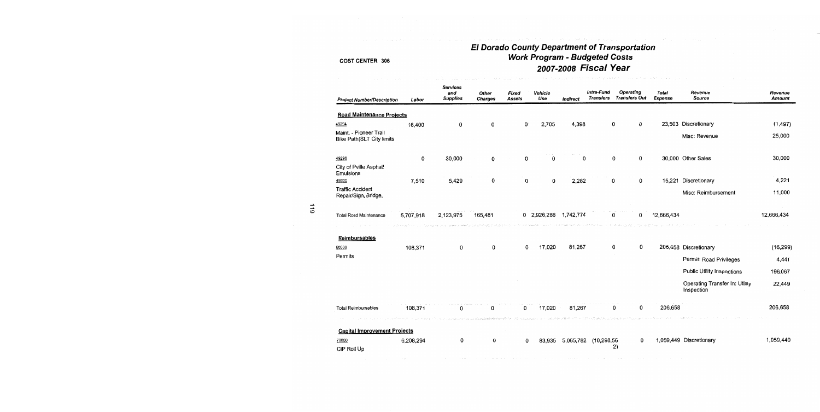# El Dorado County Department of Transportation<br>Work Program - Budgeted Costs<br>2007-2008 Fiscal Year

| <b>Project Number/Description</b>                          | Labor     | <b>Services</b><br>and<br><b>Supplies</b> | Other<br><b>Charges</b> | Fixed<br>Assets | Vehicle<br>Use | Indirect  | Intra-Fund<br><b>Transfers</b> | Operating<br><b>Transfers Out</b> | <b>Total</b><br>Expense | Revenue<br>Source                            | Revenue<br>Amount |
|------------------------------------------------------------|-----------|-------------------------------------------|-------------------------|-----------------|----------------|-----------|--------------------------------|-----------------------------------|-------------------------|----------------------------------------------|-------------------|
| <b>Road Maintenance Projects</b>                           |           |                                           |                         |                 |                |           |                                |                                   |                         |                                              |                   |
| 49294                                                      | 16,400    | 0                                         | 0                       | 0               | 2,705          | 4,398     |                                | 0<br>0                            |                         | 23,503 Discretionary                         | (1, 497)          |
| Maint. - Pioneer Trail<br><b>Bike Path(SLT City limits</b> |           |                                           |                         |                 |                |           |                                |                                   |                         | Misc: Revenue                                | 25,000            |
| 49296                                                      | 0         | 30,000                                    | 0                       | 0               | 0              | 0         |                                | $\bf{0}$<br>0                     |                         | 30,000 Other Sales                           | 30,000            |
| City of Pville Asphalt<br>Emulsions                        |           |                                           |                         |                 |                |           |                                |                                   |                         |                                              |                   |
| 49300                                                      | 7,510     | 5,429                                     | 0                       | $\Omega$        | 0              | 2,282     |                                | 0<br>0                            | 15,221                  | Discretionary                                | 4,221             |
| <b>Traffic Accident</b><br>Repair/Sign, Bridge,            |           |                                           |                         |                 |                |           |                                |                                   |                         | Misc: Reimbursement                          | 11,000            |
| <b>Total Road Maintenance</b>                              | 5,707,918 | 2,123,975                                 | 165,481                 |                 | 0 2,926,286    | 1,742,774 |                                | 0<br>o                            | 12,666,434              |                                              | 12,666,434        |
| Reimbursables                                              |           |                                           |                         |                 |                |           |                                |                                   |                         |                                              |                   |
| 60000                                                      | 108,371   | 0                                         | $\mathbf{0}$            | 0               | 17,020         | 81,267    |                                | 0<br>0                            |                         | 206,658 Discretionary                        | (16, 299)         |
| Permits                                                    |           |                                           |                         |                 |                |           |                                |                                   |                         | Permit: Road Privileges                      | 4,441             |
|                                                            |           |                                           |                         |                 |                |           |                                |                                   |                         | <b>Public Utility Inspections</b>            | 196,067           |
|                                                            |           |                                           |                         |                 |                |           |                                |                                   |                         | Operating Transfer In: Utility<br>Inspection | 22,449            |
| <b>Total Reimbursables</b>                                 | 108,371   | 0                                         | 0                       | 0               | 17,020         | 81,267    |                                | 0<br>0                            | 206,658                 |                                              | 206,658           |
| <b>Capital Improvement Projects</b>                        |           |                                           |                         |                 |                |           |                                |                                   |                         |                                              |                   |
| 70000<br>CIP Roll Up                                       | 6,208,294 | 0                                         | 0                       | 0               | 83.935         | 5.065.782 | (10, 298, 56)                  | 0<br>2)                           |                         | 1,059,449 Discretionary                      | 1,059,449         |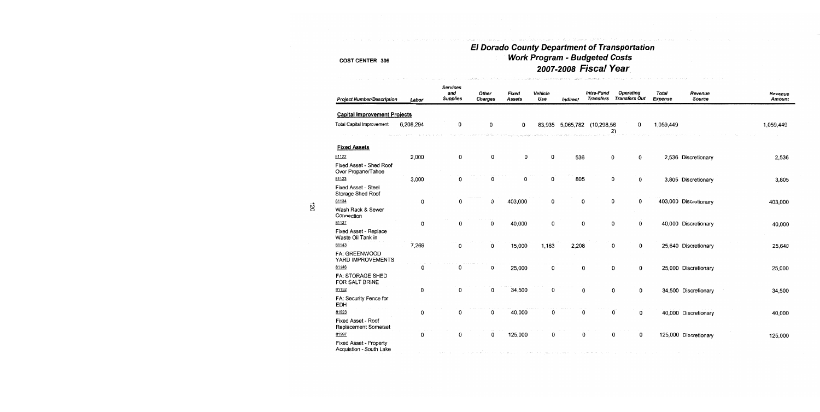# El Dorado County Department of Transportation<br>Work Program - Budgeted Costs 2007-2008 Fiscal Year

| <b>Project Number/Description</b>                 | Labor     | <b>Services</b><br>and<br><b>Supplies</b> | Other<br><b>Charges</b> | Fixed<br><b>Assets</b> | Vehicle<br>Use | Indirect | Intra-Fund<br><b>Transfers</b> | <b>Operating</b><br><b>Transfers Out</b> | <b>Total</b><br><b>Expense</b> | Revenue<br><b>Source</b> | Revenue<br><b>Amount</b> |
|---------------------------------------------------|-----------|-------------------------------------------|-------------------------|------------------------|----------------|----------|--------------------------------|------------------------------------------|--------------------------------|--------------------------|--------------------------|
| <b>Capital Improvement Projects</b>               |           |                                           |                         |                        |                |          |                                |                                          |                                |                          |                          |
| Total Capital Improvement                         | 6,208,294 | 0                                         | 0                       | 0                      | 83,935         |          | 5,065,782 (10,298,56<br>2)     | 0                                        | 1,059,449                      |                          | 1,059,449                |
| <b>Fixed Assets</b>                               |           |                                           |                         |                        |                |          |                                |                                          |                                |                          |                          |
| 81122                                             | 2,000     | 0                                         | 0                       | 0                      | 0              | 536      | 0                              | 0                                        |                                | 2,536 Discretionary      | 2,536                    |
| Fixed Asset - Shed Roof<br>Over Propane/Tahoe     |           |                                           |                         |                        |                |          |                                |                                          |                                |                          |                          |
| 81123                                             | 3,000     | 0                                         | 0                       | 0                      | 0              | 805      | 0                              | 0                                        |                                | 3,805 Discretionary      | 3,805                    |
| Fixed Asset - Steel<br>Storage Shed Roof          |           |                                           |                         |                        |                |          |                                |                                          |                                |                          |                          |
| 81134                                             | 0         | 0                                         | 0                       | 403,000                | 0              | 0        | 0                              | 0                                        |                                | 403,000 Discretionary    | 403,000                  |
| Wash Rack & Sewer<br>Connection                   |           |                                           |                         |                        |                |          |                                |                                          |                                |                          |                          |
| 81137                                             | 0         | 0                                         | 0                       | 40,000                 | 0              | 0        | 0                              | 0                                        |                                | 40,000 Discretionary     | 40,000                   |
| Fixed Asset - Replace<br>Waste Oil Tank in        |           |                                           |                         |                        |                |          |                                |                                          |                                |                          |                          |
| 81143                                             | 7,269     | 0                                         | 0                       | 15,000                 | 1,163          | 2,208    | 0                              | 0                                        |                                | 25,640 Discretionary     | 25,640                   |
| FA: GREENWOOD<br>YARD IMPROVEMENTS                |           |                                           |                         |                        |                |          |                                |                                          |                                |                          |                          |
| 81146                                             | 0         | 0                                         | 0                       | 25,000                 | 0              | 0        |                                | 0<br>0                                   |                                | 25,000 Discretionary     | 25,000                   |
| <b>FA: STORAGE SHED</b><br>FOR SALT BRINE         |           |                                           |                         |                        |                |          |                                |                                          |                                |                          |                          |
| 81152                                             | 0         | 0                                         | 0                       | 34,500                 | 0              | 0        |                                | 0<br>0                                   |                                | 34,500 Discretionary     | 34,500                   |
| FA: Security Fence for<br><b>EDH</b>              |           |                                           |                         |                        |                |          |                                |                                          |                                |                          |                          |
| 81923                                             | 0         | 0                                         | 0                       | 40,000                 | 0              | 0        |                                | 0<br>0                                   |                                | 40,000 Discretionary     | 40,000                   |
| <b>Fixed Asset - Roof</b><br>Replacement Somerset |           |                                           |                         |                        |                |          |                                |                                          |                                |                          |                          |
| 81997                                             | 0         | 0                                         | 0                       | 125,000                | 0              | 0        |                                | 0<br>0                                   |                                | 125,000 Discretionary    | 125,000                  |
| Fixed Asset - Property<br>Acquistion - South Lake |           |                                           |                         |                        |                |          |                                |                                          |                                |                          |                          |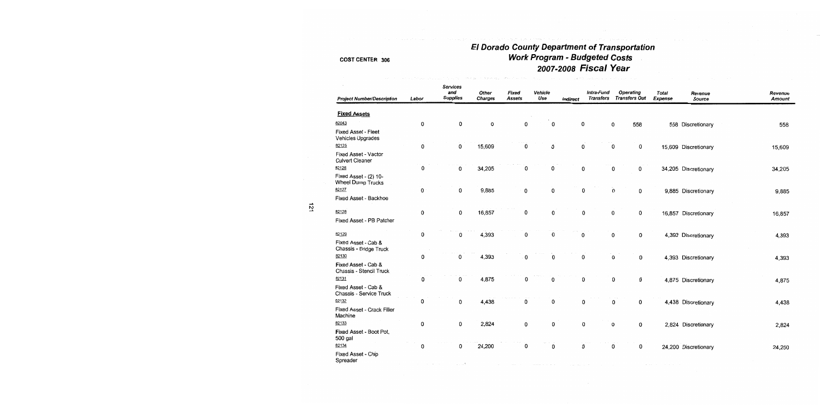## El Dorado County Department of Transportation Work Program - Budgeted Costs 2007-2008 Fiscal Year

| <b>Project Number/Description</b>                 | Labor     | <b>Services</b><br>and<br><b>Supplies</b> | Other<br><b>Charges</b> | Fixed<br><b>Assets</b> | Vehicle<br>Use | Indirect | Intra-Fund<br><b>Transfers</b> | <b>Operating</b><br><b>Transfers Out</b> | <b>Total</b><br><b>Expense</b> | Revenue<br>Source    | Revenue<br><b>Amount</b> |
|---------------------------------------------------|-----------|-------------------------------------------|-------------------------|------------------------|----------------|----------|--------------------------------|------------------------------------------|--------------------------------|----------------------|--------------------------|
| <b>Fixed Assets</b>                               |           |                                           |                         |                        |                |          |                                |                                          |                                |                      |                          |
| 82043                                             | $\pmb{0}$ | 0                                         | 0                       | 0                      | 0              | 0        |                                | 0<br>558                                 |                                | 558 Discretionary    | 558                      |
| Fixed Asset - Fleet<br>Vehicles Upgrades          |           |                                           |                         |                        |                |          |                                |                                          |                                |                      |                          |
| 82125                                             | 0         | 0                                         | 15,609                  | 0                      | 0              | 0        |                                | 0<br>0                                   |                                | 15,609 Discretionary | 15,609                   |
| Fixed Asset - Vactor<br><b>Culvert Cleaner</b>    |           |                                           |                         |                        |                |          |                                |                                          |                                |                      |                          |
| 82126                                             | 0         | 0                                         | 34,205                  | 0                      | 0              | 0        |                                | 0<br>0                                   |                                | 34,205 Discretionary | 34,205                   |
| Fixed Asset - (2) 10-<br><b>Wheel Dump Trucks</b> |           |                                           |                         |                        |                |          |                                |                                          |                                |                      |                          |
| 82127                                             | 0         | 0                                         | 9,885                   | 0                      | 0              | 0        |                                | 0<br>0                                   |                                | 9,885 Discretionary  | 9,885                    |
| Fixed Asset - Backhoe                             |           |                                           |                         |                        |                |          |                                |                                          |                                |                      |                          |
| 82128                                             | 0         | 0                                         | 16,857                  | 0                      | 0              | 0        |                                | 0<br>0                                   |                                | 16,857 Discretionary | 16,857                   |
| Fixed Asset - PB Patcher                          |           |                                           |                         |                        |                |          |                                |                                          |                                |                      |                          |
| 82129                                             | 0         | 0                                         | 4,393                   | 0                      | 0              | 0        |                                | 0<br>0                                   |                                | 4,393 Discretionary  | 4,393                    |
| Fixed Asset - Cab &<br>Chassis - Bridge Truck     |           |                                           |                         |                        |                |          |                                |                                          |                                |                      |                          |
| 82130                                             | 0         | 0                                         | 4,393                   | 0                      | 0              | 0        |                                | 0<br>0                                   |                                | 4,393 Discretionary  | 4,393                    |
| Fixed Asset - Cab &<br>Chassis - Stencil Truck    |           |                                           |                         |                        |                |          |                                |                                          |                                |                      |                          |
| 82131                                             | 0         | 0                                         | 4,875                   | 0                      | 0              | 0        |                                | 0<br>0                                   |                                | 4,875 Discretionary  | 4,875                    |
| Fixed Asset - Cab &<br>Chassis - Service Truck    |           |                                           |                         |                        |                |          |                                |                                          |                                |                      |                          |
| 82132                                             | 0         | 0                                         | 4,438                   | 0                      | 0              | 0        |                                | 0<br>0                                   |                                | 4,438 Discretionary  | 4,438                    |
| Fixed Asset - Crack Filler<br>Machine             |           |                                           |                         |                        |                |          |                                |                                          |                                |                      |                          |
| 82133                                             | 0         | 0                                         | 2,824                   | 0                      | 0              | 0        |                                | 0<br>0                                   |                                | 2,824 Discretionary  | 2,824                    |
| Fixed Asset - Boot Pot,<br>500 gal                |           |                                           |                         |                        |                |          |                                |                                          |                                |                      |                          |
| 82134                                             | 0         | 0                                         | 24,200                  | 0                      | 0              | 0        |                                | 0<br>0                                   |                                | 24,200 Discretionary | 24,200                   |
| Fixed Asset - Chip<br>Spreader                    |           |                                           |                         |                        |                |          |                                |                                          |                                |                      |                          |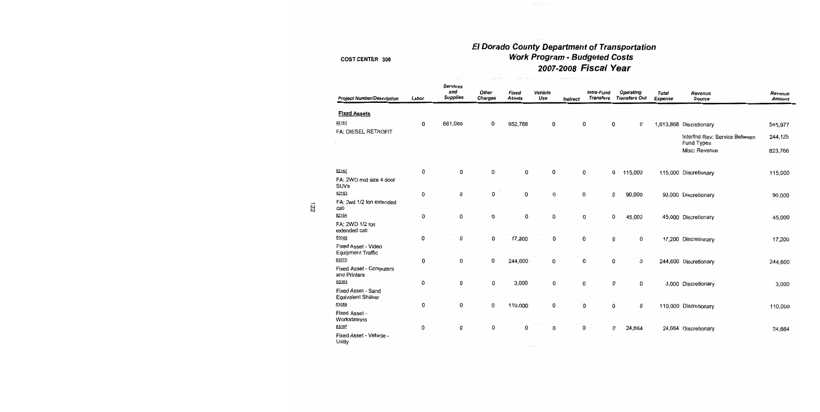## El Dorado County Department of Transportation **Work Program - Budgeted Costs** 2007-2008 Fiscal Year

.<br>Prima in Circulas de Ma

| <b>Project Number/Description</b>        | Labor | <b>Services</b><br>and<br><b>Supplies</b> | Other<br><b>Charges</b> | Fixed<br><b>Assets</b> | Vehicle<br>Use | <b>Indirect</b> | Intra-Fund<br><b>Transfers</b> | Operating<br><b>Transfers Out</b> | <b>Total</b><br>Expense | Revenue<br>Source                           | Revenue<br>Amount |
|------------------------------------------|-------|-------------------------------------------|-------------------------|------------------------|----------------|-----------------|--------------------------------|-----------------------------------|-------------------------|---------------------------------------------|-------------------|
| <b>Fixed Assets</b>                      |       |                                           |                         |                        |                |                 |                                |                                   |                         |                                             |                   |
| 82161                                    | 0     | 661,080                                   | 0                       | 952,788                | 0              |                 | 0                              | 0<br>0                            |                         | 1,613,868 Discretionary                     | 545,977           |
| FA: DIESEL RETROFIT                      |       |                                           |                         |                        |                |                 |                                |                                   |                         | Interfnd Rev: Service Between<br>Fund Types | 244,125           |
|                                          |       |                                           |                         |                        |                |                 |                                |                                   |                         | Misc: Revenue                               | 823,766           |
| 82162                                    | 0     | $\mathbf 0$                               | $\mathbf 0$             | 0                      | 0              |                 | 0                              | 0<br>115,000                      |                         | 115,000 Discretionary                       | 115,000           |
| FA: 2WD mid size 4 door<br>SUVs          |       |                                           |                         |                        |                |                 |                                |                                   |                         |                                             |                   |
| 82163                                    | 0     | 0                                         | 0                       | 0                      | 0              |                 | 0                              | 0<br>90,000                       |                         | 90,000 Discretionary                        | 90,000            |
| FA: 2wd 1/2 ton extended<br>cab          |       |                                           |                         |                        |                |                 |                                |                                   |                         |                                             |                   |
| 82164                                    | 0     | 0                                         | 0                       | 0                      | 0              |                 | 0                              | 0<br>45,000                       |                         | 45,000 Discretionary                        | 45,000            |
| FA: 2WD 1/2 ton<br>extended cab          |       |                                           |                         |                        |                |                 |                                |                                   |                         |                                             |                   |
| 83049                                    | 0     | 0                                         | 0                       | 17,200                 | 0              |                 | 0                              | 0<br>0                            |                         | 17,200 Discretionary                        | 17,200            |
| Fixed Asset - Video<br>Equipment Traffic |       |                                           |                         |                        |                |                 |                                |                                   |                         |                                             |                   |
| 83070                                    | 0     | 0                                         | 0                       | 244,600                | 0              |                 | 0                              | 0<br>0                            |                         | 244,600 Discretionary                       | 244,600           |
| Fixed Asset - Computers<br>and Printers  |       |                                           |                         |                        |                |                 |                                |                                   |                         |                                             |                   |
| 83083                                    | 0     | 0                                         | 0                       | 3,000                  | 0              |                 | 0                              | 0<br>0                            |                         | 3,000 Discretionary                         | 3,000             |
| Fixed Asset - Sand<br>Equivalent Shaker  |       |                                           |                         |                        |                |                 |                                |                                   |                         |                                             |                   |
| 83089                                    | 0     | 0                                         | 0                       | 110,000                | 0              |                 | 0                              | 0<br>0                            |                         | 110,000 Discretionary                       | 110,000           |
| Fixed Asset -<br>Workstations            |       |                                           |                         |                        |                |                 |                                |                                   |                         |                                             |                   |
| 83097                                    | 0     | 0                                         | 0                       | 0                      | 0              |                 | 0                              | 0<br>24,664                       |                         | 24,664 Discretionary                        | 24,664            |
| Fixed Asset - Vehicle -<br>Utility       |       |                                           |                         |                        |                |                 |                                |                                   |                         |                                             |                   |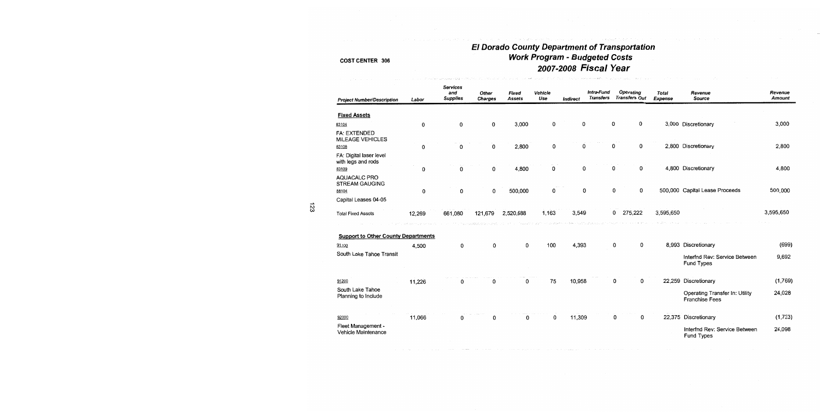# El Dorado County Department of Transportation<br>Work Program - Budgeted Costs<br>2007-2008 Fiscal Year

| <b>Project Number/Description</b>              | Labor  | <b>Services</b><br>and<br><b>Supplies</b> | Other<br><b>Charges</b> | Fixed<br>Assets | Vehicle<br>Use | Indirect | Intra-Fund<br><b>Transfers</b> | Operating<br><b>Transfers Out</b> | Total<br>Expense | Revenue<br>Source                                       | Revenue<br>Amount |
|------------------------------------------------|--------|-------------------------------------------|-------------------------|-----------------|----------------|----------|--------------------------------|-----------------------------------|------------------|---------------------------------------------------------|-------------------|
| <b>Fixed Assets</b>                            |        |                                           |                         |                 |                |          |                                |                                   |                  |                                                         |                   |
| 83104                                          | 0      | 0                                         | 0                       | 3,000           | 0              | 0        |                                | 0<br>0                            |                  | 3,000 Discretionary                                     | 3,000             |
| <b>FA: EXTENDED</b><br><b>MILEAGE VEHICLES</b> |        |                                           |                         |                 |                |          |                                |                                   |                  |                                                         |                   |
| 83108                                          | 0      | 0                                         | 0                       | 2,800           | 0              | 0        |                                | 0<br>0                            |                  | 2,800 Discretionary                                     | 2,800             |
| FA: Digital laser level<br>with legs and rods  |        |                                           |                         |                 |                |          |                                |                                   |                  |                                                         |                   |
| 83109                                          | 0      | 0                                         | 0                       | 4,800           | 0              | 0        |                                | 0<br>0                            |                  | 4,800 Discretionary                                     | 4,800             |
| AQUACALC PRO<br><b>STREAM GAUGING</b>          |        |                                           |                         |                 |                |          |                                |                                   |                  |                                                         |                   |
| 88104                                          | 0      | 0                                         | 0                       | 500,000         | $\mathbf 0$    | 0        |                                | 0<br>0                            |                  | 500,000 Capital Lease Proceeds                          | 500,000           |
| Capital Leases 04-05                           |        |                                           |                         |                 |                |          |                                |                                   |                  |                                                         |                   |
| <b>Total Fixed Assets</b>                      | 12,269 | 661,080                                   | 121,679                 | 2,520,688       | 1,163          | 3,549    |                                | 0<br>275,222                      | 3,595,650        |                                                         | 3,595,650         |
| <b>Support to Other County Departments</b>     |        |                                           |                         |                 |                |          |                                |                                   |                  |                                                         |                   |
| 91100                                          | 4,500  | 0                                         | 0                       | 0               | 100            | 4,393    |                                | 0<br>0                            |                  | 8,993 Discretionary                                     | (699)             |
| South Lake Tahoe Transit                       |        |                                           |                         |                 |                |          |                                |                                   |                  | Interfnd Rev: Service Between<br>Fund Types             | 9,692             |
| 91200                                          | 11,226 | 0                                         | n                       | 0               | 75             | 10,958   |                                | 0<br>0                            |                  | 22,259 Discretionary                                    | (1,769)           |
| South Lake Tahoe<br>Planning to Include        |        |                                           |                         |                 |                |          |                                |                                   |                  | Operating Transfer In: Utility<br><b>Franchise Fees</b> | 24,028            |
| 92000                                          | 11,066 | 0                                         | 0                       | 0               | 0              | 11,309   |                                | 0<br>0                            |                  | 22,375 Discretionary                                    | (1, 723)          |
| Fleet Management -<br>Vehicle Maintenance      |        |                                           |                         |                 |                |          |                                |                                   |                  | Interfnd Rev: Service Between<br>Fund Types             | 24,098            |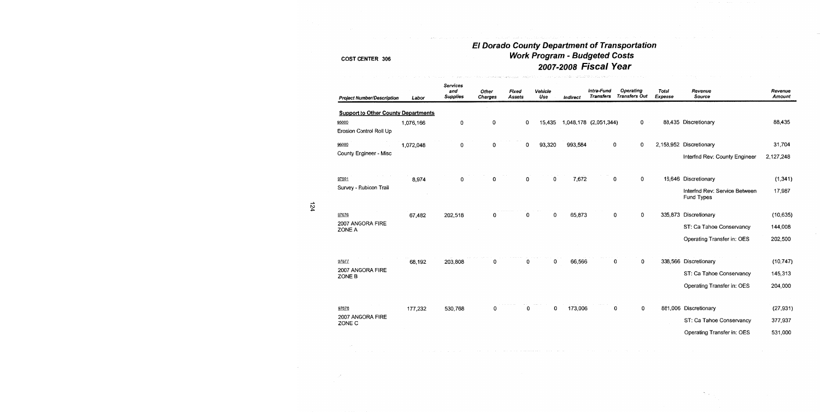# El Dorado County Department of Transportation<br>Work Program - Budgeted Costs 2007-2008 Fiscal Year

.<br>Hartonosska – Warker S.M. E. M. L. Brech Juli XI, menindik med Gruddillah VI, vitus amerikan melikuk ke ke ke m

| <b>Project Number/Description</b>          | Labor     | <b>Services</b><br>and<br><b>Supplies</b> | Other<br>Charges | Fixed<br><b>Assets</b> | Vehicle<br>Use | <b>Indirect</b> | Intra-Fund<br><b>Transfers</b> | Operating<br><b>Transfers Out</b> | <b>Total</b><br>Expense | Revenue<br>Source                           | Revenue<br>Amount |
|--------------------------------------------|-----------|-------------------------------------------|------------------|------------------------|----------------|-----------------|--------------------------------|-----------------------------------|-------------------------|---------------------------------------------|-------------------|
| <b>Support to Other County Departments</b> |           |                                           |                  |                        |                |                 |                                |                                   |                         |                                             |                   |
| 95000<br>Erosion Control Roll Up           | 1,076,166 | 0                                         | 0                | 0                      | 15.435         |                 | 1,048,178 (2,051,344)          | 0                                 |                         | 88,435 Discretionary                        | 88,435            |
| 96000                                      | 1,072,048 | 0                                         | 0                | 0                      | 93,320         | 993,584         |                                | 0<br>0                            |                         | 2,158,952 Discretionary                     | 31,704            |
| County Engineer - Misc                     |           |                                           |                  |                        |                |                 |                                |                                   |                         | Interfnd Rev: County Engineer               | 2,127,248         |
| 97501                                      | 8,974     | 0                                         | 0                | 0                      | 0              | 7,672           |                                | 0<br>0                            |                         | 16,646 Discretionary                        | (1, 341)          |
| Survey - Rubicon Trail                     |           |                                           |                  |                        |                |                 |                                |                                   |                         | Interfnd Rev: Service Between<br>Fund Types | 17,987            |
| 97676                                      | 67,482    | 202,518                                   | 0                | 0                      | $\mathbf 0$    | 65,873          |                                | 0<br>0                            |                         | 335,873 Discretionary                       | (10, 635)         |
| 2007 ANGORA FIRE<br>ZONE A                 |           |                                           |                  |                        |                |                 |                                |                                   |                         | ST: Ca Tahoe Conservancy                    | 144,008           |
|                                            |           |                                           |                  |                        |                |                 |                                |                                   |                         | Operating Transfer in: OES                  | 202,500           |
| 97677                                      | 68,192    | 203,808                                   | 0                | 0                      | 0              | 66,566          |                                | 0<br>0                            |                         | 338,566 Discretionary                       | (10, 747)         |
| 2007 ANGORA FIRE<br>ZONE B                 |           |                                           |                  |                        |                |                 |                                |                                   |                         | ST: Ca Tahoe Conservancy                    | 145,313           |
|                                            |           |                                           |                  |                        |                |                 |                                |                                   |                         | Operating Transfer in: OES                  | 204,000           |
| 97678                                      | 177,232   | 530,768                                   | 0                | 0                      | 0              | 173,006         |                                | 0<br>0                            |                         | 881,006 Discretionary                       | (27, 931)         |
| 2007 ANGORA FIRE<br>ZONE C                 |           |                                           |                  |                        |                |                 |                                |                                   |                         | ST: Ca Tahoe Conservancy                    | 377,937           |
|                                            |           |                                           |                  |                        |                |                 |                                |                                   |                         | Operating Transfer in: OES                  | 531,000           |
|                                            |           |                                           |                  |                        |                |                 |                                |                                   |                         |                                             |                   |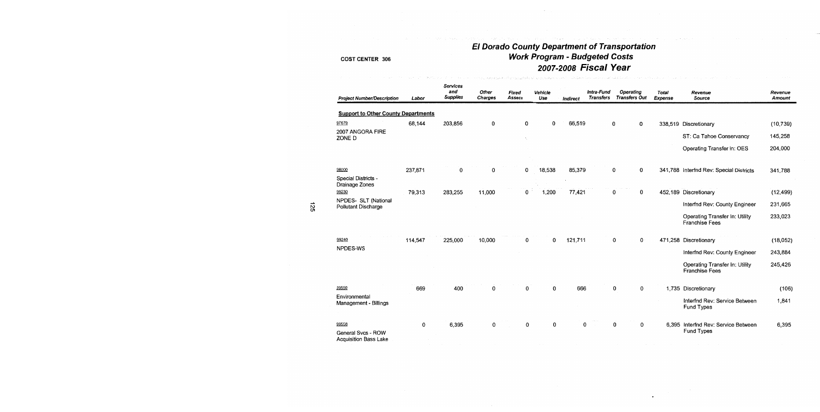# El Dorado County Department of Transportation<br>Work Program - Budgeted Costs<br>2007-2008 Fiscal Year

.<br>พ.ศ. 2014 - มีนาคม พบสัมภายาย (1980) - 1980 มีเคราะ มีนาค

#### COST CENTER 306

| <b>Project Number/Description</b>           | Labor   | Services<br>and<br><b>Supplies</b> | Other<br>Charges | Fixed<br><b>Assets</b> | Vehicle<br>Use | Indirect | Intra-Fund<br><b>Transfers</b> | Operating<br><b>Transfers Out</b> | <b>Total</b><br>Expense | Revenue<br>Source                                       | Revenue<br>Amount |
|---------------------------------------------|---------|------------------------------------|------------------|------------------------|----------------|----------|--------------------------------|-----------------------------------|-------------------------|---------------------------------------------------------|-------------------|
| <b>Support to Other County Departments</b>  |         |                                    |                  |                        |                |          |                                |                                   |                         |                                                         |                   |
| 97679                                       | 68,144  | 203,856                            | 0                | 0                      | 0              | 66,519   |                                | 0<br>0                            |                         | 338,519 Discretionary                                   | (10, 739)         |
| 2007 ANGORA FIRE<br>ZONE D                  |         |                                    |                  | ٠.                     |                |          |                                |                                   |                         | ST: Ca Tahoe Conservancy                                | 145,258           |
|                                             |         |                                    |                  |                        |                |          |                                |                                   |                         | Operating Transfer in: OES                              | 204,000           |
| 98000                                       | 237,871 | 0                                  | 0                | 0                      | 18,538         | 85,379   |                                | 0<br>0                            |                         | 341,788 Interfnd Rev: Special Districts                 | 341,788           |
| Special Districts -<br>Drainage Zones       |         |                                    |                  |                        |                |          |                                |                                   |                         |                                                         |                   |
| 99230                                       | 79,313  | 283,255                            | 11,000           | 0                      | 1,200          | 77,421   |                                | 0<br>0                            |                         | 452,189 Discretionary                                   | (12, 499)         |
| NPDES- SLT (National<br>Pollutant Discharge |         |                                    |                  |                        |                |          |                                |                                   |                         | Interfnd Rev: County Engineer                           | 231,665           |
|                                             |         |                                    |                  |                        |                |          |                                |                                   |                         | Operating Transfer In: Utility<br><b>Franchise Fees</b> | 233,023           |
| 99240                                       | 114,547 | 225,000                            | 10,000           | 0                      | 0              | 121,711  |                                | 0<br>0                            |                         | 471,258 Discretionary                                   | (18,052)          |
| NPDES-WS                                    |         |                                    |                  |                        |                |          |                                |                                   |                         | Interfnd Rev: County Engineer                           | 243,884           |
|                                             |         |                                    |                  |                        |                |          |                                |                                   |                         | Operating Transfer In: Utility<br><b>Franchise Fees</b> | 245,426           |
| 99550                                       | 669     | 400                                | 0                | 0                      | 0              | 666      |                                | 0<br>0                            |                         | 1,735 Discretionary                                     | (106)             |
| Environmental<br>Management - Billings      |         |                                    |                  |                        |                |          |                                |                                   |                         | Interfnd Rev: Service Between<br>Fund Types             | 1,841             |
| 99558                                       | 0       | 6,395                              | 0                | 0                      | 0              | 0        |                                | 0<br>$\mathbf 0$                  |                         | 6,395 Interfnd Rev: Service Between<br>Fund Types       | 6,395             |
| General Svcs - ROW<br>Acquisition Rass Lake |         |                                    |                  |                        |                |          |                                |                                   |                         |                                                         |                   |

 $\sim$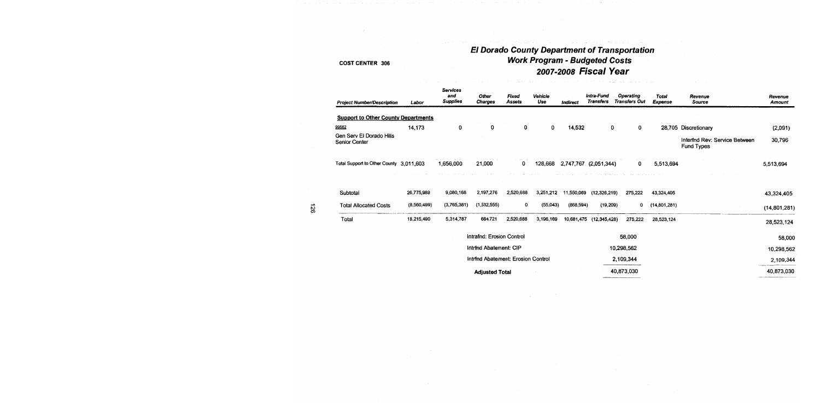# El Dorado County Department of Transportation<br>Work Program - Budgeted Costs<br>2007-2008 Fiscal Year

#### **COST CENTER 306**

| <b>Project Number/Description</b>                | Labor       | <b>Services</b><br>and<br><b>Supplies</b> | <b>Other</b><br><b>Charges</b>     | <b>Fixed</b><br><b>Assets</b> | Vehicle<br>Use | Indirect  | Intra-Fund<br><b>Transfers</b> | Operating<br><b>Transfers Out</b> | <b>Total</b><br><b>Expense</b> | Revenue<br><b>Source</b>                           | Revenue<br><b>Amount</b> |
|--------------------------------------------------|-------------|-------------------------------------------|------------------------------------|-------------------------------|----------------|-----------|--------------------------------|-----------------------------------|--------------------------------|----------------------------------------------------|--------------------------|
| <b>Support to Other County Departments</b>       |             |                                           |                                    |                               |                |           |                                |                                   |                                |                                                    |                          |
| 99562                                            | 14,173      | 0                                         | $\mathbf{0}$                       | 0                             | 0              | 14,532    | 0                              | $\Omega$                          |                                | 28,705 Discretionary                               | (2,091)                  |
| Gen Serv El Dorado Hills<br><b>Senior Center</b> |             |                                           |                                    |                               |                |           |                                |                                   |                                | Interfnd Rev: Service Between<br><b>Fund Types</b> | 30,796                   |
| Total Support to Other County 3,011,603          |             | 1.656.000                                 | 21,000                             | $\mathbf{0}$                  | 128,668        |           | 2,747,767 (2,051,344)          | $\mathbf{0}$                      | 5,513,694                      |                                                    | 5,513,694                |
| Subtotai                                         | 26,775,989  | 9,080,168                                 | 2,197,276                          | 2,520,688                     | 3,251,212      |           | 11,550,069 (12,326,219)        | 275,222                           | 43,324,405                     |                                                    | 43,324,405               |
| <b>Total Allocated Costs</b>                     | (8,560.499) | (3,765,381)                               | (1,532,555)                        | 0                             | (55,043)       | (868,594) | (19, 209)                      | 0                                 | (14,801,281)                   |                                                    | (14, 801, 281)           |
| Total                                            | 18,215,490  | 5,314,787                                 | 664,721                            | 2,520,688                     | 3,196,169      |           | 10,681,475 (12,345,428)        | 275,222                           | 28,523,124                     |                                                    | 28,523,124               |
|                                                  |             |                                           | Intrafnd: Erosion Control          |                               |                |           |                                | 58,000                            |                                |                                                    | 58,000                   |
|                                                  |             |                                           | Intrind Abatement: CIP             |                               |                |           |                                | 10,298,562                        |                                |                                                    | 10,298,562               |
|                                                  |             |                                           | Intrind Abatement: Erosion Control |                               |                |           |                                | 2,109,344                         |                                |                                                    | 2,109,344                |
|                                                  |             |                                           | <b>Adjusted Total</b>              |                               |                |           |                                | 40,873,030                        |                                |                                                    | 40,873,030               |

 $\mathcal{F}^{\mathcal{F}}$ 

 $\sim$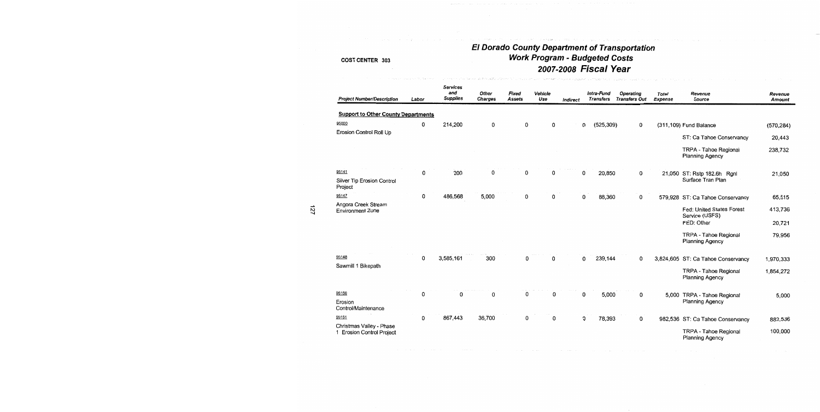# El Dorado County Department of Transportation<br>Work Program - Budgeted Costs 2007-2008 Fiscal Year

.<br>Personal del succesió de la propia de la contra

| <b>Project Number/Description</b>                     | Labor | <b>Services</b><br>and<br><b>Supplies</b> | Other<br><b>Charges</b> | Fixed<br><b>Assets</b> | Vehicle<br>Use | <b>Indirect</b> | Intra-Fund<br><b>Transfers</b> | <b>Operating</b><br><b>Transfers Out</b> | <b>Total</b><br><b>Expense</b> | Revenue<br>Source                                         | Revenue<br><b>Amount</b> |
|-------------------------------------------------------|-------|-------------------------------------------|-------------------------|------------------------|----------------|-----------------|--------------------------------|------------------------------------------|--------------------------------|-----------------------------------------------------------|--------------------------|
| <b>Support to Other County Departments</b>            |       |                                           |                         |                        |                |                 |                                |                                          |                                |                                                           |                          |
| 95000                                                 | 0     | 214,200                                   | 0                       | 0                      | 0              |                 | 0<br>(525, 309)                | 0                                        |                                | (311,109) Fund Balance                                    | (570, 284)               |
| Erosion Control Roll Up                               |       |                                           |                         |                        |                |                 |                                |                                          |                                | ST: Ca Tahoe Conservancy                                  | 20,443                   |
|                                                       |       |                                           |                         |                        |                |                 |                                |                                          |                                | <b>TRPA - Tahoe Regional</b><br><b>Planning Agency</b>    | 238,732                  |
| 95141                                                 | 0     | 200                                       | 0                       | 0                      | 0              |                 | 0<br>20,850                    | 0                                        |                                | 21,050 ST: Rstp 182.6h Rgnl                               | 21,050                   |
| Silver Tip Erosion Control<br>Project                 |       |                                           |                         |                        |                |                 |                                |                                          |                                | Surface Tran Plan                                         |                          |
| 95147                                                 | 0     | 486,568                                   | 5,000                   | 0                      | 0              |                 | 0<br>88,360                    | 0                                        | 579,928                        | ST: Ca Tahoe Conservancy                                  | 65,515                   |
| Angora Creek Stream<br><b>Environment Zone</b>        |       |                                           |                         |                        |                |                 |                                |                                          |                                | Fed: United States Forest<br>Service (USFS)<br>FED: Other | 413,736<br>20,721        |
|                                                       |       |                                           |                         |                        |                |                 |                                |                                          |                                |                                                           |                          |
|                                                       |       |                                           |                         |                        |                |                 |                                |                                          |                                | TRPA - Tahoe Regional<br><b>Planning Agency</b>           | 79,956                   |
| 95148                                                 | 0     | 3,585,161                                 | 300                     | 0                      | 0              |                 | 0<br>239,144                   | 0                                        | 3,824,605                      | ST: Ca Tahoe Conservancy                                  | 1,970,333                |
| Sawmill 1 Bikepath                                    |       |                                           |                         |                        |                |                 |                                |                                          |                                | <b>TRPA - Tahoe Regional</b><br><b>Planning Agency</b>    | 1,854,272                |
| 95150                                                 | 0     | 0                                         | 0                       | 0                      | 0              |                 | 0<br>5,000                     | 0                                        | 5,000                          | <b>TRPA - Tahoe Regional</b>                              | 5,000                    |
| Erosion<br>Control/Maintenance                        |       |                                           |                         |                        |                |                 |                                |                                          |                                | Planning Agency                                           |                          |
| 95151                                                 | 0     | 867,443                                   | 36,700                  | 0                      | 0              |                 | 0<br>78,393                    | 0                                        |                                | 982,536 ST: Ca Tahoe Conservancy                          | 882,536                  |
| Christmas Valley - Phase<br>1 Erosion Control Project |       |                                           |                         |                        |                |                 |                                |                                          |                                | TRPA - Tahoe Regional<br><b>Planning Agency</b>           | 100,000                  |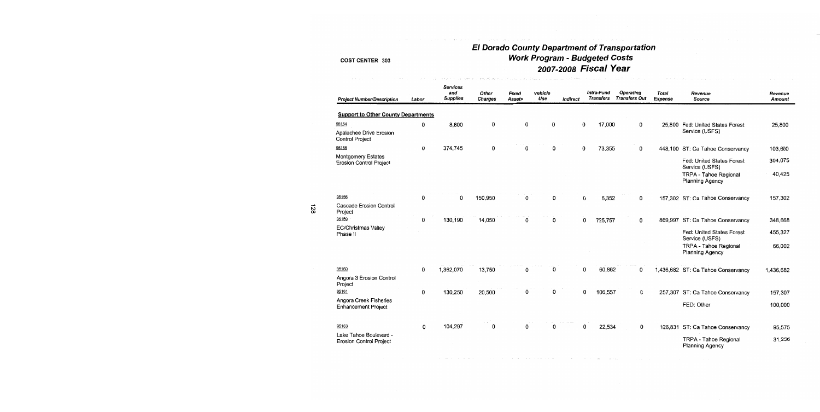## **El Dorado County Department of Transportation** Work Program - Budgeted Costs 2007-2008 Fiscal Year

| <b>Project Number/Description</b>                        | Labor | Services<br>and<br><b>Supplies</b> | Other<br><b>Charges</b> | Fixed<br><b>Assets</b> | Vehicle<br>Use | Indirect |             | Intra-Fund<br><b>Transfers</b> | Operating<br><b>Transfers Out</b> | <b>Total</b><br>Expense | Revenue<br>Source                                                    | Revenue<br>Amount |
|----------------------------------------------------------|-------|------------------------------------|-------------------------|------------------------|----------------|----------|-------------|--------------------------------|-----------------------------------|-------------------------|----------------------------------------------------------------------|-------------------|
| <b>Support to Other County Departments</b>               |       |                                    |                         |                        |                |          |             |                                |                                   |                         |                                                                      |                   |
| 95154                                                    | 0     | 8,800                              | 0                       | 0                      | 0              |          | $\mathbf 0$ | 17,000                         | $\mathbf 0$                       |                         | 25,800 Fed: United States Forest                                     | 25,800            |
| Apalachee Drive Erosion<br><b>Control Project</b>        |       |                                    |                         |                        |                |          |             |                                |                                   |                         | Service (USFS)                                                       |                   |
| 95155                                                    | 0     | 374,745                            | 0                       | 0                      | 0              |          | 0           | 73,355                         | 0                                 |                         | 448,100 ST: Ca Tahoe Conservancy                                     | 103,600           |
| Montgomery Estates<br><b>Erosion Control Project</b>     |       |                                    |                         |                        |                |          |             |                                |                                   |                         | Fed: United States Forest<br>Service (USFS)<br>TRPA - Tahoe Regional | 304,075<br>40,425 |
|                                                          |       |                                    |                         |                        |                |          |             |                                |                                   |                         | Planning Agency                                                      |                   |
| 95156                                                    | 0     | 0                                  | 150,950                 | 0                      | 0              |          | 0           | 6,352                          | 0                                 |                         | 157,302 ST: Ca Tahoe Conservancy                                     | 157,302           |
| Cascade Erosion Control<br>Project                       |       |                                    |                         |                        |                |          |             |                                |                                   |                         |                                                                      |                   |
| 95159                                                    | 0     | 130,190                            | 14,050                  | 0                      | 0              |          | 0           | 725,757                        | 0                                 |                         | 869,997 ST: Ca Tahoe Conservancy                                     | 348,668           |
| EC/Christmas Valley<br>Phase II                          |       |                                    |                         |                        |                |          |             |                                |                                   |                         | Fed: United States Forest<br>Service (USFS)                          | 455,327           |
|                                                          |       |                                    |                         |                        |                |          |             |                                |                                   |                         | TRPA - Tahoe Regional<br><b>Planning Agency</b>                      | 66,002            |
| 95160                                                    | 0     | 1,362,070                          | 13,750                  | 0                      | 0              |          | 0           | 60,862                         | 0                                 |                         | 1,436,682 ST: Ca Tahoe Conservancy                                   | 1,436,682         |
| Angora 3 Erosion Control<br>Project                      |       |                                    |                         |                        |                |          |             |                                |                                   |                         |                                                                      |                   |
| 95161                                                    | 0     | 130,250                            | 20,500                  | 0                      | 0              |          | 0           | 106,557                        | 0                                 |                         | 257,307 ST: Ca Tahoe Conservancy                                     | 157,307           |
| Angora Creek Fisheries<br>Enhancement Project            |       |                                    |                         |                        |                |          |             |                                |                                   |                         | FED: Other                                                           | 100,000           |
| 95163                                                    | 0     | 104,297                            | 0                       | 0                      | 0              |          | 0           | 22,534                         | 0                                 |                         | 126,831 ST: Ca Tahoe Conservancy                                     | 95,575            |
| Lake Tahoe Boulevard -<br><b>Erosion Control Project</b> |       |                                    |                         |                        |                |          |             |                                |                                   |                         | TRPA - Tahoe Regional<br><b>Planning Agency</b>                      | 31,256            |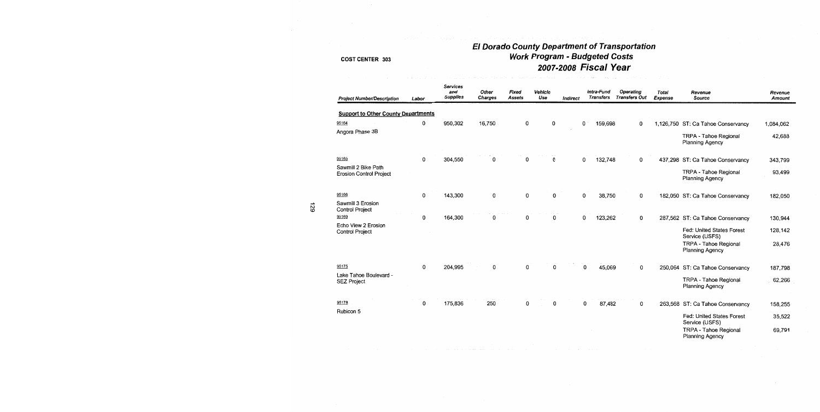# El Dorado County Department of Transportation<br>Work Program - Budgeted Costs<br>2007-2008 Fiscal Year

| <b>Project Number/Description</b>                     | Labor | Services<br>and<br><b>Supplies</b> | Other<br>Charges | Fixed<br><b>Assets</b> | Vehicle<br>Use | Indirect | Intra-Fund<br><b>Transfers</b> | <b>Operating</b><br><b>Transfers Out</b> | Total<br>Expense | Revenue<br>Source                               | Revenue<br><b>Amount</b> |
|-------------------------------------------------------|-------|------------------------------------|------------------|------------------------|----------------|----------|--------------------------------|------------------------------------------|------------------|-------------------------------------------------|--------------------------|
| <b>Support to Other County Departments</b>            |       |                                    |                  |                        |                |          |                                |                                          |                  |                                                 |                          |
| 95164                                                 | 0     | 950,302                            | 16,750           | 0                      | 0              |          | 0<br>159,698                   | 0                                        |                  | 1,126,750 ST: Ca Tahoe Conservancy              | 1,084,062                |
| Angora Phase 3B                                       |       |                                    |                  |                        |                |          |                                |                                          |                  | <b>TRPA - Tahoe Regional</b><br>Planning Agency | 42,688                   |
| 95165                                                 | 0     | 304,550                            | 0                | 0                      | O              |          | 0<br>132,748                   | 0                                        |                  | 437,298 ST: Ca Tahoe Conservancy                | 343,799                  |
| Sawmill 2 Bike Path<br><b>Erosion Control Project</b> |       |                                    |                  |                        |                |          |                                |                                          |                  | TRPA - Tahoe Regional<br><b>Planning Agency</b> | 93,499                   |
| 95166                                                 | 0     | 143,300                            | 0                | 0                      | 0              |          | 0<br>38,750                    | $\mathbf 0$                              |                  | 182,050 ST: Ca Tahoe Conservancy                | 182,050                  |
| Sawmill 3 Erosion<br><b>Control Project</b>           |       |                                    |                  |                        |                |          |                                |                                          |                  |                                                 |                          |
| 95169                                                 | 0     | 164,300                            | 0                | 0                      | 0              |          | 123,262<br>O                   | 0                                        |                  | 287,562 ST: Ca Tahoe Conservancy                | 130,944                  |
| Echo View 2 Erosion<br><b>Control Project</b>         |       |                                    |                  |                        |                |          |                                |                                          |                  | Fed: United States Forest<br>Service (USFS)     | 128,142                  |
|                                                       |       |                                    |                  |                        |                |          |                                |                                          |                  | TRPA - Tahoe Regional<br><b>Planning Agency</b> | 28,476                   |
| 95175                                                 | 0     | 204,995                            | 0                | O                      | 0              |          | 0<br>45,069                    | 0                                        |                  | 250,064 ST: Ca Tahoe Conservancy                | 187,798                  |
| Lake Tahoe Boulevard -<br><b>SEZ Project</b>          |       |                                    |                  |                        |                |          |                                |                                          |                  | TRPA - Tahoe Regional<br>Planning Agency        | 62,266                   |
| 95178                                                 | 0     | 175,836                            | 250              | 0                      | 0              |          | 0<br>87,482                    | $\mathbf{0}$                             |                  | 263,568 ST: Ca Tahoe Conservancy                | 158,255                  |
| Rubicon 5                                             |       |                                    |                  |                        |                |          |                                |                                          |                  | Fed: United States Forest<br>Service (USFS)     | 35,522                   |
|                                                       |       |                                    |                  |                        |                |          |                                |                                          |                  | TRPA - Tahoe Regional<br>Planning Agency        | 69,791                   |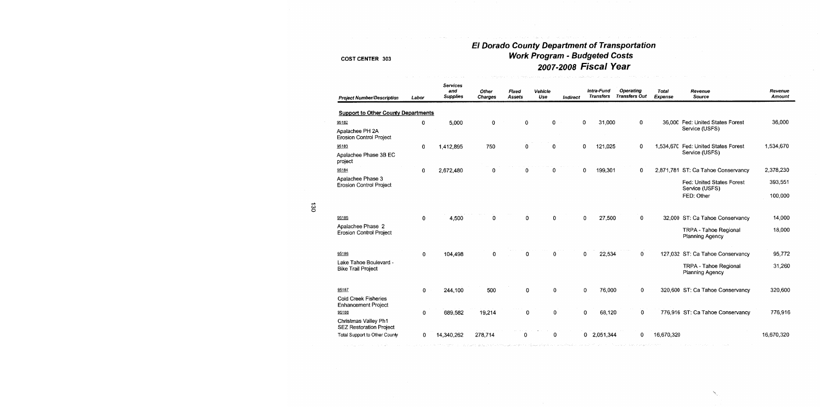# El Dorado County Department of Transportation<br>Work Program - Budgeted Costs 2007-2008 Fiscal Year

#### **COST CENTER 303**

| <b>Project Number/Description</b>                         | Labor        | <b>Services</b><br>and<br><b>Supplies</b> | Other<br><b>Charges</b> | <b>Fixed</b><br><b>Assets</b> | Vehicle<br>Use | Indirect | Intra-Fund<br><b>Transfers</b> | <b>Operating</b><br><b>Transfers Out</b> | <b>Total</b><br>Expense | Revenue<br><b>Source</b>                        | Revenue<br><b>Amount</b> |
|-----------------------------------------------------------|--------------|-------------------------------------------|-------------------------|-------------------------------|----------------|----------|--------------------------------|------------------------------------------|-------------------------|-------------------------------------------------|--------------------------|
| <b>Support to Other County Departments</b>                |              |                                           |                         |                               |                |          |                                |                                          |                         |                                                 |                          |
| 95182                                                     | 0            | 5,000                                     | 0                       | 0                             | 0              |          | 31,000<br>0                    | 0                                        |                         | 36.000 Fed: United States Forest                | 36,000                   |
| Apalachee PH 2A<br><b>Erosion Control Project</b>         |              |                                           |                         |                               |                |          |                                |                                          |                         | Service (USFS)                                  |                          |
| 95183                                                     | 0            | 1,412,895                                 | 750                     | 0                             | 0              |          | 0<br>121,025                   | 0                                        | 1,534,670               | Fed: United States Forest                       | 1.534,670                |
| Apalachee Phase 3B EC<br>project                          |              |                                           |                         |                               |                |          |                                |                                          |                         | Service (USFS)                                  |                          |
| 95184                                                     | 0            | 2,672,480                                 | 0                       | 0                             | 0              |          | 199,301<br>0                   | 0                                        |                         | 2,871,781 ST: Ca Tahoe Conservancy              | 2,378,230                |
| Apalachee Phase 3<br>Erosion Control Project              |              |                                           |                         |                               |                |          |                                |                                          |                         | Fed: United States Forest<br>Service (USFS)     | 393,551                  |
|                                                           |              |                                           |                         |                               |                |          |                                |                                          |                         | FED: Other                                      | 100,000                  |
| 95185                                                     | $\mathbf{0}$ | 4,500                                     | 0                       | 0                             | $\mathbf 0$    |          | 27,500<br>$\mathbf 0$          | $\mathbf 0$                              |                         | 32,000 ST: Ca Tahoe Conservancy                 | 14,000                   |
| Apalachee Phase 2<br><b>Erosion Control Project</b>       |              |                                           |                         |                               |                |          |                                |                                          |                         | TRPA - Tahoe Regional<br>Planning Agency        | 18,000                   |
| 95186                                                     | 0            | 104,498                                   | $\Omega$                | 0                             | 0              |          | 22,534<br>0                    | $\mathbf{0}$                             |                         | 127,032 ST: Ca Tahoe Conservancy                | 95,772                   |
| Lake Tahoe Boulevard -<br><b>Bike Trail Project</b>       |              |                                           |                         |                               |                |          |                                |                                          |                         | <b>TRPA - Tahoe Regional</b><br>Planning Agency | 31,260                   |
| 95187                                                     | 0            | 244,100                                   | 500                     | 0                             | 0              |          | 0<br>76,000                    | 0                                        |                         | 320,600 ST: Ca Tahoe Conservancy                | 320,600                  |
| <b>Cold Creek Fisheries</b><br><b>Enhancement Project</b> |              |                                           |                         |                               |                |          |                                |                                          |                         |                                                 |                          |
| 95188                                                     | 0            | 689,582                                   | 19,214                  | 0                             | 0              |          | 0<br>68,120                    | 0                                        |                         | 776,916 ST: Ca Tahoe Conservancy                | 776,916                  |
| Christmas Valley Ph1<br><b>SEZ Restoration Project</b>    |              |                                           |                         |                               |                |          |                                |                                          |                         |                                                 |                          |
| Total Support to Other County                             | 0            | 14,340,262                                | 278,714                 | 0                             | 0              |          | 0 2,051,344                    | 0                                        | 16,670.320              |                                                 | 16,670,320               |

130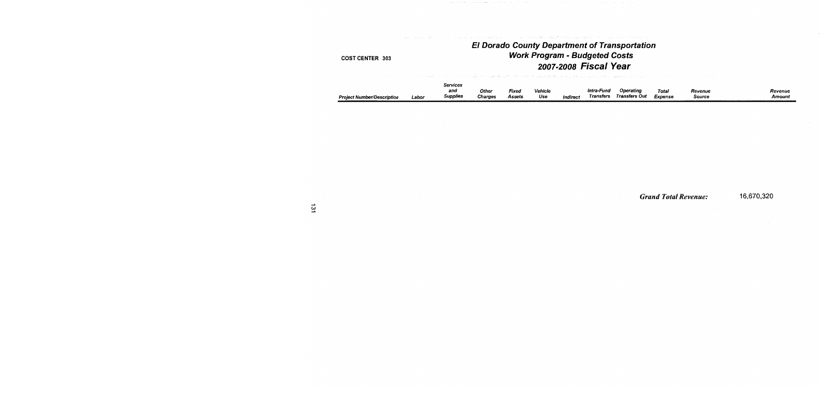### **El Dorado County Department of Transportation Work Program - Budgeted Costs** 2007-2008 Fiscal Year .<br>Ta hara 1945 - Tana 200, a wakilia wake katika mwaka 1990 wa kutoka 1990 Alifornia mwaka 1990 alikuwa mwaka wa

na postava i vista fi

designed to analyze the most company

| <b>Project Number/Description</b><br>Labor | Services<br>and<br>Supplies | Other<br><b>Charges</b> | Fixed<br>Assets | <b>Vehicle</b><br>Use | Indirect | Intra-Fund<br>Transfers | Operating<br>Transfers Out | Total<br>Expense | Revenue<br><b>Source</b> | Revenue<br>Amount |
|--------------------------------------------|-----------------------------|-------------------------|-----------------|-----------------------|----------|-------------------------|----------------------------|------------------|--------------------------|-------------------|
|--------------------------------------------|-----------------------------|-------------------------|-----------------|-----------------------|----------|-------------------------|----------------------------|------------------|--------------------------|-------------------|

**Grand Total Revenue:** 

16,670,320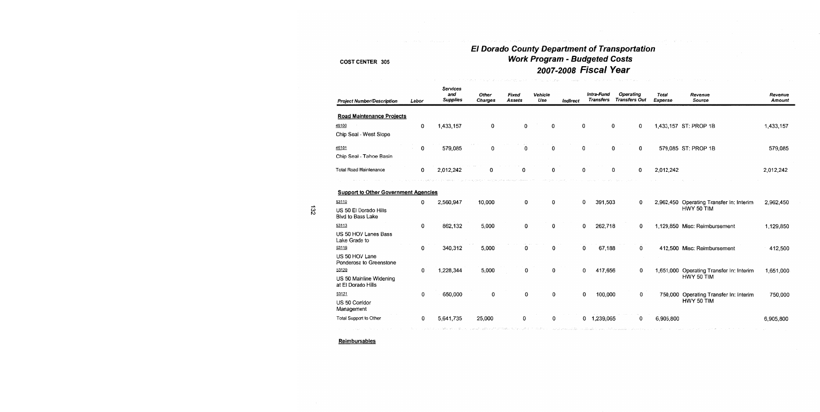### **El Dorado County Department of Transportation** Work Program - Budgeted Costs 2007-2008 Fiscal Year

| <b>Project Number/Description</b>             | Labor | Services<br>and<br><b>Supplies</b> | <b>Other</b><br><b>Charges</b> | Fixed<br><b>Assets</b> | Vehicle<br>Use | Indirect |   | Intra-Fund<br><b>Transfers</b> | Operating<br><b>Transfers Out</b> | <b>Total</b><br><b>Expense</b> | Revenue<br><b>Source</b>                 | Revenue<br>Amount |
|-----------------------------------------------|-------|------------------------------------|--------------------------------|------------------------|----------------|----------|---|--------------------------------|-----------------------------------|--------------------------------|------------------------------------------|-------------------|
| <b>Road Maintenance Projects</b>              |       |                                    |                                |                        |                |          |   |                                |                                   |                                |                                          |                   |
| 46100                                         | 0     | 1,433,157                          | 0                              | $\mathbf 0$            | 0              |          | 0 | 0                              | 0                                 |                                | 1,433,157 ST: PROP 1B                    | 1,433,157         |
| Chip Seal - West Slope                        |       |                                    |                                |                        |                |          |   |                                |                                   |                                |                                          |                   |
| 46101                                         | 0     | 579,085                            | 0                              | 0                      | 0              |          | 0 | 0                              | 0                                 |                                | 579,085 ST: PROP 1B                      | 579,085           |
| Chip Seal - Tahoe Basin                       |       |                                    |                                |                        |                |          |   |                                |                                   |                                |                                          |                   |
| <b>Total Road Maintenance</b>                 | 0     | 2,012,242                          |                                |                        | 0              |          | o | 0                              | 0                                 | 2,012,242                      |                                          | 2,012,242         |
| <b>Support to Other Government Agencies</b>   |       |                                    |                                |                        |                |          |   |                                |                                   |                                |                                          |                   |
| 53110                                         | 0     | 2,560,947                          | 10,000                         | 0                      | 0              |          | 0 | 391,503                        | 0                                 |                                | 2,962,450 Operating Transfer In: Interim | 2,962,450         |
| US 50 El Dorado Hills<br>Blvd to Bass Lake    |       |                                    |                                |                        |                |          |   |                                |                                   |                                | HWY 50 TIM                               |                   |
| 53113                                         | 0     | 862,132                            | 5,000                          | 0                      | 0              |          | 0 | 262,718                        | 0                                 |                                | 1,129,850 Misc: Reimbursement            | 1,129,850         |
| US 50 HOV Lanes Bass<br>Lake Grade to         |       |                                    |                                |                        |                |          |   |                                |                                   |                                |                                          |                   |
| 53116                                         | 0     | 340,312                            | 5,000                          | 0                      | 0              |          | 0 | 67,188                         | 0                                 |                                | 412,500 Misc: Reimbursement              | 412,500           |
| US 50 HOV Lane<br>Ponderosa to Greenstone     |       |                                    |                                |                        |                |          |   |                                |                                   |                                |                                          |                   |
| 53120                                         | 0     | 1,228,344                          | 5,000                          | 0                      | 0              |          | 0 | 417,656                        | 0                                 | 1,651,000                      | Operating Transfer In: Interim           | 1,651,000         |
| US 50 Mainline Widening<br>at El Dorado Hills |       |                                    |                                |                        |                |          |   |                                |                                   |                                | HWY 50 TIM                               |                   |
| 53121                                         | 0     | 650,000                            | 0                              | 0                      | 0              |          | 0 | 100,000                        | 0                                 |                                | 750,000 Operating Transfer In: Interim   | 750,000           |
| US 50 Corridor<br>Management                  |       |                                    |                                |                        |                |          |   |                                |                                   |                                | HWY 50 TIM                               |                   |
| Total Support to Other                        | 0     | 5,641,735                          | 25,000                         | 0                      | 0              |          |   | 0 1,239,065                    | 0                                 | 6,905,800                      |                                          | 6,905,800         |
|                                               |       |                                    |                                |                        |                |          |   |                                |                                   |                                |                                          |                   |

Reimbursables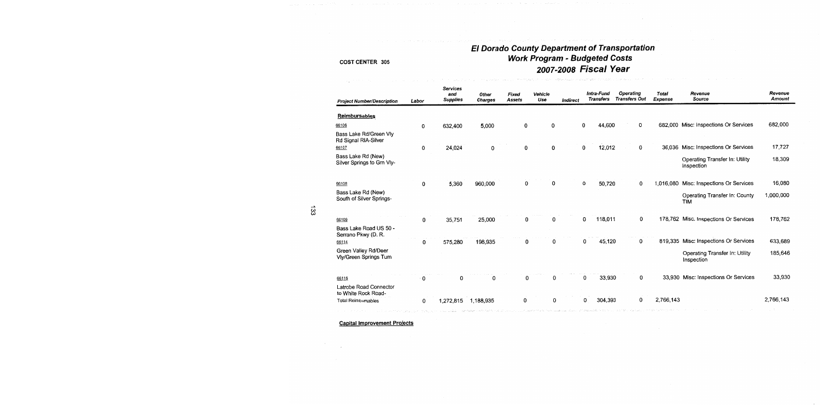# El Dorado County Department of Transportation<br>Work Program - Budgeted Costs 2007-2008 Fiscal Year

| <b>Project Number/Description</b>                | Labor | <b>Services</b><br>and<br><b>Supplies</b> | Other<br><b>Charges</b> | Fixed<br>Assets | Vehicle<br>Use | Indirect |   | Intra-Fund<br><b>Transfers</b> | <b>Operating</b><br><b>Transfers Out</b> | Total<br><b>Expense</b> | Revenue<br>Source                            | Revenue<br>Amount |
|--------------------------------------------------|-------|-------------------------------------------|-------------------------|-----------------|----------------|----------|---|--------------------------------|------------------------------------------|-------------------------|----------------------------------------------|-------------------|
| <b>Reimbursables</b>                             |       |                                           |                         |                 |                |          |   |                                |                                          |                         |                                              |                   |
|                                                  |       |                                           |                         |                 |                |          |   |                                | O                                        |                         |                                              | 682,000           |
| 66106                                            | 0     | 632,400                                   | 5,000                   | 0               | 0              |          | 0 | 44,600                         |                                          |                         | 682,000 Misc: Inspections Or Services        |                   |
| Bass Lake Rd/Green Vly<br>Rd Signal RIA-Silver   |       |                                           |                         |                 |                |          |   |                                |                                          |                         |                                              |                   |
| 66107                                            | 0     | 24,024                                    | 0                       | 0               | 0              |          | 0 | 12,012                         | 0                                        | 36,036                  | Misc: Inspections Or Services                | 17,727            |
| Bass Lake Rd (New)<br>Silver Springs to Grn Vly- |       |                                           |                         |                 |                |          |   |                                |                                          |                         | Operating Transfer In: Utility<br>Inspection | 18,309            |
| 66108                                            | 0     | 5,360                                     | 960,000                 | 0               | 0              |          | 0 | 50,720                         | 0                                        | 1,016,080               | Misc: Inspections Or Services                | 16,080            |
| Bass Lake Rd (New)<br>South of Silver Springs-   |       |                                           |                         |                 |                |          |   |                                |                                          |                         | Operating Transfer In: County<br><b>TIM</b>  | 1,000,000         |
| 66109                                            | 0     | 35,751                                    | 25,000                  | 0               | 0              |          | 0 | 118,011                        | 0                                        |                         | 178,762 Misc: Inspections Or Services        | 178,762           |
| Bass Lake Road US 50 -<br>Serrano Pkwy (D. R.    |       |                                           |                         |                 |                |          |   |                                |                                          |                         |                                              |                   |
| 66114                                            | 0     | 575,280                                   | 198,935                 | 0               | 0              |          | 0 | 45,120                         | 0                                        |                         | 819,335 Misc: Inspections Or Services        | 633,689           |
| Green Valley Rd/Deer<br>Vly/Green Springs Turn   |       |                                           |                         |                 |                |          |   |                                |                                          |                         | Operating Transfer In: Utility<br>Inspection | 185,646           |
| 66116                                            | 0     | 0                                         | 0                       | 0               | 0              |          | 0 | 33,930                         | 0                                        |                         | 33,930 Misc: Inspections Or Services         | 33,930            |
| Latrobe Road Connector<br>to White Rock Road-    |       |                                           |                         |                 |                |          |   |                                |                                          |                         |                                              |                   |
| <b>Total Reimbursables</b>                       | 0     | 1,272,815                                 | 1,188,935               | 0               | 0              |          | 0 | 304,393                        | 0                                        | 2,766.143               |                                              | 2,766,143         |
|                                                  |       |                                           |                         |                 |                |          |   |                                |                                          |                         |                                              |                   |

**Capital Improvement Projects**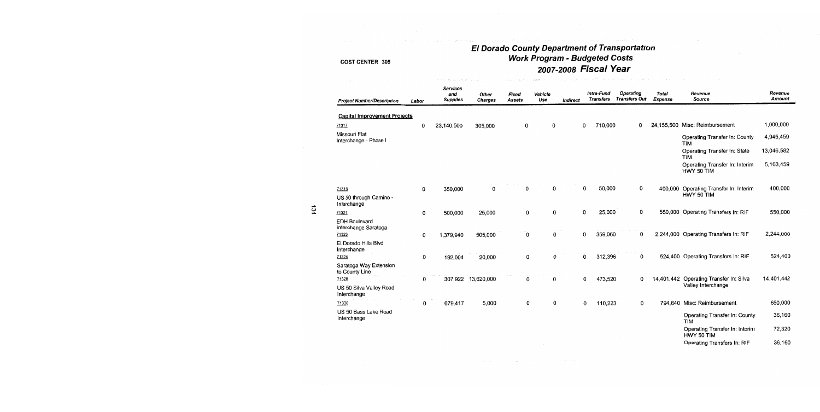# El Dorado County Department of Transportation<br>Work Program - Budgeted Costs 2007-2008 Fiscal Year

#### **COST CENTER 305**

| <b>Project Number/Description</b>            | Labor | <b>Services</b><br>and<br><b>Supplies</b> | Other<br><b>Charges</b> | Fixed<br><b>Assets</b> | Vehicle<br>Use | Indirect | Intra-Fund<br><b>Transfers</b> | Operating<br><b>Transfers Out</b> |   | Total<br><b>Expense</b> | Revenue<br><b>Source</b>                     | Revenue<br><b>Amount</b> |
|----------------------------------------------|-------|-------------------------------------------|-------------------------|------------------------|----------------|----------|--------------------------------|-----------------------------------|---|-------------------------|----------------------------------------------|--------------------------|
| <b>Capital Improvement Projects</b>          |       |                                           |                         |                        |                |          |                                |                                   |   |                         |                                              |                          |
| 71317                                        | 0     | 23,140,500                                | 305,000                 | 0                      | 0              |          | 0                              | 710,000                           | 0 | 24,155,500              | Misc: Reimbursement                          | 1,000,000                |
| Missouri Flat<br>Interchange - Phase I       |       |                                           |                         |                        |                |          |                                |                                   |   |                         | Operating Transfer In: County<br><b>TIM</b>  | 4,945,459                |
|                                              |       |                                           |                         |                        |                |          |                                |                                   |   |                         | Operating Transfer In: State<br><b>TIM</b>   | 13,046,582               |
|                                              |       |                                           |                         |                        |                |          |                                |                                   |   |                         | Operating Transfer In: Interim<br>HWY 50 TIM | 5,163,459                |
| 71319                                        | 0     | 350,000                                   | 0                       | 0                      | 0              |          | 0                              | 50,000                            | 0 | 400,000                 | Operating Transfer In: Interim               | 400,000                  |
| US 50 through Camino -<br>Interchange        |       |                                           |                         |                        |                |          |                                |                                   |   |                         | HWY 50 TIM                                   |                          |
| 71321                                        | 0     | 500,000                                   | 25,000                  | 0                      | 0              |          | 0                              | 25,000                            | 0 |                         | 550,000 Operating Transfers In: RIF          | 550,000                  |
| <b>EDH Boulevard</b><br>Interchange Saratoga |       |                                           |                         |                        |                |          |                                |                                   |   |                         |                                              |                          |
| 71323                                        | 0     | 1,379,940                                 | 505,000                 | 0                      | 0              |          | 0                              | 359,060                           | 0 |                         | 2,244,000 Operating Transfers In: RIF        | 2,244,000                |
| El Dorado Hills Blvd<br>Interchange          |       |                                           |                         |                        |                |          |                                |                                   |   |                         |                                              |                          |
| 71324                                        | 0     | 192,004                                   | 20,000                  | 0                      | $\bf{0}$       |          | 0                              | 312,396                           | 0 |                         | 524,400 Operating Transfers In: RIF          | 524,400                  |
| Saratoga Way Extension<br>to County Line     |       |                                           |                         |                        |                |          |                                |                                   |   |                         |                                              |                          |
| 71328                                        | 0     |                                           | 307,922 13,620,000      | 0                      | 0              |          | 0                              | 473,520                           | 0 |                         | 14,401,442 Operating Transfer In: Silva      | 14,401,442               |
| US 50 Silva Valley Road<br>Interchange       |       |                                           |                         |                        |                |          |                                |                                   |   |                         | Valley Interchange                           |                          |
| 71330                                        | 0     | 679,417                                   | 5,000                   | 0                      | 0              |          | 0                              | 110,223                           | 0 |                         | 794,640 Misc: Reimbursement                  | 650,000                  |
| US 50 Bass Lake Road<br>Interchange          |       |                                           |                         |                        |                |          |                                |                                   |   |                         | Operating Transfer In: County<br><b>TIM</b>  | 36,160                   |
|                                              |       |                                           |                         |                        |                |          |                                |                                   |   |                         | Operating Transfer In: Interim<br>HWY 50 TIM | 72,320                   |

Operating Transfers In: RIF

36,160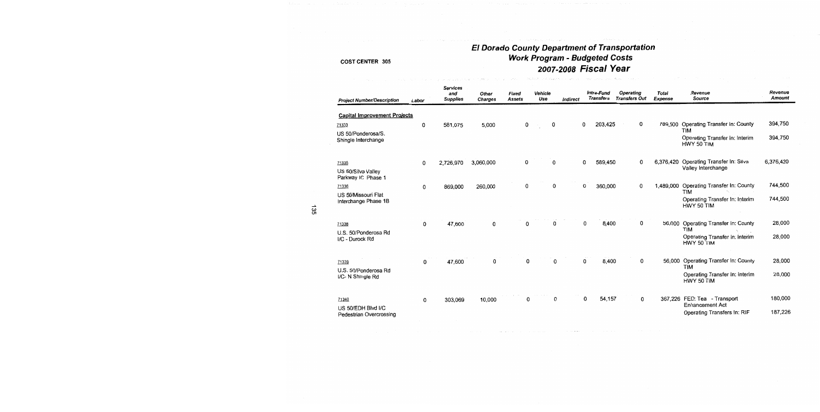# El Dorado County Department of Transportation<br>Work Program - Budgeted Costs 2007-2008 Fiscal Year

| <b>Project Number/Description</b>             | Labor | <b>Services</b><br>and<br><b>Supplies</b> | Other<br><b>Charges</b> | Fixed<br>Assets | Vehicle<br>Use |   | Indirect | Intra-Fund<br><b>Transfers</b> |         | Operating<br><b>Transfers Out</b> | <b>Total</b><br>Expense | Revenue<br>Source                                          | Revenue<br>Amount |
|-----------------------------------------------|-------|-------------------------------------------|-------------------------|-----------------|----------------|---|----------|--------------------------------|---------|-----------------------------------|-------------------------|------------------------------------------------------------|-------------------|
| <b>Capital Improvement Projects</b>           |       |                                           |                         |                 |                |   |          |                                |         |                                   |                         |                                                            |                   |
| 71333                                         | 0     | 581,075                                   | 5,000                   | 0               | $\sim$         | 0 |          | 0                              | 203,425 | 0                                 | 789,500                 | Operating Transfer In: County                              | 394,750           |
| US 50/Ponderosa/S.<br>Shingle Interchange     |       |                                           |                         |                 |                |   |          |                                |         |                                   |                         | TIM<br>Operating Transfer In: Interim<br>HWY 50 TIM        | 394,750           |
| 71335                                         | 0     | 2,726,970                                 | 3,060,000               | 0               |                | 0 |          | 0                              | 589,450 | 0                                 | 6,376,420               | Operating Transfer In: Silva                               | 6,376,420         |
| US 50/Silva Valley<br>Parkway IC Phase 1      |       |                                           |                         |                 |                |   |          |                                |         |                                   |                         | Valley Interchange                                         |                   |
| 71336                                         | 0     | 869,000                                   | 260,000                 | 0               |                | 0 |          | 0                              | 360,000 | $\Omega$                          | 1,489,000               | Operating Transfer In: County                              | 744,500           |
| US 50/Missouri Flat<br>Interchange Phase 1B   |       |                                           |                         |                 |                |   |          |                                |         |                                   |                         | <b>TIM</b><br>Operating Transfer In: Interim<br>HWY 50 TIM | 744,500           |
| 71338                                         | 0     | 47,600                                    | 0                       | $\Omega$        |                | 0 |          | 0                              | 8,400   | 0                                 | 56,000                  | Operating Transfer In: County<br><b>TIM</b>                | 28,000            |
| U.S. 50/Ponderosa Rd<br>I/C - Durock Rd       |       |                                           |                         |                 |                |   |          |                                |         |                                   |                         | Operating Transfer In: Interim<br>HWY 50 TIM               | 28,000            |
|                                               |       |                                           |                         |                 |                |   |          |                                |         |                                   |                         |                                                            |                   |
| 71339                                         | 0     | 47,600                                    | 0                       | 0               |                | 0 |          | 0                              | 8,400   | 0                                 | 56,000                  | Operating Transfer In: County<br>TIM                       | 28,000            |
| U.S. 50/Ponderosa Rd<br>I/C- N Shingle Rd     |       |                                           |                         |                 |                |   |          |                                |         |                                   |                         | Operating Transfer In: Interim<br>HWY 50 TIM               | 28,000            |
| 71340                                         | 0     | 303,069                                   | 10,000                  | 0               |                | 0 |          | 0                              | 54,157  | 0                                 |                         | 367,226 FED: Tea - Transport<br><b>Enhancement Act</b>     | 180,000           |
| US 50/EDH Blvd I/C<br>Pedestrian Overcrossing |       |                                           |                         |                 |                |   |          |                                |         |                                   |                         | Operating Transfers In: RIF                                | 187,226           |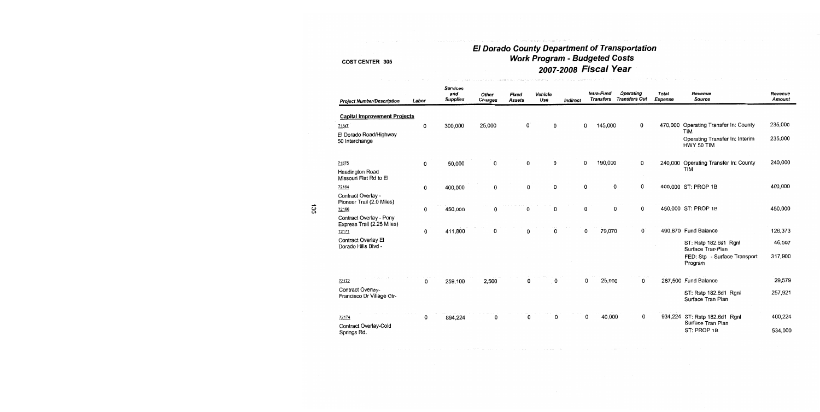## El Dorado County Department of Transportation<br>Work Program - Budgeted Costs 2007-2008 Fiscal Year

الأرافية المستور فالمراس

| <b>Project Number/Description</b>                     | Labor | <b>Services</b><br>and<br><b>Supplies</b> | Other<br><b>Charges</b> | <b>Fixed</b><br><b>Assets</b> | Vehicle<br>Use |   | Indirect |          | Intra-Fund<br>Transfers | <b>Operating</b><br><b>Transfers Out</b> | <b>Total</b><br>Expense | Revenue<br>Source                                          | Revenue<br>Amount |
|-------------------------------------------------------|-------|-------------------------------------------|-------------------------|-------------------------------|----------------|---|----------|----------|-------------------------|------------------------------------------|-------------------------|------------------------------------------------------------|-------------------|
| <b>Capital Improvement Projects</b>                   |       |                                           |                         |                               |                |   |          |          |                         |                                          |                         |                                                            |                   |
| 71347                                                 | 0     | 300,000                                   | 25,000                  |                               | 0              | 0 |          | 0        | 145,000                 | 0                                        | 470,000                 | <b>Operating Transfer In: County</b>                       | 235,000           |
| El Dorado Road/Highway<br>50 Interchange              |       |                                           |                         |                               |                |   |          |          |                         |                                          |                         | <b>TIM</b><br>Operating Transfer In: Interim<br>HWY 50 TIM | 235,000           |
| 71375                                                 | 0     | 50,000                                    | $\Omega$                |                               | $\mathbf 0$    | 0 |          | 0        | 190,000                 | 0                                        | 240,000                 | Operating Transfer In: County                              | 240,000           |
| <b>Headington Road</b><br>Missouri Flat Rd to El      |       |                                           |                         |                               |                |   |          |          |                         |                                          |                         | <b>TIM</b>                                                 |                   |
| 72164                                                 | 0     | 400,000                                   | 0                       |                               | $\Omega$       | 0 |          | $\bf{0}$ | 0                       | 0                                        |                         | 400,000 ST: PROP 1B                                        | 400,000           |
| Contract Overlay -<br>Pioneer Trail (2.0 Miles)       |       |                                           |                         |                               |                |   |          |          |                         |                                          |                         |                                                            |                   |
| 72166                                                 | 0     | 450,000                                   | 0                       |                               | 0              | 0 |          | 0        | 0                       | 0                                        |                         | 450,000 ST: PROP 1B                                        | 450,000           |
| Contract Overlay - Pony<br>Express Trail (2.25 Miles) |       |                                           |                         |                               |                |   |          |          |                         |                                          |                         |                                                            |                   |
| 72171                                                 | 0     | 411,800                                   |                         |                               | 0              | 0 |          | 0        | 79,070                  | $\mathbf{0}$                             |                         | 490,870 Fund Balance                                       | 126,373           |
| <b>Contract Overlay El</b><br>Dorado Hills Blvd -     |       |                                           |                         |                               |                |   |          |          |                         |                                          |                         | ST: Rstp 182.6d1 Rgnl<br>Surface Tran Plan                 | 46,597            |
|                                                       |       |                                           |                         |                               |                |   |          |          |                         |                                          |                         | FED: Stp - Surface Transport<br>Program                    | 317,900           |
| 72172                                                 | 0     | 259,100                                   | 2,500                   |                               | 0              | 0 |          | 0        | 25,900                  | 0                                        | 287,500                 | Fund Balance                                               | 29,579            |
| Contract Overlay-<br>Francisco Dr Village Ctr-        |       |                                           |                         |                               |                |   |          |          |                         |                                          |                         | ST: Rstp 182.6d1 Rgnl<br>Surface Tran Plan                 | 257,921           |
| 72174                                                 | 0     | 894,224                                   | 0                       |                               | 0              | 0 |          | 0        | 40,000                  | 0                                        |                         | 934,224 ST: Rstp 182.6d1 Rgnl                              | 400,224           |
| Contract Overlay-Cold<br>Springs Rd.                  |       |                                           |                         |                               |                |   |          |          |                         |                                          |                         | Surface Tran Plan<br>ST: PROP 1B                           | 534,000           |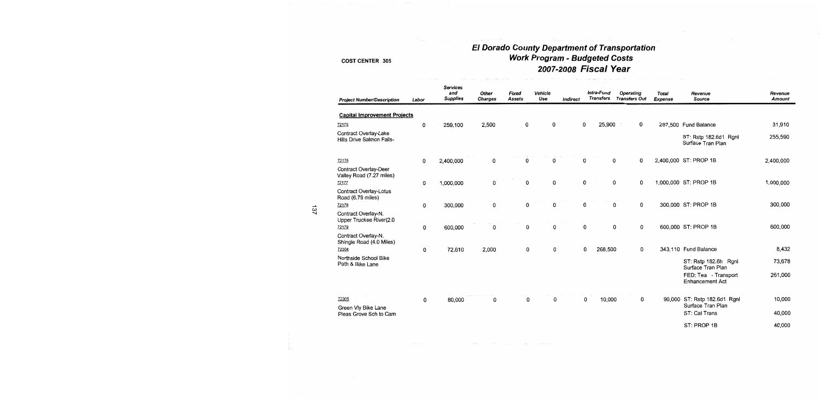# El Dorado County Department of Transportation<br>Work Program - Budgeted Costs 2007-2008 Fiscal Year

| <b>Project Number/Description</b>                  | Labor | <b>Services</b><br>and<br><b>Supplies</b> | Other<br><b>Charges</b> | Fixed<br><b>Assets</b> | Vehicle<br>Use | Indirect | Intra-Fund<br><b>Transfers</b> | <b>Operating</b><br><b>Transfers Out</b> |   | <b>Total</b><br><b>Expense</b> | Revenue<br><b>Source</b>                          | Revenue<br>Amount |
|----------------------------------------------------|-------|-------------------------------------------|-------------------------|------------------------|----------------|----------|--------------------------------|------------------------------------------|---|--------------------------------|---------------------------------------------------|-------------------|
| <b>Capital Improvement Projects</b>                |       |                                           |                         |                        |                |          |                                |                                          |   |                                |                                                   |                   |
| 72175                                              | 0     | 259,100                                   | 2,500                   | 0                      | 0              |          | 0                              | 25,900                                   | 0 |                                | 287,500 Fund Balance                              | 31,910            |
| Contract Overlay-Lake<br>Hills Drive Salmon Falls- |       |                                           |                         |                        |                |          |                                |                                          |   |                                | ST: Rstp 182.6d1 Rgnl<br>Surface Tran Plan        | 255,590           |
| 72176                                              | 0     | 2,400,000                                 | 0                       | 0                      | 0              |          | 0                              | 0                                        | 0 |                                | 2,400,000 ST: PROP 1B                             | 2,400,000         |
| Contract Overlay-Deer<br>Valley Road (7.27 miles)  |       |                                           |                         |                        |                |          |                                |                                          |   |                                |                                                   |                   |
| 72177                                              | 0     | 1,000,000                                 | 0                       | 0                      | 0              |          | 0                              | 0                                        | 0 |                                | 1,000,000 ST: PROP 1B                             | 1,000,000         |
| Contract Overlay-Lotus<br>Road (6.79 miles)        |       |                                           |                         |                        |                |          |                                |                                          |   |                                |                                                   |                   |
| 72178                                              | 0     | 300,000                                   | 0                       | 0                      | 0              |          | 0                              | 0                                        | 0 |                                | 300,000 ST: PROP 1B                               | 300,000           |
| Contract Overlay-N.<br>Upper Truckee River(2.0     |       |                                           |                         |                        |                |          |                                |                                          |   |                                |                                                   |                   |
| 72179                                              | 0     | 600,000                                   | 0                       | 0                      | 0              |          | 0                              | 0                                        | 0 |                                | 600,000 ST: PROP 1B                               | 600,000           |
| Contract Overlay-N.<br>Shingle Road (4.0 Miles)    |       |                                           |                         |                        |                |          |                                |                                          |   |                                |                                                   |                   |
| 72304                                              | 0     | 72,610                                    | 2,000                   | 0                      | 0              |          | 0                              | 268,500                                  | 0 |                                | 343,110 Fund Balance                              | 8,432             |
| Northside School Bike<br>Path & Bike Lane          |       |                                           |                         |                        |                |          |                                |                                          |   |                                | ST: Rstp 182.6h Rgnl<br>Surface Tran Plan         | 73,678            |
|                                                    |       |                                           |                         |                        |                |          |                                |                                          |   |                                | FED: Tea - Transport<br><b>Enhancement Act</b>    | 261,000           |
| 72305                                              | 0     | 80,000                                    | 0                       | 0                      | 0              |          | 0                              | 10,000                                   | 0 |                                | 90,000 ST: Rstp 182.6d1 Rgnl<br>Surface Tran Plan | 10,000            |
| Green Vly Bike Lane<br>Pleas Grove Sch to Cam      |       |                                           |                         |                        |                |          |                                |                                          |   |                                | ST: Cal Trans                                     | 40,000            |
|                                                    |       |                                           |                         |                        |                |          |                                |                                          |   |                                | ST: PROP 1B                                       | 40,000            |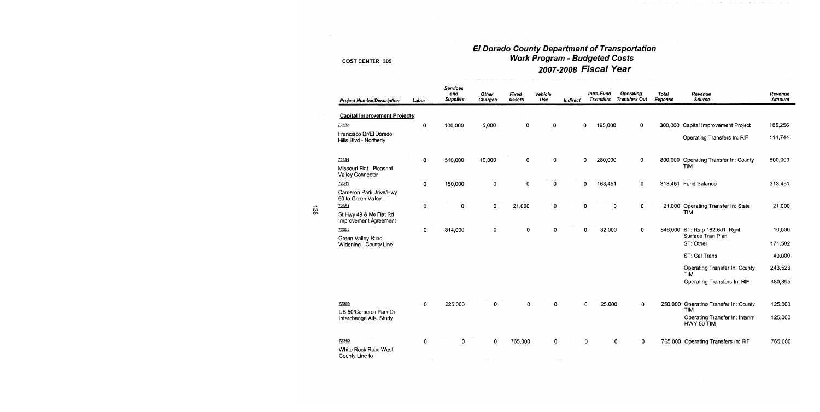## El Dorado County Department of Transportation **Work Program - Budgeted Costs** 2007-2008 Fiscal Year

| <b>Project Number/Description</b>                | Labor       | <b>Services</b><br>and<br><b>Supplies</b> | Other<br><b>Charges</b> | Fixed<br><b>Assets</b> | Vehicle<br>Use | Indirect |   | Intra-Fund<br><b>Transfers</b> | <b>Operating</b><br><b>Transfers Out</b> | <b>Total</b><br><b>Expense</b> | Revenue<br>Source                            | Revenue<br><b>Amount</b> |
|--------------------------------------------------|-------------|-------------------------------------------|-------------------------|------------------------|----------------|----------|---|--------------------------------|------------------------------------------|--------------------------------|----------------------------------------------|--------------------------|
| <b>Capital Improvement Projects</b>              |             |                                           |                         |                        |                |          |   |                                |                                          |                                |                                              |                          |
| 72332                                            | 0           | 100,000                                   | 5,000                   | 0                      | 0              |          | 0 | 195,000                        | 0                                        | 300,000                        | Capital Improvement Project                  | 185,256                  |
| Francisco Dr/El Dorado<br>Hills Blvd - Northerly |             |                                           |                         |                        |                |          |   |                                |                                          |                                | Operating Transfers In: RIF                  | 114 744                  |
| 72334                                            | $\mathbf 0$ | 510,000                                   | 10,000                  | 0                      | 0              |          | 0 | 280,000                        | $\mathbf 0$                              |                                | 800,000 Operating Transfer In: County        | 800,000                  |
| Missouri Flat - Pleasant<br>Valley Connector     |             |                                           |                         |                        |                |          |   |                                |                                          |                                | <b>TIM</b>                                   |                          |
| 72343                                            | 0           | 150,000                                   | 0                       | 0                      | 0              |          | 0 | 163,451                        | 0                                        |                                | 313,451 Fund Balance                         | 313,451                  |
| Cameron Park Drive/Hwy<br>50 to Green Valley     |             |                                           |                         |                        |                |          |   |                                |                                          |                                |                                              |                          |
| 72351                                            | 0           | 0                                         | $\Omega$                | 21,000                 | $\bf{0}$       |          | 0 | $\mathbf 0$                    | $\Omega$                                 |                                | 21,000 Operating Transfer In: State          | 21,000                   |
| St Hwy 49 & Mo Flat Rd<br>Improvement Agreement  |             |                                           |                         |                        |                |          |   |                                |                                          |                                | <b>TIM</b>                                   |                          |
| 72355                                            | $\mathbf 0$ | 814,000                                   | 0                       | $\mathbf 0$            | 0              |          | 0 | 32,000                         | $\mathbf{0}$                             |                                | 846,000 ST: Rstp 182.6d1 Rgnl                | 10,000                   |
| Green Valley Road<br>Widening - County Line      |             |                                           |                         |                        |                |          |   |                                |                                          |                                | Surface Tran Plan<br>ST: Other               | 171,582                  |
|                                                  |             |                                           |                         |                        |                |          |   |                                |                                          |                                | ST: Cal Trans                                | 40,000                   |
|                                                  |             |                                           |                         |                        |                |          |   |                                |                                          |                                |                                              |                          |
|                                                  |             |                                           |                         |                        |                |          |   |                                |                                          |                                | Operating Transfer In: County<br><b>TIM</b>  | 243,523                  |
|                                                  |             |                                           |                         |                        |                |          |   |                                |                                          |                                | Operating Transfers In: RIF                  | 380,895                  |
| 72359                                            | 0           | 225,000                                   | 0                       | 0                      | 0              |          | 0 | 25,000                         | 0                                        |                                | 250,000 Operating Transfer In: County        | 125,000                  |
| US 50/Cameron Park Dr                            |             |                                           |                         |                        |                |          |   |                                |                                          |                                | <b>TIM</b>                                   |                          |
| Interchange Alts. Study                          |             |                                           |                         |                        |                |          |   |                                |                                          |                                | Operating Transfer In: Interim<br>HWY 50 TIM | 125,000                  |
| 72360                                            | 0           |                                           | 0                       | 765,000                | 0              |          | 0 |                                | 0<br>0                                   | 765.000                        | Operating Transfers In: RIF                  | 765,000                  |
| White Rock Road West<br>County Line to           |             |                                           |                         |                        |                |          |   |                                |                                          |                                |                                              |                          |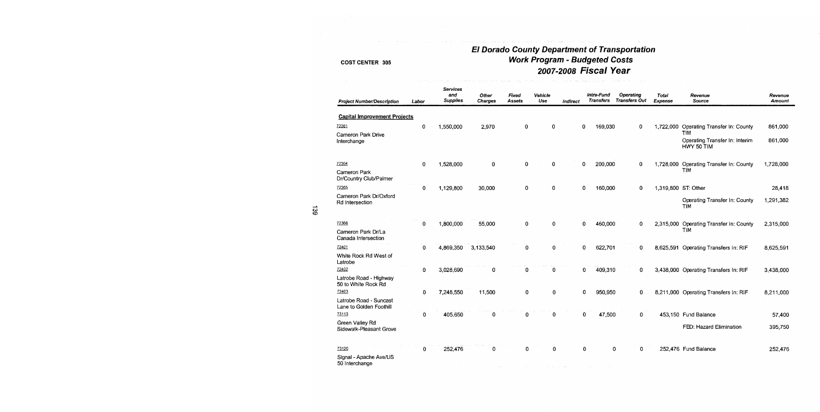### **El Dorado County Department of Transportation** Work Program - Budgeted Costs 2007-2008 Fiscal Year in<br>The complete condition of settlement in the condition of the second condition of

| <b>Project Number/Description</b>                 | Labor       | <b>Services</b><br>and<br><b>Supplies</b> | <b>Other</b><br><b>Charges</b> | <b>Fixed</b><br>Assets | Vehicle<br>Use | Indirect |             | Intra-Fund<br><b>Transfers</b> | Operating<br><b>Transfers Out</b> | <b>Total</b><br>Expense | Revenue<br>Source                                          | Revenue<br><b>Amount</b> |
|---------------------------------------------------|-------------|-------------------------------------------|--------------------------------|------------------------|----------------|----------|-------------|--------------------------------|-----------------------------------|-------------------------|------------------------------------------------------------|--------------------------|
| <b>Capital Improvement Projects</b>               |             |                                           |                                |                        |                |          |             |                                |                                   |                         |                                                            |                          |
| 72361                                             | 0           | 1,550,000                                 | 2,970                          | 0                      | 0              |          | 0           | 169,030                        | 0                                 |                         | 1,722,000 Operating Transfer In: County                    | 861,000                  |
| Cameron Park Drive<br>Interchange                 |             |                                           |                                |                        |                |          |             |                                |                                   |                         | <b>TIM</b><br>Operating Transfer In: Interim<br>HWY 50 TIM | 861,000                  |
| 72364                                             | $\mathbf 0$ | 1,528,000                                 | $\mathbf 0$                    | 0                      | 0              |          | 0           | 200,000                        | 0                                 | 1.728.000               | Operating Transfer In: County                              | 1,728,000                |
| Cameron Park<br>Dr/Country Club/Palmer            |             |                                           |                                |                        |                |          |             |                                |                                   |                         | <b>TIM</b>                                                 |                          |
| 72365                                             | $\mathbf 0$ | 1,129,800                                 | 30,000                         | 0                      | 0              |          | 0           | 160,000                        | $\mathbf{0}$                      | 1,319,800 ST: Other     |                                                            | 28,418                   |
| Cameron Park Dr/Oxford<br>Rd Intersection         |             |                                           |                                |                        |                |          |             |                                |                                   |                         | Operating Transfer In: County<br><b>TIM</b>                | 1,291,382                |
| 72366                                             | $\mathbf 0$ | 1,800,000                                 | 55,000                         | 0                      | 0              |          | 0           | 460,000                        | 0                                 |                         | 2,315,000 Operating Transfer In: County                    | 2,315,000                |
| Cameron Park Dr/La<br>Canada Intersection         |             |                                           |                                |                        |                |          |             |                                |                                   |                         | <b>TIM</b>                                                 |                          |
| 72401                                             | $\mathbf 0$ | 4,869,350                                 | 3,133,540                      | 0                      | 0              |          | $\mathbf 0$ | 622,701                        | 0                                 |                         | 8,625,591 Operating Transfers In: RIF                      | 8,625,591                |
| White Rock Rd West of<br>Latrobe                  |             |                                           |                                |                        |                |          |             |                                |                                   |                         |                                                            |                          |
| 72402                                             | 0           | 3,028,690                                 | 0                              | $\bf{0}$               | 0              |          | 0           | 409,310                        | $\mathbf 0$                       |                         | 3,438,000 Operating Transfers In: RIF                      | 3,438,000                |
| Latrobe Road - Highway<br>50 to White Rock Rd     |             |                                           |                                |                        |                |          |             |                                |                                   |                         |                                                            |                          |
| 72403                                             | 0           | 7,248,550                                 | 11,500                         | 0                      | 0              |          | 0           | 950,950                        | 0                                 |                         | 8,211,000 Operating Transfers In: RIF                      | 8,211,000                |
| Latrobe Road - Suncast<br>Lane to Golden Foothill |             |                                           |                                |                        |                |          |             |                                |                                   |                         |                                                            |                          |
| 73113                                             | 0           | 405,650                                   | $\bf{0}$                       | 0                      | 0              |          | 0           | 47,500                         | 0                                 |                         | 453,150 Fund Balance                                       | 57,400                   |
| Green Valley Rd<br>Sidewalk-Pleasant Grove        |             |                                           |                                |                        |                |          |             |                                |                                   |                         | FED: Hazard Elimination                                    | 395,750                  |
| 73120                                             | 0           | 252,476                                   | 0                              | 0                      | 0              |          | 0           | 0                              | 0                                 |                         | 252,476 Fund Balance                                       | 252,476                  |
| Signal - Apache Ave/US<br>50 Interchange          |             |                                           |                                |                        |                |          |             |                                |                                   |                         |                                                            |                          |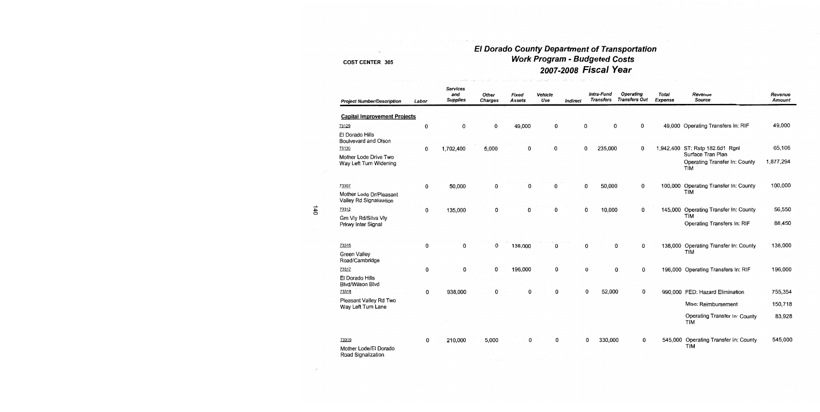## El Dorado County Department of Transportation<br>Work Program - Budgeted Costs 2007-2008 Fiscal Year

| <b>Project Number/Description</b>                    | Labor       | <b>Services</b><br>and<br><b>Supplies</b> | Other<br>Charges | Fixed<br>Assets | Vehicle<br>Use | Indirect | Intra-Fund<br><b>Transfers</b> | <b>Operating</b><br><b>Transfers Out</b> | <b>Total</b><br>Expense | Revenue<br>Source                           | Revenue<br>Amount |
|------------------------------------------------------|-------------|-------------------------------------------|------------------|-----------------|----------------|----------|--------------------------------|------------------------------------------|-------------------------|---------------------------------------------|-------------------|
| <b>Capital Improvement Projects</b>                  |             |                                           |                  |                 |                |          |                                |                                          |                         |                                             |                   |
| 73129                                                | 0           | 0                                         | 0                | 49,000          | $\mathbf 0$    |          | 0                              | 0<br>0                                   | 49,000                  | Operating Transfers In: RIF                 | 49,000            |
| El Dorado Hills<br>Boulvevard and Olson<br>73130     |             |                                           |                  | 0               | 0              |          | 0<br>235,000                   | 0                                        |                         | 1,942,400 ST: Rstp 182.6d1 Rgnl             | 65,106            |
| Mother Lode Drive Two                                | 0           | 1,702,400                                 | 5,000            |                 |                |          |                                |                                          |                         | Surface Tran Plan                           |                   |
| Way Left Turn Widening                               |             |                                           |                  |                 |                |          |                                |                                          |                         | Operating Transfer In: County<br><b>TIM</b> | 1,877,294         |
| 73307                                                | 0           | 50,000                                    | $\Omega$         | 0               | 0              |          | 50,000<br>$\mathbf 0$          | 0                                        |                         | 100,000 Operating Transfer In: County       | 100,000           |
| Mother Lode Dr/Pleasant<br>Valley Rd Signalization   |             |                                           |                  |                 |                |          |                                |                                          |                         | <b>TIM</b>                                  |                   |
| 73312                                                | 0           | 135,000                                   | 0                | $\Omega$        | 0              |          | $\mathbf 0$<br>10,000          | 0                                        | 145,000                 | Operating Transfer In: County               | 56,550            |
| Grn Vlv Rd/Silva Vlv<br>Prkwy Inter Signal           |             |                                           |                  |                 |                |          |                                |                                          |                         | <b>TIM</b><br>Operating Transfers In: RIF   | 88,450            |
| 73315                                                | 0           | 0                                         | 0                | 138,000         | 0              |          | 0                              | 0<br>0                                   | 138,000                 | Operating Transfer In: County               | 138,000           |
| <b>Green Valley</b><br>Road/Cambridge                |             |                                           |                  |                 |                |          |                                |                                          |                         | <b>TIM</b>                                  |                   |
| 73317                                                | 0           | 0                                         | 0                | 196,000         | $\mathbf 0$    |          | 0                              | 0<br>0                                   |                         | 196,000 Operating Transfers In: RIF         | 196,000           |
| El Dorado Hills<br>Blvd/Wilson Blvd                  |             |                                           |                  |                 |                |          |                                |                                          |                         |                                             |                   |
| 73318                                                | $\mathbf 0$ | 938,000                                   | 0                | 0               | 0              |          | 0<br>52,000                    | 0                                        |                         | 990,000 FED: Hazard Elimination             | 755,354           |
| Pleasant Valley Rd Two<br>Way Left Turn Lane         |             |                                           |                  |                 |                |          |                                |                                          |                         | Misc: Reimbursement                         | 150,718           |
|                                                      |             |                                           |                  |                 |                |          |                                |                                          |                         | Operating Transfer In: County<br><b>TIM</b> | 83,928            |
| 73319<br>Mother Lode/El Dorado<br>Road Signalization | 0           | 210,000                                   | 5,000            | 0               | 0              |          | 330,000<br>0                   | 0                                        | 545,000                 | Operating Transfer In: County<br><b>TIM</b> | 545,000           |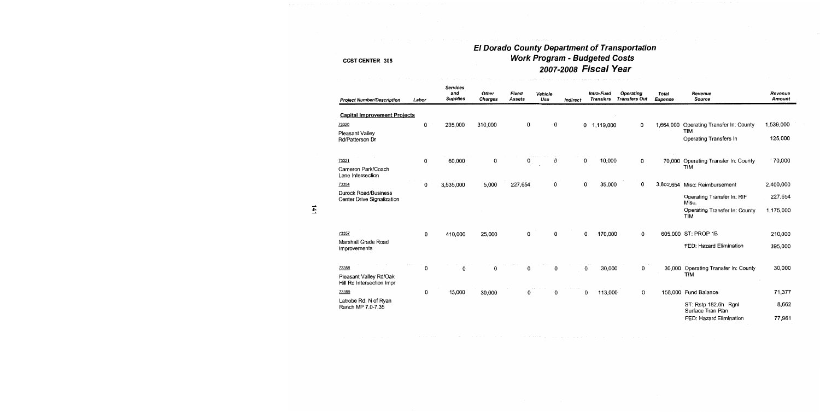# El Dorado County Department of Transportation<br>Work Program - Budgeted Costs 2007-2008 Fiscal Year

| <b>Project Number/Description</b>                         | Labor | <b>Services</b><br>and<br><b>Supplies</b> | Other<br><b>Charges</b> | Fixed<br><b>Assets</b> | Vehicle<br>Use | <b>Indirect</b> | Intra-Fund<br><b>Transfers</b> | Operating<br><b>Transfers Out</b> | <b>Total</b><br><b>Expense</b> | Revenue<br><b>Source</b>                    | Revenue<br><b>Amount</b> |
|-----------------------------------------------------------|-------|-------------------------------------------|-------------------------|------------------------|----------------|-----------------|--------------------------------|-----------------------------------|--------------------------------|---------------------------------------------|--------------------------|
| <b>Capital Improvement Projects</b>                       |       |                                           |                         |                        |                |                 |                                |                                   |                                |                                             |                          |
| 73320                                                     | 0     | 235,000                                   | 310,000                 | 0                      | 0              |                 | $0$ 1,119,000                  | 0                                 | 1,664,000                      | Operating Transfer In: County               | 1,539,000                |
| <b>Pleasant Valley</b><br>Rd/Patterson Dr                 |       |                                           |                         |                        |                |                 |                                |                                   |                                | <b>TIM</b><br>Operating Transfers In        | 125,000                  |
| 73321                                                     | 0     | 60,000                                    | 0                       | 0                      | 0              | 0               | 10,000                         | 0                                 | 70,000                         | Operating Transfer In: County<br><b>TIM</b> | 70,000                   |
| Cameron Park/Coach<br>Lane Intersection                   |       |                                           |                         |                        |                |                 |                                |                                   |                                |                                             |                          |
| 73354                                                     | 0     | 3,535,000                                 | 5,000                   | 227,654                | 0              | 0               | 35,000                         | 0                                 |                                | 3,802,654 Misc: Reimbursement               | 2,400,000                |
| <b>Durock Road/Business</b><br>Center Drive Signalization |       |                                           |                         |                        |                |                 |                                |                                   |                                | Operating Transfer In: RIF<br>Misc.         | 227,654                  |
|                                                           |       |                                           |                         |                        |                |                 |                                |                                   |                                | Operating Transfer In: County<br><b>TIM</b> | 1,175,000                |
| 73357                                                     | 0     | 410,000                                   | 25,000                  | 0                      | 0              |                 | 170,000<br>0                   | 0                                 |                                | 605,000 ST: PROP 1B                         | 210,000                  |
| Marshall Grade Road<br>Improvements                       |       |                                           |                         |                        |                |                 |                                |                                   |                                | FED: Hazard Elimination                     | 395,000                  |
| 73358                                                     | 0     | 0                                         | 0                       | 0                      | 0              |                 | 0<br>30,000                    | 0                                 |                                | 30,000 Operating Transfer In: County        | 30,000                   |
| Pleasant Valley Rd/Oak<br>Hill Rd Intersection Impr       |       |                                           |                         |                        |                |                 |                                |                                   |                                | <b>TIM</b>                                  |                          |
| 73359                                                     | 0     | 15,000                                    | 30,000                  | 0                      | 0              |                 | 113,000<br>0                   | 0                                 |                                | 158,000 Fund Balance                        | 71,377                   |
| Latrobe Rd. N of Ryan<br>Ranch MP 7.0-7.35                |       |                                           |                         |                        |                |                 |                                |                                   |                                | ST: Rstp 182.6h Ranl<br>Surface Tran Plan   | 8,662                    |
|                                                           |       |                                           |                         |                        |                |                 |                                |                                   |                                | FED: Hazard Elimination                     | 77,961                   |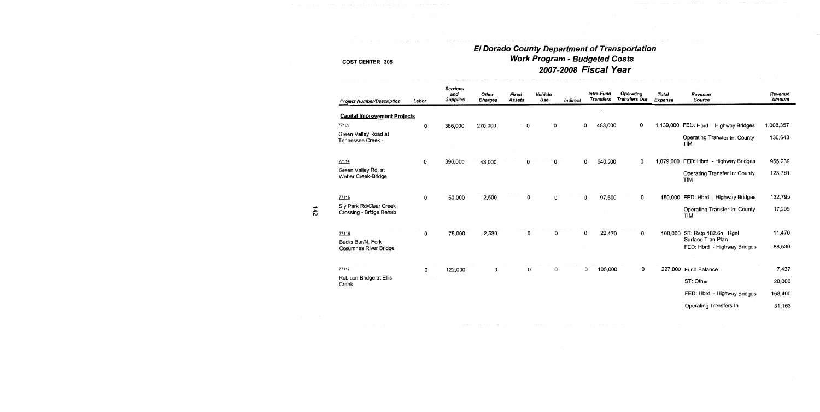# El Dorado County Department of Transportation<br>Work Program - Budgeted Costs<br>2007-2008 Fiscal Year

| <b>Project Number/Description</b>                  | Labor | <b>Services</b><br>and<br><b>Supplies</b> | Other<br><b>Charges</b> | Fixed<br><b>Assets</b> | Vehicle<br>Use | Indirect | Intra-Fund<br><b>Transfers</b> |         | Operating<br><b>Transfers Out</b> | Total<br><b>Expense</b> | Revenue<br><b>Source</b>                           | Revenue<br><b>Amount</b> |
|----------------------------------------------------|-------|-------------------------------------------|-------------------------|------------------------|----------------|----------|--------------------------------|---------|-----------------------------------|-------------------------|----------------------------------------------------|--------------------------|
| <b>Capital Improvement Projects</b>                |       |                                           |                         |                        |                |          |                                |         |                                   |                         |                                                    |                          |
| 77109                                              | 0     | 386,000                                   | 270,000                 | 0                      | 0              |          | 483,000<br>0                   |         | 0                                 |                         | 1,139,000 FED: Hbrd - Highway Bridges              | 1,008,357                |
| Green Valley Road at<br>Tennessee Creek -          |       |                                           |                         |                        |                |          |                                |         |                                   |                         | Operating Transfer In: County<br><b>TIM</b>        | 130,643                  |
| 77114                                              | 0     | 396,000                                   | 43,000                  | 0                      | 0              |          | 0<br>640,000                   |         | 0                                 |                         | 1,079,000 FED: Hbrd - Highway Bridges              | 955,239                  |
| Green Valley Rd. at<br>Weber Creek-Bridge          |       |                                           |                         |                        |                |          |                                |         |                                   |                         | <b>Operating Transfer In: County</b><br><b>TIM</b> | 123,761                  |
| 77115                                              | 0     | 50,000                                    | 2,500                   | 0                      | 0              |          | 0                              | 97,500  | 0                                 | 150.000                 | FED: Hbrd - Highway Bridges                        | 132,795                  |
| Sly Park Rd/Clear Creek<br>Crossing - Bridge Rehab |       |                                           |                         |                        |                |          |                                |         |                                   |                         | Operating Transfer In: County<br><b>TIM</b>        | 17,205                   |
| 77116<br>Bucks Bar/N. Fork                         | 0     | 75,000                                    | 2,530                   | 0                      | 0              |          | 0                              | 22,470  | 0                                 |                         | 100,000 ST: Rstp 182.6h Rgnl<br>Surface Tran Plan  | 11,470                   |
| Cosumnes River Bridge                              |       |                                           |                         |                        |                |          |                                |         |                                   |                         | FED: Hbrd - Highway Bridges                        | 88,530                   |
| 77117                                              | 0     | 122,000                                   | 0                       | 0                      | 0              |          | 0                              | 105,000 | 0                                 |                         | 227,000 Fund Balance                               | 7,437                    |
| Rubicon Bridge at Ellis                            |       |                                           |                         |                        |                |          |                                |         |                                   |                         | ST: Other                                          | 20,000                   |
| Creek                                              |       |                                           |                         |                        |                |          |                                |         |                                   |                         | FED: Hbrd - Highway Bridges                        | 168,400                  |
|                                                    |       |                                           |                         |                        |                |          |                                |         |                                   |                         | Operating Transfers In                             | 31,163                   |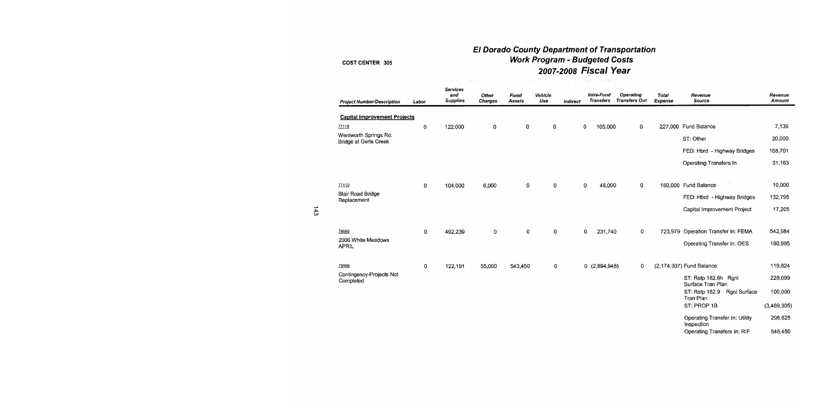# El Dorado County Department of Transportation<br>Work Program - Budgeted Costs 2007-2008 Fiscal Year

| <b>Project Number/Description</b>                     | Labor       | <b>Services</b><br>and<br><b>Supplies</b> | Other<br><b>Charges</b> | Fixed<br>Assets | Vehicle<br>Use | Indirect | Intra-Fund<br><b>Transfers</b> | Operating<br><b>Transfers Out</b> | <b>Total</b><br>Expense | Revenue<br>Source                            | Revenue<br>Amount |
|-------------------------------------------------------|-------------|-------------------------------------------|-------------------------|-----------------|----------------|----------|--------------------------------|-----------------------------------|-------------------------|----------------------------------------------|-------------------|
| <b>Capital Improvement Projects</b>                   |             |                                           |                         |                 |                |          |                                |                                   |                         |                                              |                   |
| 77118                                                 | 0           | 122,000                                   | 0                       | 0               | 0              |          | 0<br>105,000                   | 0                                 |                         | 227,000 Fund Balance                         | 7,136             |
| Wentworth Springs Rd.<br><b>Bridge at Gerle Creek</b> |             |                                           |                         |                 |                |          |                                |                                   |                         | ST: Other                                    | 20,000            |
|                                                       |             |                                           |                         |                 |                |          |                                |                                   |                         | FED: Hbrd - Highway Bridges                  | 168,701           |
|                                                       |             |                                           |                         |                 |                |          |                                |                                   |                         | Operating Transfers In                       | 31,163            |
| 77119                                                 | 0           | 104,000                                   | 8,000                   | 0               | 0              |          | 48,000<br>0                    | 0                                 |                         | 160,000 Fund Balance                         | 10,000            |
| <b>Blair Road Bridge</b><br>Replacement               |             |                                           |                         |                 |                |          |                                |                                   |                         | FED: Hbrd - Highway Bridges                  | 132,795           |
|                                                       |             |                                           |                         |                 |                |          |                                |                                   |                         | Capital Improvement Project                  | 17,205            |
| 78669                                                 | $\mathbf 0$ | 492,239                                   | 0                       | 0               | 0              |          | 231,740<br>0                   | 0                                 |                         | 723,979 Operation Transfer in: FEMA          | 542,984           |
| 2006 White Meadows<br><b>APRIL</b>                    |             |                                           |                         |                 |                |          |                                |                                   |                         | Operating Transfer in: OES                   | 180,995           |
| 79999                                                 | 0           | 122,191                                   | 55,000                  | 543,450         | 0              |          | 0(2,894,948)                   | 0                                 |                         | (2,174,307) Fund Balance                     | 119,824           |
| Contingency-Projects Not<br>Completed                 |             |                                           |                         |                 |                |          |                                |                                   |                         | ST: Rstp 182.6h Rgnl<br>Surface Tran Plan    | 228,099           |
|                                                       |             |                                           |                         |                 |                |          |                                |                                   |                         | Rgnl Surface<br>ST: Rstp 182.9<br>Tran Plan  | 100,000           |
|                                                       |             |                                           |                         |                 |                |          |                                |                                   |                         | ST: PROP 1B                                  | (3,469,305)       |
|                                                       |             |                                           |                         |                 |                |          |                                |                                   |                         | Operating Transfer In: Utility<br>Inspection | 298,625           |
|                                                       |             |                                           |                         |                 |                |          |                                |                                   |                         | Operating Transfers In: RIF                  | 548,450           |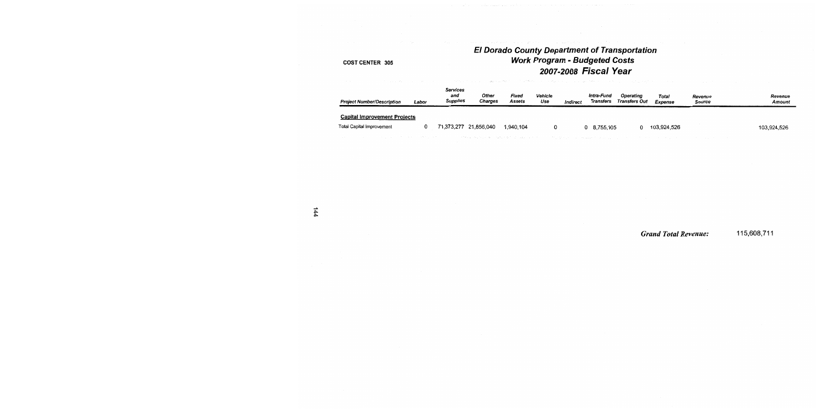### El Dorado County Department of Transportation **Work Program - Budgeted Costs** 2007-2008 Fiscal Year

#### COST CENTER 305

| <b>Project Number/Description</b>                  | Labor | <b>Services</b><br>and<br><b>Supplies</b> | Other<br><b>Charges</b> | Fixed<br>Assets | Vehicle<br>Use | Indirect | Intra-Fund<br>Transfers | <b>Operating</b><br>Transfers Out                                                                               | Total<br>Expense | Revenue<br>Source                     | Revenue<br>Amount |
|----------------------------------------------------|-------|-------------------------------------------|-------------------------|-----------------|----------------|----------|-------------------------|-----------------------------------------------------------------------------------------------------------------|------------------|---------------------------------------|-------------------|
| <b>Capital Improvement Projects</b>                |       |                                           |                         |                 |                |          |                         |                                                                                                                 |                  |                                       |                   |
| Total Capital Improvement                          | 0     |                                           | 71,373,277 21,856,040   | 1.940.104       |                |          | 0 8.755.105             |                                                                                                                 | 103.924.526      |                                       | 103,924,526       |
| 医血管病 医白细胞 医血管 医心包 医心包 医心包 医心包 医神经性 医单位 医血管静脉 医血管静脉 |       |                                           |                         |                 |                |          |                         | - 2008年4月4日 No. 2008年4月4日 No. 2008年4月4日 - 10月4日 No. 2012年4月4日 - 10月4日 No. 2012年4月4日 - 10月4日 - 10月4日 - 10月4日 - 1 |                  | the company's company's company's and |                   |

**Grand Total Revenue:** 115,608,711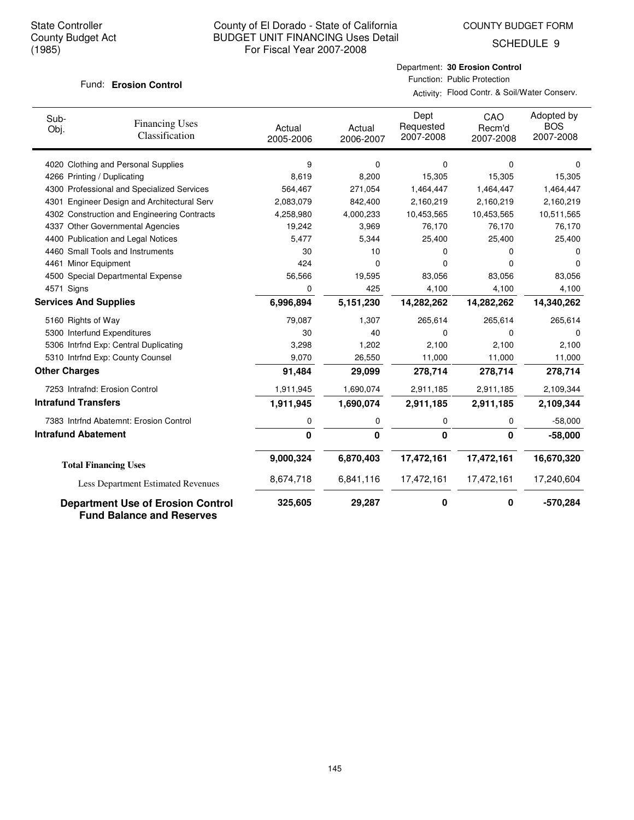COUNTY BUDGET FORM

SCHEDULE 9

#### **Erosion Control** Fund:

Department: **30 Erosion Control** Function: Public Protection

Activity: Flood Contr. & Soil/Water Conserv.

| Sub-<br>Obj.                 | <b>Financing Uses</b><br>Classification                                      | Actual<br>2005-2006 | Actual<br>2006-2007 | Dept<br>Requested<br>2007-2008 | CAO<br>Recm'd<br>2007-2008 | Adopted by<br><b>BOS</b><br>2007-2008 |
|------------------------------|------------------------------------------------------------------------------|---------------------|---------------------|--------------------------------|----------------------------|---------------------------------------|
|                              | 4020 Clothing and Personal Supplies                                          | 9                   | 0                   | 0                              | 0                          | $\Omega$                              |
|                              | 4266 Printing / Duplicating                                                  | 8,619               | 8,200               | 15,305                         | 15,305                     | 15,305                                |
|                              | 4300 Professional and Specialized Services                                   | 564,467             | 271,054             | 1,464,447                      | 1,464,447                  | 1,464,447                             |
| 4301                         | Engineer Design and Architectural Serv                                       | 2,083,079           | 842,400             | 2,160,219                      | 2,160,219                  | 2,160,219                             |
|                              | 4302 Construction and Engineering Contracts                                  | 4,258,980           | 4,000,233           | 10,453,565                     | 10,453,565                 | 10,511,565                            |
|                              | 4337 Other Governmental Agencies                                             | 19,242              | 3,969               | 76,170                         | 76,170                     | 76,170                                |
|                              | 4400 Publication and Legal Notices                                           | 5,477               | 5,344               | 25,400                         | 25,400                     | 25,400                                |
|                              | 4460 Small Tools and Instruments                                             | 30                  | 10                  | 0                              | 0                          | 0                                     |
| 4461 Minor Equipment         |                                                                              | 424                 | 0                   | 0                              | 0                          | $\Omega$                              |
|                              | 4500 Special Departmental Expense                                            | 56,566              | 19,595              | 83,056                         | 83,056                     | 83,056                                |
| 4571 Signs                   |                                                                              | 0                   | 425                 | 4,100                          | 4,100                      | 4,100                                 |
| <b>Services And Supplies</b> |                                                                              | 6,996,894           | 5,151,230           | 14,282,262                     | 14,282,262                 | 14,340,262                            |
| 5160 Rights of Way           |                                                                              | 79,087              | 1,307               | 265,614                        | 265,614                    | 265,614                               |
|                              | 5300 Interfund Expenditures                                                  | 30                  | 40                  | 0                              | 0                          | $\Omega$                              |
|                              | 5306 Intrfnd Exp: Central Duplicating                                        | 3,298               | 1,202               | 2,100                          | 2,100                      | 2,100                                 |
|                              | 5310 Intrfnd Exp: County Counsel                                             | 9,070               | 26,550              | 11,000                         | 11,000                     | 11,000                                |
| <b>Other Charges</b>         |                                                                              | 91,484              | 29,099              | 278,714                        | 278,714                    | 278,714                               |
|                              | 7253 Intrafnd: Erosion Control                                               | 1,911,945           | 1,690,074           | 2,911,185                      | 2,911,185                  | 2,109,344                             |
| <b>Intrafund Transfers</b>   |                                                                              | 1,911,945           | 1,690,074           | 2,911,185                      | 2,911,185                  | 2,109,344                             |
|                              | 7383 Intrfnd Abatemnt: Erosion Control                                       | 0                   | 0                   | 0                              | 0                          | $-58,000$                             |
| <b>Intrafund Abatement</b>   |                                                                              | $\mathbf{0}$        | 0                   | $\mathbf{0}$                   | $\mathbf 0$                | $-58,000$                             |
|                              | <b>Total Financing Uses</b>                                                  | 9,000,324           | 6,870,403           | 17,472,161                     | 17,472,161                 | 16,670,320                            |
|                              |                                                                              | 8,674,718           | 6,841,116           | 17,472,161                     | 17,472,161                 | 17,240,604                            |
|                              | Less Department Estimated Revenues                                           |                     |                     |                                |                            |                                       |
|                              | <b>Department Use of Erosion Control</b><br><b>Fund Balance and Reserves</b> | 325,605             | 29,287              | 0                              | $\mathbf 0$                | $-570,284$                            |